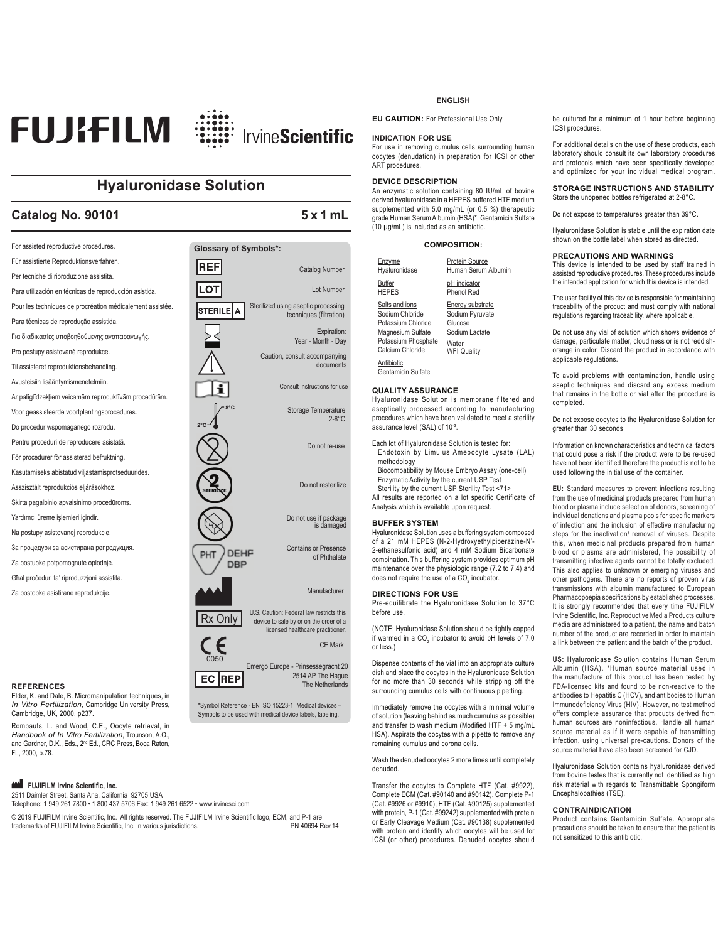

# **Hyaluronidase Solution**

# Catalog No. 90101 5x1 mL

For assisted reproductive procedures. **Glossary of Symbols\*:** Für assistierte Reproduktionsverfahren. REF Catalog Number Per tecniche di riproduzione assistita. **LOT** Lot Number Para utilización en técnicas de reproducción asistida. Sterilized using aseptic processing Pour les techniques de procréation médicalement assistée. Isterilel a techniques (filtration) Para técnicas de reprodução assistida. Expiration: Για διαδικασίες υποβοηθούμενης αναπαραγωγής. Year - Month - Day Pro postupy asistované reprodukce. Caution, consult accompanying documents Til assisteret reproduktionsbehandling. Avusteisiin lisääntymismenetelmiin. Consult instructions for useAr palīglīdzekļiem veicamām reproduktīvām procedūrām. **8°C** Storage Temperature Voor geassisteerde voortplantingsprocedures. 2-8°C Do procedur wspomaganego rozrodu. **2°C** Pentru proceduri de reproducere asistată. Do not re-use För procedurer för assisterad befruktning. Kasutamiseks abistatud viljastamisprotseduurides. Do not resterilize Asszisztált reprodukciós eljárásokhoz. Skirta pagalbinio apvaisinimo procedūroms. Do not use if package<br>is damaged Yardımcı üreme işlemleri içindir. Na postupy asistovanej reprodukcie. Contains or Presence За процедури за асистирана репродукция DEHP PHT of Phthalate Za postupke potpomognute oplodnie. DBP Għal proceduri ta' riproduzzjoni assistita. Manufacturer Za postopke asistirane reprodukcije. Rx Only U.S. Caution: Federal law restricts this<br>
device to sale by or on the order of a licensed healthcare practitioner. CE Mark

#### **REFERENCES**

Elder, K. and Dale, B. Micromanipulation techniques, in *In Vitro Fertilization*, Cambridge University Press, Cambridge, UK, 2000, p237.

Rombauts, L. and Wood, C.E., Oocyte retrieval, in *Handbook of In Vitro Fertilization*, Trounson, A.O., and Gardner, D.K., Eds., 2<sup>nd</sup> Ed., CRC Press, Boca Raton, FL, 2000, p.78.

## **EQUIFILM Irvine Scientific, Inc.**

2511 Daimler Street, Santa Ana, California 92705 USA Telephone: 1 949 261 7800 • 1 800 437 5706 Fax: 1 949 261 6522 • www.irvinesci.com

© 2019 FUJIFILM Irvine Scientific, Inc. All rights reserved. The FUJIFILM Irvine Scientific logo, ECM, and P-1 are<br>1940694 trademarks of FUJIFILM Irvine Scientific. Inc. in various iurisdictions. trademarks of FUJIFILM Irvine Scientific, Inc. in various jurisdictions.

0050

EC REP

Emergo Europe - Prinsessegracht 20

\*Symbol Reference - EN ISO 15223-1, Medical devices – Symbols to be used with medical device labels, labeling.

2514 AP The Hague The Netherlands

#### **ENGLISH**

**EU CAUTION:** For Professional Use Only

#### **INDICATION FOR USE**

For use in removing cumulus cells surrounding human oocytes (denudation) in preparation for ICSI or other ART procedures.

### **DEVICE DESCRIPTION**

An enzymatic solution containing 80 IU/mL of bovine derived hyaluronidase in a HEPES buffered HTF medium supplemented with 5.0 mg/mL (or 0.5 %) therapeutic grade Human Serum Albumin (HSA)\*. Gentamicin Sulfate (10 μg/mL) is included as an antibiotic.

#### **COMPOSITION:**

| Enzyme              | Protein Source      |
|---------------------|---------------------|
| Hyaluronidase       | Human Serum Albumin |
| <b>Buffer</b>       | pH indicator        |
| <b>HEPES</b>        | Phenol Red          |
| Salts and ions      | Energy substrate    |
| Sodium Chloride     | Sodium Pyruvate     |
| Potassium Chloride  | Glucose             |
| Magnesium Sulfate   | Sodium Lactate      |
| Potassium Phosphate | Water               |
| Calcium Chloride    | <b>WFI Quality</b>  |
| Antibiotic          |                     |

Gentamicin Sulfate

#### **QUALITY ASSURANCE**

Hyaluronidase Solution is membrane filtered and aseptically processed according to manufacturing procedures which have been validated to meet a sterility assurance level (SAL) of 10-3.

- Each lot of Hyaluronidase Solution is tested for: Endotoxin by Limulus Amebocyte Lysate (LAL) methodology
- Biocompatibility by Mouse Embryo Assay (one-cell) Enzymatic Activity by the current USP Test Sterility by the current USP Sterility Test <71>

All results are reported on a lot specific Certificate of Analysis which is available upon request.

#### **BUFFER SYSTEM**

Hyaluronidase Solution uses a buffering system composed of a 21 mM HEPES (N-2-Hydroxyethylpiperazine-N'- 2-ethanesulfonic acid) and 4 mM Sodium Bicarbonate combination. This buffering system provides optimum pH maintenance over the physiologic range (7.2 to 7.4) and does not require the use of a CO<sub>2</sub> incubator.

#### **DIRECTIONS FOR USE**

Pre-equilibrate the Hyaluronidase Solution to 37°C before use.

(NOTE: Hyaluronidase Solution should be tightly capped if warmed in a CO<sub>2</sub> incubator to avoid pH levels of 7.0 or less.)

Dispense contents of the vial into an appropriate culture dish and place the oocytes in the Hyaluronidase Solution for no more than 30 seconds while stripping off the surrounding cumulus cells with continuous pipetting.

Immediately remove the oocytes with a minimal volume of solution (leaving behind as much cumulus as possible) and transfer to wash medium (Modified HTF + 5 mg/mL HSA). Aspirate the oocytes with a pipette to remove any remaining cumulus and corona cells.

Wash the denuded oocytes 2 more times until completely denuded.

Transfer the oocytes to Complete HTF (Cat. #9922), Complete ECM (Cat. #90140 and #90142), Complete P-1 (Cat. #9926 or #9910), HTF (Cat. #90125) supplemented with protein, P-1 (Cat. #99242) supplemented with protein or Early Cleavage Medium (Cat. #90138) supplemented with protein and identify which oocytes will be used for ICSI (or other) procedures. Denuded oocytes should be cultured for a minimum of 1 hour before beginning ICSI procedures.

For additional details on the use of these products, each laboratory should consult its own laboratory procedures and protocols which have been specifically developed and optimized for your individual medical program.

#### **STORAGE INSTRUCTIONS AND STABILITY**

Store the unopened bottles refrigerated at 2-8°C.

Do not expose to temperatures greater than 39°C.

Hyaluronidase Solution is stable until the expiration date shown on the bottle label when stored as directed.

#### **PRECAUTIONS AND WARNINGS**

This device is intended to be used by staff trained in assisted reproductive procedures. These procedures include the intended application for which this device is intended.

The user facility of this device is responsible for maintaining traceability of the product and must comply with national regulations regarding traceability, where applicable.

Do not use any vial of solution which shows evidence of damage, particulate matter, cloudiness or is not reddishorange in color. Discard the product in accordance with applicable regulations.

To avoid problems with contamination, handle using aseptic techniques and discard any excess medium that remains in the bottle or vial after the procedure is completed.

Do not expose oocytes to the Hyaluronidase Solution for greater than 30 seconds

Information on known characteristics and technical factors that could pose a risk if the product were to be re-used have not been identified therefore the product is not to be used following the initial use of the container.

**EU:** Standard measures to prevent infections resulting from the use of medicinal products prepared from human blood or plasma include selection of donors, screening of individual donations and plasma pools for specific markers of infection and the inclusion of effective manufacturing steps for the inactivation/ removal of viruses. Despite this, when medicinal products prepared from human blood or plasma are administered, the possibility of transmitting infective agents cannot be totally excluded. This also applies to unknown or emerging viruses and other pathogens. There are no reports of proven virus transmissions with albumin manufactured to European Pharmacopoepia specifications by established processes. It is strongly recommended that every time FUJIFILM Irvine Scientific, Inc. Reproductive Media Products culture media are administered to a patient, the name and batch number of the product are recorded in order to maintain a link between the patient and the batch of the product.

**US:** Hyaluronidase Solution contains Human Serum Albumin (HSA). \*Human source material used in the manufacture of this product has been tested by FDA-licensed kits and found to be non-reactive to the antibodies to Hepatitis C (HCV), and antibodies to Human Immunodeficiency Virus (HIV). However, no test method offers complete assurance that products derived from human sources are noninfectious. Handle all human source material as if it were capable of transmitting infection, using universal pre-cautions. Donors of the source material have also been screened for CJD.

Hyaluronidase Solution contains hyaluronidase derived from bovine testes that is currently not identified as high risk material with regards to Transmittable Spongiform Encephalopathies (TSE).

#### **CONTRAINDICATION**

Product contains Gentamicin Sulfate. Appropriate precautions should be taken to ensure that the patient is not sensitized to this antibiotic.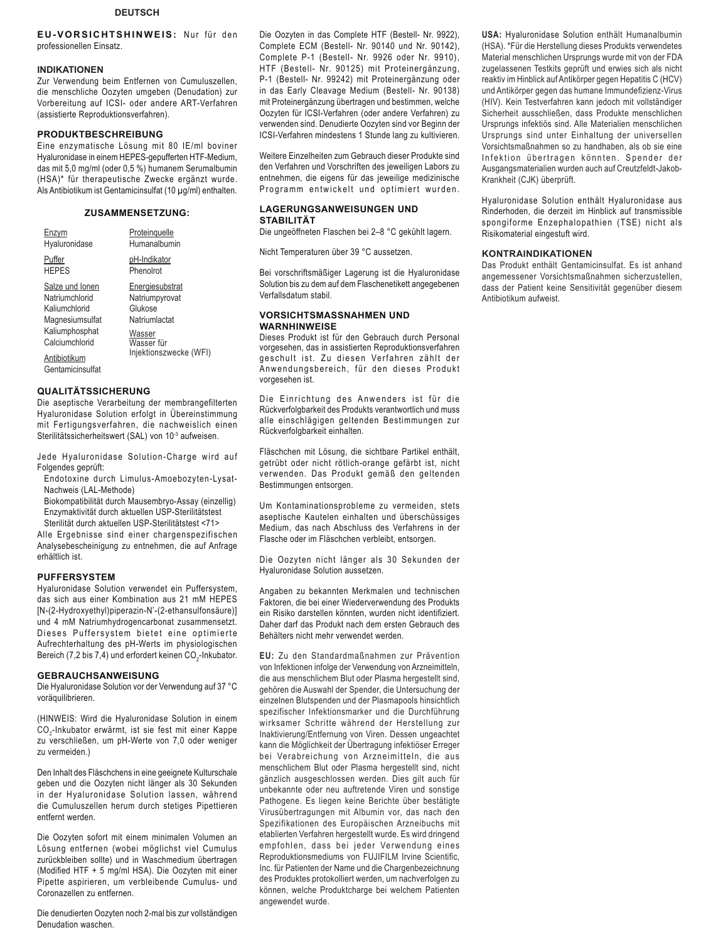## **DEUTSCH**

**EU-VORSICHTSHINWEIS:** Nur für den professionellen Einsatz.

## **INDIKATIONEN**

Zur Verwendung beim Entfernen von Cumuluszellen, die menschliche Oozyten umgeben (Denudation) zur Vorbereitung auf ICSI- oder andere ART-Verfahren (assistierte Reproduktionsverfahren).

## **PRODUKTBESCHREIBUNG**

Eine enzymatische Lösung mit 80 IE/ml boviner Hyaluronidase in einem HEPES-gepufferten HTF-Medium, das mit 5,0 mg/ml (oder 0,5 %) humanem Serumalbumin (HSA)\* für therapeutische Zwecke ergänzt wurde. Als Antibiotikum ist Gentamicinsulfat (10 μg/ml) enthalten.

## **ZUSAMMENSETZUNG:**

| Enzym            | Proteinquelle          |
|------------------|------------------------|
| Hyaluronidase    | Humanalbumin           |
| Puffer           | pH-Indikator           |
| <b>HEPES</b>     | Phenolrot              |
| Salze und Ionen  | <b>Energiesubstrat</b> |
| Natriumchlorid   | Natriumpyrovat         |
| Kaliumchlorid    | Glukose                |
| Magnesiumsulfat  | Natriumlactat          |
| Kaliumphosphat   | Wasser                 |
| Calciumchlorid   | Wasser für             |
| Antibiotikum     | Injektionszwecke (WFI) |
| Gentamicinsulfat |                        |

## **QUALITÄTSSICHERUNG**

Die aseptische Verarbeitung der membrangefilterten Hyaluronidase Solution erfolgt in Übereinstimmung mit Fertigungsverfahren, die nachweislich einen Sterilitätssicherheitswert (SAL) von 10<sup>-3</sup> aufweisen.

Jede Hyaluronidase Solution-Charge wird auf Folgendes geprüft:

Endotoxine durch Limulus-Amoebozyten-Lysat-Nachweis (LAL-Methode)

Biokompatibilität durch Mausembryo-Assay (einzellig) Enzymaktivität durch aktuellen USP-Sterilitätstest Sterilität durch aktuellen USP-Sterilitätstest <71>

Alle Ergebnisse sind einer chargenspezifischen Analysebescheinigung zu entnehmen, die auf Anfrage erhältlich ist.

## **PUFFERSYSTEM**

Hyaluronidase Solution verwendet ein Puffersystem, das sich aus einer Kombination aus 21 mM HEPES [N-(2-Hydroxyethyl)piperazin-N'-(2-ethansulfonsäure)] und 4 mM Natriumhydrogencarbonat zusammensetzt. Dieses Puffersystem bietet eine optimierte Aufrechterhaltung des pH-Werts im physiologischen Bereich (7,2 bis 7,4) und erfordert keinen CO<sub>2</sub>-Inkubator.

## **GEBRAUCHSANWEISUNG**

Die Hyaluronidase Solution vor der Verwendung auf 37 °C voräquilibrieren.

(HINWEIS: Wird die Hyaluronidase Solution in einem CO<sub>2</sub>-Inkubator erwärmt, ist sie fest mit einer Kappe zu verschließen, um pH-Werte von 7,0 oder weniger zu vermeiden.)

Den Inhalt des Fläschchens in eine geeignete Kulturschale geben und die Oozyten nicht länger als 30 Sekunden in der Hyaluronidase Solution lassen, während die Cumuluszellen herum durch stetiges Pipettieren entfernt werden.

Die Oozyten sofort mit einem minimalen Volumen an Lösung entfernen (wobei möglichst viel Cumulus zurückbleiben sollte) und in Waschmedium übertragen (Modified HTF + 5 mg/ml HSA). Die Oozyten mit einer Pipette aspirieren, um verbleibende Cumulus- und Coronazellen zu entfernen.

Die denudierten Oozyten noch 2-mal bis zur vollständigen Denudation waschen.

Die Oozyten in das Complete HTF (Bestell- Nr. 9922), Complete ECM (Bestell- Nr. 90140 und Nr. 90142), Complete P-1 (Bestell- Nr. 9926 oder Nr. 9910), HTF (Bestell- Nr. 90125) mit Proteinergänzung, P-1 (Bestell- Nr. 99242) mit Proteinergänzung oder in das Early Cleavage Medium (Bestell- Nr. 90138) mit Proteinergänzung übertragen und bestimmen, welche Oozyten für ICSI-Verfahren (oder andere Verfahren) zu verwenden sind. Denudierte Oozyten sind vor Beginn der ICSI-Verfahren mindestens 1 Stunde lang zu kultivieren.

Weitere Einzelheiten zum Gebrauch dieser Produkte sind den Verfahren und Vorschriften des jeweiligen Labors zu entnehmen, die eigens für das jeweilige medizinische Programm entwickelt und optimiert wurden.

## **LAGERUNGSANWEISUNGEN UND STABILITÄT**

Die ungeöffneten Flaschen bei 2–8 °C gekühlt lagern.

Nicht Temperaturen über 39 °C aussetzen.

Bei vorschriftsmäßiger Lagerung ist die Hyaluronidase Solution bis zu dem auf dem Flaschenetikett angegebenen Verfallsdatum stabil.

## **VORSICHTSMASSNAHMEN UND WARNHINWEISE**

Dieses Produkt ist für den Gebrauch durch Personal vorgesehen, das in assistierten Reproduktionsverfahren geschult ist. Zu diesen Verfahren zählt der Anwendungsbereich, für den dieses Produkt vorgesehen ist.

Die Einrichtung des Anwenders ist für die Rückverfolgbarkeit des Produkts verantwortlich und muss alle einschlägigen geltenden Bestimmungen zur Rückverfolgbarkeit einhalten.

Fläschchen mit Lösung, die sichtbare Partikel enthält, getrübt oder nicht rötlich-orange gefärbt ist, nicht verwenden. Das Produkt gemäß den geltenden Bestimmungen entsorgen.

Um Kontaminationsprobleme zu vermeiden, stets aseptische Kautelen einhalten und überschüssiges Medium, das nach Abschluss des Verfahrens in der Flasche oder im Fläschchen verbleibt, entsorgen.

Die Oozyten nicht länger als 30 Sekunden der Hyaluronidase Solution aussetzen.

Angaben zu bekannten Merkmalen und technischen Faktoren, die bei einer Wiederverwendung des Produkts ein Risiko darstellen könnten, wurden nicht identifiziert. Daher darf das Produkt nach dem ersten Gebrauch des Behälters nicht mehr verwendet werden.

**EU:** Zu den Standardmaßnahmen zur Prävention von Infektionen infolge der Verwendung von Arzneimitteln, die aus menschlichem Blut oder Plasma hergestellt sind, gehören die Auswahl der Spender, die Untersuchung der einzelnen Blutspenden und der Plasmapools hinsichtlich spezifischer Infektionsmarker und die Durchführung wirksamer Schritte während der Herstellung zur Inaktivierung/Entfernung von Viren. Dessen ungeachtet kann die Möglichkeit der Übertragung infektiöser Erreger bei Verabreichung von Arzneimitteln, die aus menschlichem Blut oder Plasma hergestellt sind, nicht gänzlich ausgeschlossen werden. Dies gilt auch für unbekannte oder neu auftretende Viren und sonstige Pathogene. Es liegen keine Berichte über bestätigte Virusübertragungen mit Albumin vor, das nach den Spezifikationen des Europäischen Arzneibuchs mit etablierten Verfahren hergestellt wurde. Es wird dringend empfohlen, dass bei jeder Verwendung eines Reproduktionsmediums von FUJIFILM Irvine Scientific, Inc. für Patienten der Name und die Chargenbezeichnung des Produktes protokolliert werden, um nachverfolgen zu können, welche Produktcharge bei welchem Patienten angewendet wurde.

**USA:** Hyaluronidase Solution enthält Humanalbumin (HSA). \*Für die Herstellung dieses Produkts verwendetes Material menschlichen Ursprungs wurde mit von der FDA zugelassenen Testkits geprüft und erwies sich als nicht reaktiv im Hinblick auf Antikörper gegen Hepatitis C (HCV) und Antikörper gegen das humane Immundefizienz-Virus (HIV). Kein Testverfahren kann jedoch mit vollständiger Sicherheit ausschließen, dass Produkte menschlichen Ursprungs infektiös sind. Alle Materialien menschlichen Ursprungs sind unter Einhaltung der universellen Vorsichtsmaßnahmen so zu handhaben, als ob sie eine Infektion übertragen könnten. Spender der Ausgangsmaterialien wurden auch auf Creutzfeldt-Jakob-Krankheit (CJK) überprüft.

Hyaluronidase Solution enthält Hyaluronidase aus Rinderhoden, die derzeit im Hinblick auf transmissible spongiforme Enzephalopathien (TSE) nicht als Risikomaterial eingestuft wird.

## **KONTRAINDIKATIONEN**

Das Produkt enthält Gentamicinsulfat. Es ist anhand angemessener Vorsichtsmaßnahmen sicherzustellen, dass der Patient keine Sensitivität gegenüber diesem Antibiotikum aufweist.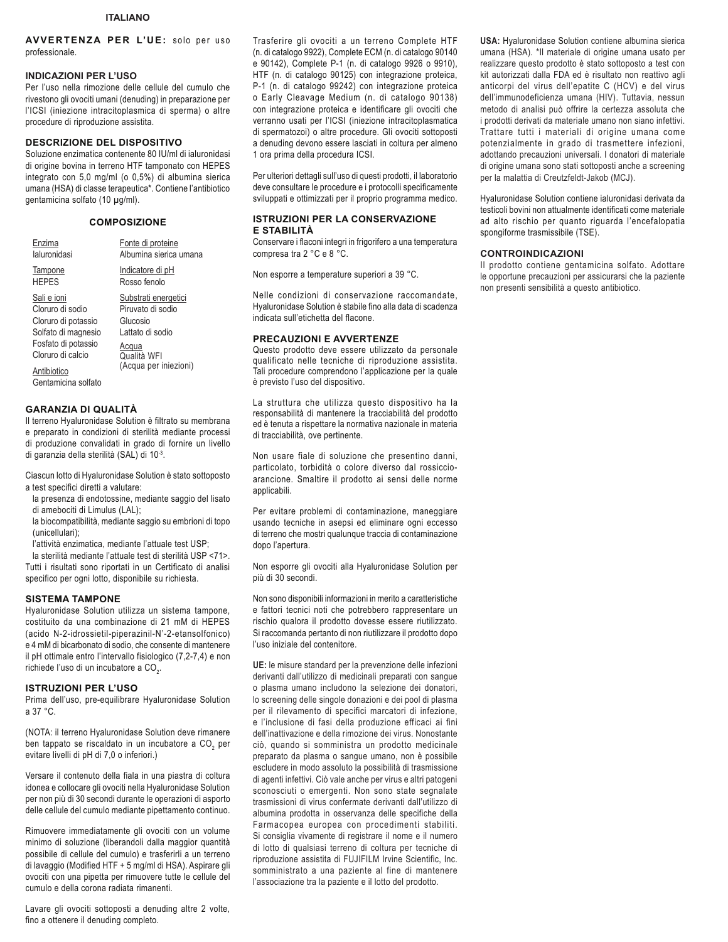**AVVERTENZA PER L'UE:** solo per uso professionale.

## **INDICAZIONI PER L'USO**

Per l'uso nella rimozione delle cellule del cumulo che rivestono gli ovociti umani (denuding) in preparazione per l'ICSI (iniezione intracitoplasmica di sperma) o altre procedure di riproduzione assistita.

### **DESCRIZIONE DEL DISPOSITIVO**

Soluzione enzimatica contenente 80 IU/ml di ialuronidasi di origine bovina in terreno HTF tamponato con HEPES integrato con 5,0 mg/ml (o 0,5%) di albumina sierica umana (HSA) di classe terapeutica\*. Contiene l'antibiotico gentamicina solfato (10 μg/ml).

## **COMPOSIZIONE**

| Enzima                                                                                                                                                          | Fonte di proteine                                                                                                           |
|-----------------------------------------------------------------------------------------------------------------------------------------------------------------|-----------------------------------------------------------------------------------------------------------------------------|
| laluronidasi                                                                                                                                                    | Albumina sierica umana                                                                                                      |
| Tampone                                                                                                                                                         | Indicatore di pH                                                                                                            |
| <b>HFPFS</b>                                                                                                                                                    | Rosso fenolo                                                                                                                |
| Sali e ioni<br>Cloruro di sodio<br>Cloruro di potassio<br>Solfato di magnesio<br>Fosfato di potassio<br>Cloruro di calcio<br>Antibiotico<br>Gentamicina solfato | Substrati energetici<br>Piruvato di sodio<br>Glucosio<br>I attato di sodio<br>Acqua<br>Qualità WFI<br>(Acqua per iniezioni) |

### **GARANZIA DI QUALITÀ**

Il terreno Hyaluronidase Solution è filtrato su membrana e preparato in condizioni di sterilità mediante processi di produzione convalidati in grado di fornire un livello di garanzia della sterilità (SAL) di 10-3.

Ciascun lotto di Hyaluronidase Solution è stato sottoposto a test specifici diretti a valutare:

la presenza di endotossine, mediante saggio del lisato di amebociti di Limulus (LAL);

la biocompatibilità, mediante saggio su embrioni di topo (unicellulari);

l'attività enzimatica, mediante l'attuale test USP;

la sterilità mediante l'attuale test di sterilità USP <71>. Tutti i risultati sono riportati in un Certificato di analisi specifico per ogni lotto, disponibile su richiesta.

### **SISTEMA TAMPONE**

Hyaluronidase Solution utilizza un sistema tampone, costituito da una combinazione di 21 mM di HEPES (acido N-2-idrossietil-piperazinil-N'-2-etansolfonico) e 4 mM di bicarbonato di sodio, che consente di mantenere il pH ottimale entro l'intervallo fisiologico (7,2-7,4) e non richiede l'uso di un incubatore a CO $_{\textrm{\tiny{2}}}$ .

### **ISTRUZIONI PER L'USO**

Prima dell'uso, pre-equilibrare Hyaluronidase Solution a 37 °C.

(NOTA: il terreno Hyaluronidase Solution deve rimanere ben tappato se riscaldato in un incubatore a CO<sub>2</sub> per evitare livelli di pH di 7,0 o inferiori.)

Versare il contenuto della fiala in una piastra di coltura idonea e collocare gli ovociti nella Hyaluronidase Solution per non più di 30 secondi durante le operazioni di asporto delle cellule del cumulo mediante pipettamento continuo.

Rimuovere immediatamente gli ovociti con un volume minimo di soluzione (liberandoli dalla maggior quantità possibile di cellule del cumulo) e trasferirli a un terreno di lavaggio (Modified HTF + 5 mg/ml di HSA). Aspirare gli ovociti con una pipetta per rimuovere tutte le cellule del cumulo e della corona radiata rimanenti.

Lavare gli ovociti sottoposti a denuding altre 2 volte, fino a ottenere il denuding completo.

Trasferire gli ovociti a un terreno Complete HTF (n. di catalogo 9922), Complete ECM (n. di catalogo 90140 e 90142), Complete P-1 (n. di catalogo 9926 o 9910), HTF (n. di catalogo 90125) con integrazione proteica, P-1 (n. di catalogo 99242) con integrazione proteica o Early Cleavage Medium (n. di catalogo 90138) con integrazione proteica e identificare gli ovociti che verranno usati per l'ICSI (iniezione intracitoplasmatica di spermatozoi) o altre procedure. Gli ovociti sottoposti a denuding devono essere lasciati in coltura per almeno 1 ora prima della procedura ICSI.

Per ulteriori dettagli sull'uso di questi prodotti, il laboratorio deve consultare le procedure e i protocolli specificamente sviluppati e ottimizzati per il proprio programma medico.

## **ISTRUZIONI PER LA CONSERVAZIONE E STABILITÀ**

Conservare i flaconi integri in frigorifero a una temperatura compresa tra 2 °C e 8 °C.

Non esporre a temperature superiori a 39 °C.

Nelle condizioni di conservazione raccomandate, Hyaluronidase Solution è stabile fino alla data di scadenza indicata sull'etichetta del flacone.

## **PRECAUZIONI E AVVERTENZE**

Questo prodotto deve essere utilizzato da personale qualificato nelle tecniche di riproduzione assistita. Tali procedure comprendono l'applicazione per la quale è previsto l'uso del dispositivo.

La struttura che utilizza questo dispositivo ha la responsabilità di mantenere la tracciabilità del prodotto ed è tenuta a rispettare la normativa nazionale in materia di tracciabilità, ove pertinente.

Non usare fiale di soluzione che presentino danni, particolato, torbidità o colore diverso dal rossiccioarancione. Smaltire il prodotto ai sensi delle norme applicabili.

Per evitare problemi di contaminazione, maneggiare usando tecniche in asepsi ed eliminare ogni eccesso di terreno che mostri qualunque traccia di contaminazione dopo l'apertura.

Non esporre gli ovociti alla Hyaluronidase Solution per più di 30 secondi.

Non sono disponibili informazioni in merito a caratteristiche e fattori tecnici noti che potrebbero rappresentare un rischio qualora il prodotto dovesse essere riutilizzato. Si raccomanda pertanto di non riutilizzare il prodotto dopo l'uso iniziale del contenitore.

**UE:** le misure standard per la prevenzione delle infezioni derivanti dall'utilizzo di medicinali preparati con sangue o plasma umano includono la selezione dei donatori, lo screening delle singole donazioni e dei pool di plasma per il rilevamento di specifici marcatori di infezione, e l'inclusione di fasi della produzione efficaci ai fini dell'inattivazione e della rimozione dei virus. Nonostante ciò, quando si somministra un prodotto medicinale preparato da plasma o sangue umano, non è possibile escludere in modo assoluto la possibilità di trasmissione di agenti infettivi. Ciò vale anche per virus e altri patogeni sconosciuti o emergenti. Non sono state segnalate trasmissioni di virus confermate derivanti dall'utilizzo di albumina prodotta in osservanza delle specifiche della Farmacopea europea con procedimenti stabiliti. Si consiglia vivamente di registrare il nome e il numero di lotto di qualsiasi terreno di coltura per tecniche di riproduzione assistita di FUJIFILM Irvine Scientific, Inc. somministrato a una paziente al fine di mantenere l'associazione tra la paziente e il lotto del prodotto.

**USA:** Hyaluronidase Solution contiene albumina sierica umana (HSA). \*Il materiale di origine umana usato per realizzare questo prodotto è stato sottoposto a test con kit autorizzati dalla FDA ed è risultato non reattivo agli anticorpi del virus dell'epatite C (HCV) e del virus dell'immunodeficienza umana (HIV). Tuttavia, nessun metodo di analisi può offrire la certezza assoluta che i prodotti derivati da materiale umano non siano infettivi. Trattare tutti i materiali di origine umana come potenzialmente in grado di trasmettere infezioni, adottando precauzioni universali. I donatori di materiale di origine umana sono stati sottoposti anche a screening per la malattia di Creutzfeldt-Jakob (MCJ).

Hyaluronidase Solution contiene ialuronidasi derivata da testicoli bovini non attualmente identificati come materiale ad alto rischio per quanto riguarda l'encefalopatia spongiforme trasmissibile (TSE).

### **CONTROINDICAZIONI**

Il prodotto contiene gentamicina solfato. Adottare le opportune precauzioni per assicurarsi che la paziente non presenti sensibilità a questo antibiotico.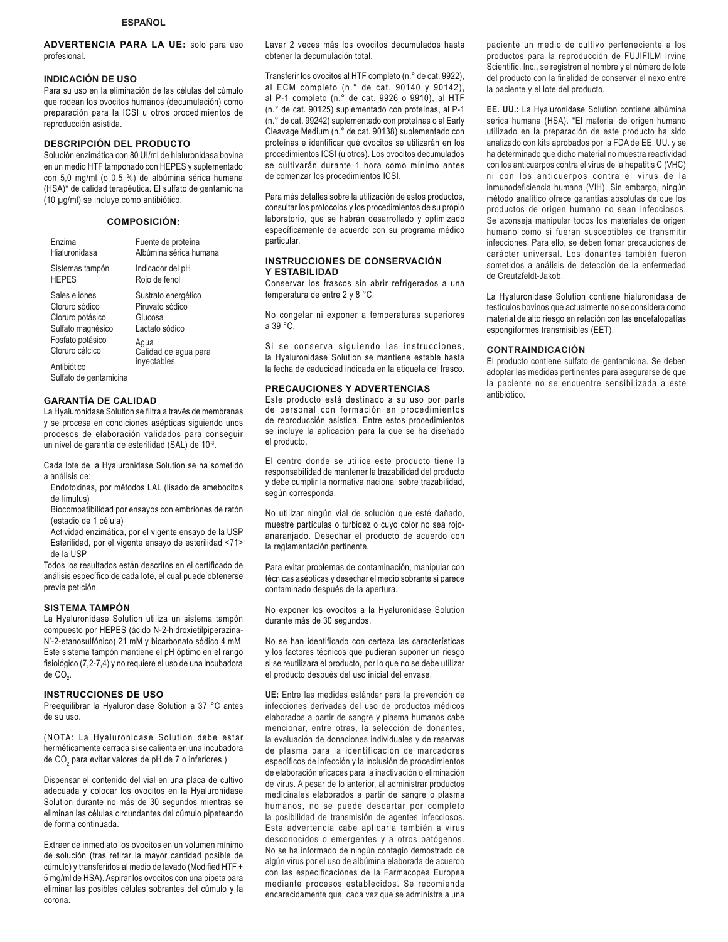**ADVERTENCIA PARA LA UE:** solo para uso profesional.

## **INDICACIÓN DE USO**

Para su uso en la eliminación de las células del cúmulo que rodean los ovocitos humanos (decumulación) como preparación para la ICSI u otros procedimientos de reproducción asistida.

## **DESCRIPCIÓN DEL PRODUCTO**

Solución enzimática con 80 UI/ml de hialuronidasa bovina en un medio HTF tamponado con HEPES y suplementado con 5,0 mg/ml (o 0,5 %) de albúmina sérica humana (HSA)\* de calidad terapéutica. El sulfato de gentamicina (10 μg/ml) se incluye como antibiótico.

## **COMPOSICIÓN:**

| Enzima                                                                                                                                                   | Fuente de proteína                                                                                                 |
|----------------------------------------------------------------------------------------------------------------------------------------------------------|--------------------------------------------------------------------------------------------------------------------|
| Hialuronidasa                                                                                                                                            | Albúmina sérica humana                                                                                             |
| Sistemas tampón                                                                                                                                          | Indicador del pH                                                                                                   |
| <b>HEPES</b>                                                                                                                                             | Rojo de fenol                                                                                                      |
| Sales e iones<br>Cloruro sódico<br>Cloruro potásico<br>Sulfato magnésico<br>Fosfato potásico<br>Cloruro cálcico<br>Antibiótico<br>Sulfato de gentamicina | Sustrato energético<br>Piruvato sódico<br>Glucosa<br>Lactato sódico<br>Aqua<br>Calidad de agua para<br>inyectables |

## **GARANTÍA DE CALIDAD**

La Hyaluronidase Solution se filtra a través de membranas y se procesa en condiciones asépticas siguiendo unos procesos de elaboración validados para conseguir un nivel de garantía de esterilidad (SAL) de 10<sup>-3</sup>.

Cada lote de la Hyaluronidase Solution se ha sometido a análisis de:

- Endotoxinas, por métodos LAL (lisado de amebocitos de limulus)
- Biocompatibilidad por ensayos con embriones de ratón (estadio de 1 célula)

Actividad enzimática, por el vigente ensayo de la USP Esterilidad, por el vigente ensayo de esterilidad <71> de la USP

Todos los resultados están descritos en el certificado de análisis específico de cada lote, el cual puede obtenerse previa petición.

### **SISTEMA TAMPÓN**

La Hyaluronidase Solution utiliza un sistema tampón compuesto por HEPES (ácido N-2-hidroxietilpiperazina-N'-2-etanosulfónico) 21 mM y bicarbonato sódico 4 mM. Este sistema tampón mantiene el pH óptimo en el rango fisiológico (7,2-7,4) y no requiere el uso de una incubadora de CO $_{2}$ .

### **INSTRUCCIONES DE USO**

Preequilibrar la Hyaluronidase Solution a 37 °C antes de su uso.

(NOTA: La Hyaluronidase Solution debe estar herméticamente cerrada si se calienta en una incubadora de CO $_{\textrm{\tiny{2}}}$  para evitar valores de pH de 7 o inferiores.)

Dispensar el contenido del vial en una placa de cultivo adecuada y colocar los ovocitos en la Hyaluronidase Solution durante no más de 30 segundos mientras se eliminan las células circundantes del cúmulo pipeteando de forma continuada.

Extraer de inmediato los ovocitos en un volumen mínimo de solución (tras retirar la mayor cantidad posible de cúmulo) y transferirlos al medio de lavado (Modified HTF + 5 mg/ml de HSA). Aspirar los ovocitos con una pipeta para eliminar las posibles células sobrantes del cúmulo y la corona.

Lavar 2 veces más los ovocitos decumulados hasta obtener la decumulación total.

Transferir los ovocitos al HTF completo (n.° de cat. 9922), al ECM completo (n.° de cat. 90140 y 90142), al P-1 completo (n.° de cat. 9926 o 9910), al HTF (n.° de cat. 90125) suplementado con proteínas, al P-1 (n.° de cat. 99242) suplementado con proteínas o al Early Cleavage Medium (n.° de cat. 90138) suplementado con proteínas e identificar qué ovocitos se utilizarán en los procedimientos ICSI (u otros). Los ovocitos decumulados se cultivarán durante 1 hora como mínimo antes de comenzar los procedimientos ICSI.

Para más detalles sobre la utilización de estos productos, consultar los protocolos y los procedimientos de su propio laboratorio, que se habrán desarrollado y optimizado específicamente de acuerdo con su programa médico particular.

### **INSTRUCCIONES DE CONSERVACIÓN Y ESTABILIDAD**

Conservar los frascos sin abrir refrigerados a una temperatura de entre 2 y 8 °C.

No congelar ni exponer a temperaturas superiores a 39 °C.

Si se conserva siguiendo las instrucciones, la Hyaluronidase Solution se mantiene estable hasta la fecha de caducidad indicada en la etiqueta del frasco.

#### **PRECAUCIONES Y ADVERTENCIAS**

Este producto está destinado a su uso por parte de personal con formación en procedimientos de reproducción asistida. Entre estos procedimientos se incluye la aplicación para la que se ha diseñado el producto.

El centro donde se utilice este producto tiene la responsabilidad de mantener la trazabilidad del producto y debe cumplir la normativa nacional sobre trazabilidad, según corresponda.

No utilizar ningún vial de solución que esté dañado, muestre partículas o turbidez o cuyo color no sea rojoanaranjado. Desechar el producto de acuerdo con la reglamentación pertinente.

Para evitar problemas de contaminación, manipular con técnicas asépticas y desechar el medio sobrante si parece contaminado después de la apertura.

No exponer los ovocitos a la Hyaluronidase Solution durante más de 30 segundos.

No se han identificado con certeza las características y los factores técnicos que pudieran suponer un riesgo si se reutilizara el producto, por lo que no se debe utilizar el producto después del uso inicial del envase.

**UE:** Entre las medidas estándar para la prevención de infecciones derivadas del uso de productos médicos elaborados a partir de sangre y plasma humanos cabe mencionar, entre otras, la selección de donantes, la evaluación de donaciones individuales y de reservas de plasma para la identificación de marcadores específicos de infección y la inclusión de procedimientos de elaboración eficaces para la inactivación o eliminación de virus. A pesar de lo anterior, al administrar productos medicinales elaborados a partir de sangre o plasma humanos, no se puede descartar por completo la posibilidad de transmisión de agentes infecciosos. Esta advertencia cabe aplicarla también a virus desconocidos o emergentes y a otros patógenos. No se ha informado de ningún contagio demostrado de algún virus por el uso de albúmina elaborada de acuerdo con las especificaciones de la Farmacopea Europea mediante procesos establecidos. Se recomienda encarecidamente que, cada vez que se administre a una

paciente un medio de cultivo perteneciente a los productos para la reproducción de FUJIFILM Irvine Scientific, Inc., se registren el nombre y el número de lote del producto con la finalidad de conservar el nexo entre la paciente y el lote del producto.

**EE. UU.: La Hyaluronidase Solution contiene albúmina** sérica humana (HSA). \*El material de origen humano utilizado en la preparación de este producto ha sido analizado con kits aprobados por la FDA de EE. UU. y se ha determinado que dicho material no muestra reactividad con los anticuerpos contra el virus de la hepatitis C (VHC) ni con los anticuerpos contra el virus de la inmunodeficiencia humana (VIH). Sin embargo, ningún método analítico ofrece garantías absolutas de que los productos de origen humano no sean infecciosos. Se aconseja manipular todos los materiales de origen humano como si fueran susceptibles de transmitir infecciones. Para ello, se deben tomar precauciones de carácter universal. Los donantes también fueron sometidos a análisis de detección de la enfermedad de Creutzfeldt-Jakob.

La Hyaluronidase Solution contiene hialuronidasa de testículos bovinos que actualmente no se considera como material de alto riesgo en relación con las encefalopatías espongiformes transmisibles (EET).

#### **CONTRAINDICACIÓN**

El producto contiene sulfato de gentamicina. Se deben adoptar las medidas pertinentes para asegurarse de que la paciente no se encuentre sensibilizada a este antibiótico.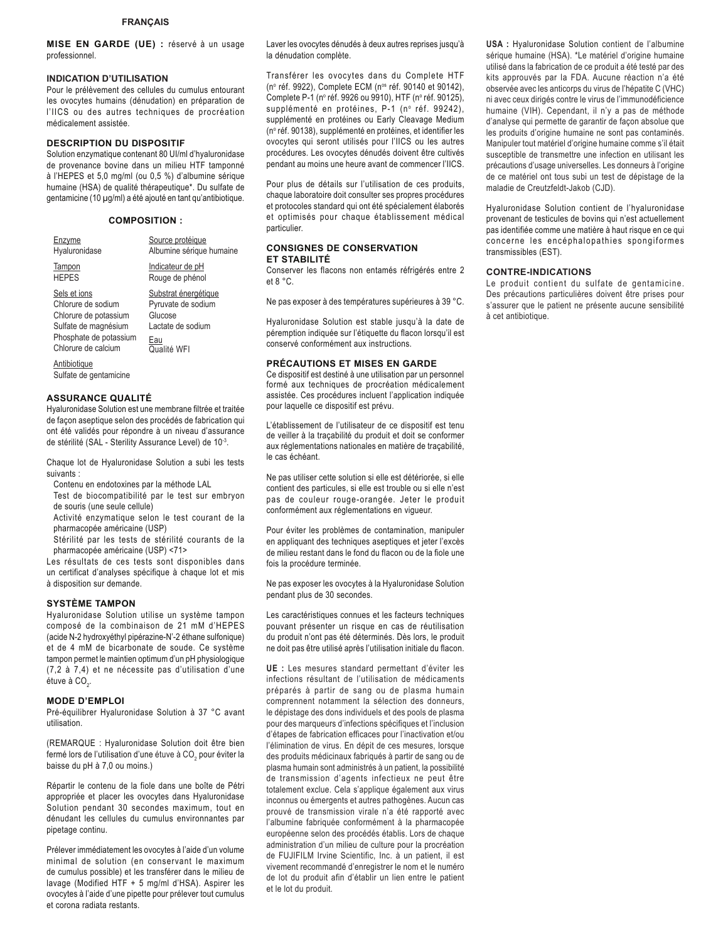**MISE EN GARDE (UE) :** réservé à un usage professionnel.

## **INDICATION D'UTILISATION**

Pour le prélèvement des cellules du cumulus entourant les ovocytes humains (dénudation) en préparation de l'IICS ou des autres techniques de procréation médicalement assistée.

## **DESCRIPTION DU DISPOSITIF**

Solution enzymatique contenant 80 UI/ml d'hyaluronidase de provenance bovine dans un milieu HTF tamponné à l'HEPES et 5,0 mg/ml (ou 0,5 %) d'albumine sérique humaine (HSA) de qualité thérapeutique\*. Du sulfate de gentamicine (10 µg/ml) a été ajouté en tant qu'antibiotique.

### **COMPOSITION :**

| Enzvme                                 | Source protéique         |
|----------------------------------------|--------------------------|
| Hyaluronidase                          | Albumine sérique humaine |
| Tampon                                 | Indicateur de pH         |
| <b>HEPES</b>                           | Rouge de phénol          |
| Sels et ions                           | Substrat énergétique     |
| Chlorure de sodium                     | Pyruvate de sodium       |
| Chlorure de potassium                  | Glucose                  |
| Sulfate de magnésium                   | Lactate de sodium        |
| Phosphate de potassium                 | Eau                      |
| Chlorure de calcium                    | Qualité WFI              |
| Antibiotique<br>Sulfate de gentamicine |                          |

## **ASSURANCE QUALITÉ**

Hyaluronidase Solution est une membrane filtrée et traitée de façon aseptique selon des procédés de fabrication qui ont été validés pour répondre à un niveau d'assurance de stérilité (SAL - Sterility Assurance Level) de 10-3.

Chaque lot de Hyaluronidase Solution a subi les tests suivants :

Contenu en endotoxines par la méthode LAL

Test de biocompatibilité par le test sur embryon de souris (une seule cellule)

Activité enzymatique selon le test courant de la pharmacopée américaine (USP)

Stérilité par les tests de stérilité courants de la pharmacopée américaine (USP) <71>

Les résultats de ces tests sont disponibles dans un certificat d'analyses spécifique à chaque lot et mis à disposition sur demande.

### **SYSTÈME TAMPON**

Hyaluronidase Solution utilise un système tampon composé de la combinaison de 21 mM d'HEPES (acide N-2 hydroxyéthyl pipérazine-N'-2 éthane sulfonique) et de 4 mM de bicarbonate de soude. Ce système tampon permet le maintien optimum d'un pH physiologique (7,2 à 7,4) et ne nécessite pas d'utilisation d'une étuve à CO $_2$ .

#### **MODE D'EMPLOI**

Pré-équilibrer Hyaluronidase Solution à 37 °C avant utilisation.

(REMARQUE : Hyaluronidase Solution doit être bien fermé lors de l'utilisation d'une étuve à CO $_{\rm _2}$  pour éviter la baisse du pH à 7,0 ou moins.)

Répartir le contenu de la fiole dans une boîte de Pétri appropriée et placer les ovocytes dans Hyaluronidase Solution pendant 30 secondes maximum, tout en dénudant les cellules du cumulus environnantes par pipetage continu.

Prélever immédiatement les ovocytes à l'aide d'un volume minimal de solution (en conservant le maximum de cumulus possible) et les transférer dans le milieu de lavage (Modified HTF + 5 mg/ml d'HSA). Aspirer les ovocytes à l'aide d'une pipette pour prélever tout cumulus et corona radiata restants.

Laver les ovocytes dénudés à deux autres reprises jusqu'à la dénudation complète.

Transférer les ovocytes dans du Complete HTF (no réf. 9922), Complete ECM (nos réf. 90140 et 90142), Complete P-1 (nº réf. 9926 ou 9910), HTF (nº réf. 90125), supplémenté en protéines, P-1 (nº réf. 99242), supplémenté en protéines ou Early Cleavage Medium (no réf. 90138), supplémenté en protéines, et identifier les ovocytes qui seront utilisés pour l'IICS ou les autres procédures. Les ovocytes dénudés doivent être cultivés pendant au moins une heure avant de commencer l'IICS.

Pour plus de détails sur l'utilisation de ces produits, chaque laboratoire doit consulter ses propres procédures et protocoles standard qui ont été spécialement élaborés et optimisés pour chaque établissement médical particulier.

### **CONSIGNES DE CONSERVATION ET STABILITÉ**

Conserver les flacons non entamés réfrigérés entre 2 et 8 °C.

Ne pas exposer à des températures supérieures à 39 °C.

Hyaluronidase Solution est stable jusqu'à la date de péremption indiquée sur l'étiquette du flacon lorsqu'il est conservé conformément aux instructions.

#### **PRÉCAUTIONS ET MISES EN GARDE**

Ce dispositif est destiné à une utilisation par un personnel formé aux techniques de procréation médicalement assistée. Ces procédures incluent l'application indiquée pour laquelle ce dispositif est prévu.

L'établissement de l'utilisateur de ce dispositif est tenu de veiller à la traçabilité du produit et doit se conformer aux réglementations nationales en matière de traçabilité, le cas échéant.

Ne pas utiliser cette solution si elle est détériorée, si elle contient des particules, si elle est trouble ou si elle n'est pas de couleur rouge-orangée. Jeter le produit conformément aux réglementations en vigueur.

Pour éviter les problèmes de contamination, manipuler en appliquant des techniques aseptiques et jeter l'excès de milieu restant dans le fond du flacon ou de la fiole une fois la procédure terminée.

Ne pas exposer les ovocytes à la Hyaluronidase Solution pendant plus de 30 secondes.

Les caractéristiques connues et les facteurs techniques pouvant présenter un risque en cas de réutilisation du produit n'ont pas été déterminés. Dès lors, le produit ne doit pas être utilisé après l'utilisation initiale du flacon.

**UE :** Les mesures standard permettant d'éviter les infections résultant de l'utilisation de médicaments préparés à partir de sang ou de plasma humain comprennent notamment la sélection des donneurs, le dépistage des dons individuels et des pools de plasma pour des marqueurs d'infections spécifiques et l'inclusion d'étapes de fabrication efficaces pour l'inactivation et/ou l'élimination de virus. En dépit de ces mesures, lorsque des produits médicinaux fabriqués à partir de sang ou de plasma humain sont administrés à un patient, la possibilité de transmission d'agents infectieux ne peut être totalement exclue. Cela s'applique également aux virus inconnus ou émergents et autres pathogènes. Aucun cas prouvé de transmission virale n'a été rapporté avec l'albumine fabriquée conformément à la pharmacopée européenne selon des procédés établis. Lors de chaque administration d'un milieu de culture pour la procréation de FUJIFILM Irvine Scientific, Inc. à un patient, il est vivement recommandé d'enregistrer le nom et le numéro de lot du produit afin d'établir un lien entre le patient et le lot du produit.

**USA :** Hyaluronidase Solution contient de l'albumine sérique humaine (HSA). \*Le matériel d'origine humaine utilisé dans la fabrication de ce produit a été testé par des kits approuvés par la FDA. Aucune réaction n'a été observée avec les anticorps du virus de l'hépatite C (VHC) ni avec ceux dirigés contre le virus de l'immunodéficience humaine (VIH). Cependant, il n'y a pas de méthode d'analyse qui permette de garantir de façon absolue que les produits d'origine humaine ne sont pas contaminés. Manipuler tout matériel d'origine humaine comme s'il était susceptible de transmettre une infection en utilisant les précautions d'usage universelles. Les donneurs à l'origine de ce matériel ont tous subi un test de dépistage de la maladie de Creutzfeldt-Jakob (CJD).

Hyaluronidase Solution contient de l'hyaluronidase provenant de testicules de bovins qui n'est actuellement pas identifiée comme une matière à haut risque en ce qui concerne les encéphalopathies spongiformes transmissibles (EST).

#### **CONTRE-INDICATIONS**

Le produit contient du sulfate de gentamicine. Des précautions particulières doivent être prises pour s'assurer que le patient ne présente aucune sensibilité à cet antibiotique.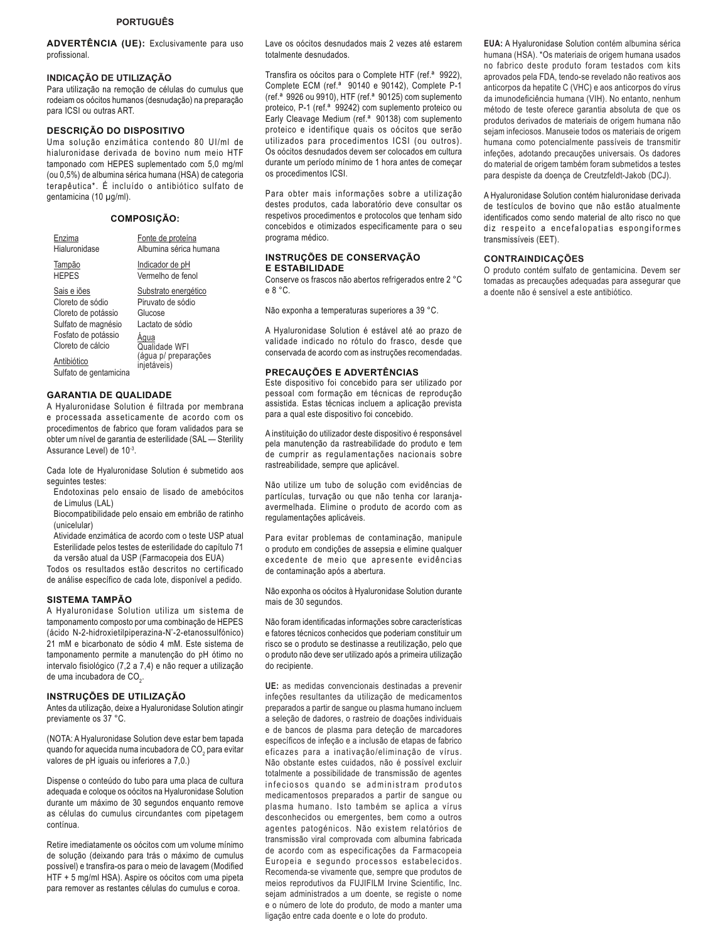**ADVERTÊNCIA (UE):** Exclusivamente para uso profissional.

### **INDICAÇÃO DE UTILIZAÇÃO**

Para utilização na remoção de células do cumulus que rodeiam os oócitos humanos (desnudação) na preparação para ICSI ou outras ART.

### **DESCRIÇÃO DO DISPOSITIVO**

Uma solução enzimática contendo 80 UI/ml de hialuronidase derivada de bovino num meio HTF tamponado com HEPES suplementado com 5,0 mg/ml (ou 0,5%) de albumina sérica humana (HSA) de categoria terapêutica\*. É incluído o antibiótico sulfato de gentamicina (10 μg/ml).

#### **COMPOSIÇÃO:**

| Enzima                 | Fonte de proteína      |
|------------------------|------------------------|
| Hialuronidase          | Albumina sérica humana |
| Tampão                 | Indicador de pH        |
| <b>HFPFS</b>           | Vermelho de fenol      |
| Sais e iões            | Substrato energético   |
| Cloreto de sódio       | Piruvato de sódio      |
| Cloreto de potássio    | Glucose                |
| Sulfato de magnésio    | Lactato de sódio       |
| Fosfato de potássio    | Aaua                   |
| Cloreto de cálcio      | Qualidade WFI          |
| Antibiótico            | (água p/ preparações   |
| Sulfato de gentamicina | injetáveis)            |

### **GARANTIA DE QUALIDADE**

A Hyaluronidase Solution é filtrada por membrana e processada asseticamente de acordo com os procedimentos de fabrico que foram validados para se obter um nível de garantia de esterilidade (SAL — Sterility Assurance Level) de 10-3.

Cada lote de Hyaluronidase Solution é submetido aos sequintes testes:

Endotoxinas pelo ensaio de lisado de amebócitos de Limulus (LAL)

Biocompatibilidade pelo ensaio em embrião de ratinho (unicelular)

Atividade enzimática de acordo com o teste USP atual Esterilidade pelos testes de esterilidade do capítulo 71

da versão atual da USP (Farmacopeia dos EUA) Todos os resultados estão descritos no certificado de análise específico de cada lote, disponível a pedido.

### **SISTEMA TAMPÃO**

A Hyaluronidase Solution utiliza um sistema de tamponamento composto por uma combinação de HEPES (ácido N-2-hidroxietilpiperazina-N'-2-etanossulfónico) 21 mM e bicarbonato de sódio 4 mM. Este sistema de tamponamento permite a manutenção do pH ótimo no intervalo fisiológico (7,2 a 7,4) e não requer a utilização de uma incubadora de CO $_{\textrm{\tiny{2}}}$ .

### **INSTRUÇÕES DE UTILIZAÇÃO**

Antes da utilização, deixe a Hyaluronidase Solution atingir previamente os 37 °C.

(NOTA: A Hyaluronidase Solution deve estar bem tapada quando for aquecida numa incubadora de CO $_{\rm 2}$  para evitar valores de pH iguais ou inferiores a 7,0.)

Dispense o conteúdo do tubo para uma placa de cultura adequada e coloque os oócitos na Hyaluronidase Solution durante um máximo de 30 segundos enquanto remove as células do cumulus circundantes com pipetagem contínua.

Retire imediatamente os oócitos com um volume mínimo de solução (deixando para trás o máximo de cumulus possível) e transfira-os para o meio de lavagem (Modified HTF + 5 mg/ml HSA). Aspire os oócitos com uma pipeta para remover as restantes células do cumulus e coroa.

Lave os oócitos desnudados mais 2 vezes até estarem totalmente desnudados.

Transfira os oócitos para o Complete HTF (ref.ª 9922), Complete ECM (ref.ª 90140 e 90142), Complete P-1 (ref.ª 9926 ou 9910), HTF (ref.ª 90125) com suplemento proteico, P-1 (ref.ª 99242) com suplemento proteico ou Early Cleavage Medium (ref.ª 90138) com suplemento proteico e identifique quais os oócitos que serão utilizados para procedimentos ICSI (ou outros). Os oócitos desnudados devem ser colocados em cultura durante um período mínimo de 1 hora antes de começar os procedimentos ICSI.

Para obter mais informações sobre a utilização destes produtos, cada laboratório deve consultar os respetivos procedimentos e protocolos que tenham sido concebidos e otimizados especificamente para o seu programa médico.

### **INSTRUÇÕES DE CONSERVAÇÃO E ESTABILIDADE**

Conserve os frascos não abertos refrigerados entre 2 °C e 8 °C.

Não exponha a temperaturas superiores a 39 °C.

A Hyaluronidase Solution é estável até ao prazo de validade indicado no rótulo do frasco, desde que conservada de acordo com as instruções recomendadas.

#### **PRECAUÇÕES E ADVERTÊNCIAS**

Este dispositivo foi concebido para ser utilizado por pessoal com formação em técnicas de reprodução assistida. Estas técnicas incluem a aplicação prevista para a qual este dispositivo foi concebido.

A instituição do utilizador deste dispositivo é responsável pela manutenção da rastreabilidade do produto e tem de cumprir as regulamentações nacionais sobre rastreabilidade, sempre que aplicável.

Não utilize um tubo de solução com evidências de partículas, turvação ou que não tenha cor laranjaavermelhada. Elimine o produto de acordo com as regulamentações aplicáveis.

Para evitar problemas de contaminação, manipule o produto em condições de assepsia e elimine qualquer excedente de meio que apresente evidências de contaminação após a abertura.

Não exponha os oócitos à Hyaluronidase Solution durante mais de 30 segundos.

Não foram identificadas informações sobre características e fatores técnicos conhecidos que poderiam constituir um risco se o produto se destinasse a reutilização, pelo que o produto não deve ser utilizado após a primeira utilização do recipiente.

**UE:** as medidas convencionais destinadas a prevenir infeções resultantes da utilização de medicamentos preparados a partir de sangue ou plasma humano incluem a seleção de dadores, o rastreio de doações individuais e de bancos de plasma para deteção de marcadores específicos de infeção e a inclusão de etapas de fabrico eficazes para a inativação/eliminação de vírus. Não obstante estes cuidados, não é possível excluir totalmente a possibilidade de transmissão de agentes infeciosos quando se administram produtos medicamentosos preparados a partir de sangue ou plasma humano. Isto também se aplica a vírus desconhecidos ou emergentes, bem como a outros agentes patogénicos. Não existem relatórios de transmissão viral comprovada com albumina fabricada de acordo com as especificações da Farmacopeia Europeia e segundo processos estabelecidos. Recomenda-se vivamente que, sempre que produtos de meios reprodutivos da FUJIFILM Irvine Scientific, Inc. sejam administrados a um doente, se registe o nome e o número de lote do produto, de modo a manter uma ligação entre cada doente e o lote do produto.

**EUA:** A Hyaluronidase Solution contém albumina sérica humana (HSA). \*Os materiais de origem humana usados no fabrico deste produto foram testados com kits aprovados pela FDA, tendo-se revelado não reativos aos anticorpos da hepatite C (VHC) e aos anticorpos do vírus da imunodeficiência humana (VIH). No entanto, nenhum método de teste oferece garantia absoluta de que os produtos derivados de materiais de origem humana não sejam infeciosos. Manuseie todos os materiais de origem humana como potencialmente passíveis de transmitir infeções, adotando precauções universais. Os dadores do material de origem também foram submetidos a testes para despiste da doença de Creutzfeldt-Jakob (DCJ).

A Hyaluronidase Solution contém hialuronidase derivada de testículos de bovino que não estão atualmente identificados como sendo material de alto risco no que diz respeito a encefalopatias espongiformes transmissíveis (EET).

## **CONTRAINDICAÇÕES**

O produto contém sulfato de gentamicina. Devem ser tomadas as precauções adequadas para assegurar que a doente não é sensível a este antibiótico.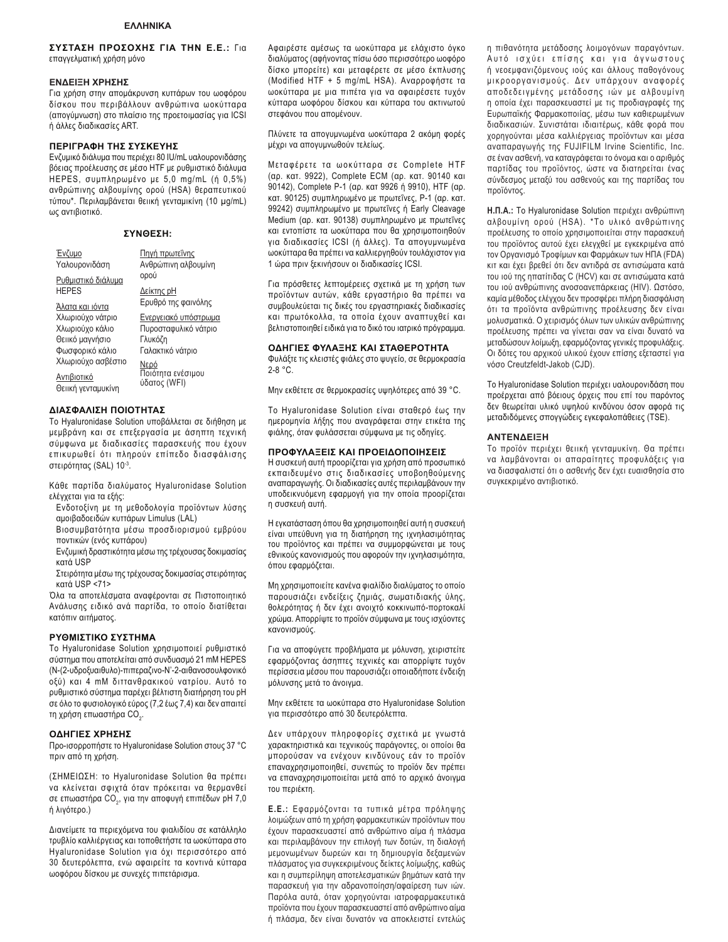### ΣΥΣΤΑΣΗ ΠΡΟΣΟΧΗΣ ΓΙΑ ΤΗΝ Ε.Ε.: Για επαγγελματική χρήση μόνο

#### **ΕΝΔΕΙΞΗ ΧΡΗΣΗΣ**

Για χρήση στην απομάκρυνση κυττάρων του ωοφόρου δίσκου που περιβάλλουν ανθρώπινα ωοκύτταρα (απογύμνωση) στο πλαίσιο της προετοιμασίας για ICSI ή άλλες διαδικασίες ART.

#### **ΠΕΡΙΓΡΑΦΗ ΤΗΣ ΣΥΣΚΕΥΗΣ**

Ενζυμικό διάλυμα που περιέχει 80 IU/mL υαλουρονιδάσης βόειας προέλευσης σε μέσο HTF με ρυθμιστικό διάλυμα HEPES, συμπληρωμένο με 5,0 mg/mL (ή 0,5%) ανθρώπινης αλβουμίνης ορού (HSA) θεραπευτικού τύπου\*. Περιλαμβάνεται θειική γενταμικίνη (10 μg/mL) ως αντιβιοτικό.

| ΣΥΝΘΕΣΗ: |  |
|----------|--|
|----------|--|

ooú Δείκτης pH Ερυθρό της φαινόλης <u>Ενεργειακό υπόστρωμα</u> Πυροσταφυλικό νάτριο

Πηγή πρωτεΐνης Ανθρώπινη αλβουμίνη

| Evζuuo<br>Υαλουρονιδάση |
|-------------------------|
| Ρυθμιστικό διάλυμα      |
| <b>HEPES</b>            |

HEPES

<u>Άλατα και ιόντα</u> Χλωριούχο νάτριο Χλωριούχο κάλιο Θειικό μαγνήσιο Φωσφορικό κάλιο Χλωριούχο ασβέστιο

Aντιβιοτικό Θειική γενταμυκίνη

Γλυκόζη Γαλακτικό νάτριο <u>Νερό</u><br>Ποιότητα ενέσιμου ύδατος (WFI)

#### $\blacksquare$ ΙΑΣΦΑΛΙΣΗ ΠΟΙΟΤΗΤΑΣ

To Hyaluronidase Solution υποβάλλεται σε διήθηση με μεμβράνη και σε επεξεργασία με άσηπτη τεχνική σύμφωνα με διαδικασίες παρασκευής που έχουν επικυρωθεί ότι πληρούν επίπεδο διασφάλισης στειρότητας (SAL) 10-3.

Κάθε παρτίδα διαλύματος Hyaluronidase Solution ελέγχεται για τα εξής:

- Ενδοτοξίνη με τη μεθοδολογία προϊόντων λύσης αμοιβαδοειδών κυττάρων Limulus (LAL)
- **Βιοσυμβατότητα μέσω προσδιορισμού εμβρύου** ποντικών (ενός κυττάρου)

Ενζυμική δραστικότητα μέσω της τρέχουσας δοκιμασίας κατά USP

Στειρότητα μέσω της τρέχουσας δοκιμασίας στειρότητας κατά USP <71>

Όλα τα αποτελέσματα αναφέρονται σε Πιστοποιητικό Ανάλυσης ειδικό ανά παρτίδα, το οποίο διατίθεται κατόπιν αιτήματος.

#### PYΘΜΙΣΤΙΚΟ ΣΥΣΤΗΜΑ

To Hyaluronidase Solution χρησιμοποιεί ρυθμιστικό σύστημα που αποτελείται από συνδυασμό 21 mM HEPES (Ν-(2-υδροξυαιθυλο)-πιπεραζινο-Ν'-2-αιθανοσουλφονικό οξύ) και 4 mM διττανθρακικού νατρίου. Αυτό το ρυθμιστικό σύστημα παρέχει βέλτιστη διατήρηση του pH σε όλο το φυσιολογικό εύρος (7,2 έως 7,4) και δεν απαιτεί τη χρήση επωαστήρα CO<sub>2</sub>.

#### **ΟΔΗΓΙΕΣ ΧΡΗΣΗΣ**

Προ-ισορροπήστε το Hyaluronidase Solution στους 37 °C πριν από τη χρήση.

(ΣΗΜΕΙΩΣΗ: το Hyaluronidase Solution θα πρέπει να κλείνεται σφιχτά όταν πρόκειται να θερμανθεί σε επωαστήρα CO<sub>2</sub>, για την αποφυγή επιπέδων pH 7,0 ή λιγότερο.)

Διανείμετε τα περιεχόμενα του φιαλιδίου σε κατάλληλο τρυβλίο καλλιέργειας και τοποθετήστε τα ωοκύτταρα στο Hyaluronidase Solution για όχι περισσότερο από 30 δευτερόλεπτα, ενώ αφαιρείτε τα κοντινά κύτταρα ωοφόρου δίσκου με συνεχές πιπετάρισμα.

Aφαιρέστε αμέσως τα ωοκύτταρα με ελάγιστο όνκο διαλύματος (αφήνοντας πίσω όσο περισσότερο ωοφόρο δίσκο μπορείτε) και μεταφέρετε σε μέσο έκπλυσης (Modified HTF + 5 mg/mL HSA). Αναρροφήστε τα ωοκύτταρα με μια πιπέτα για να αφαιρέσετε τυχόν κύτταρα ωοφόρου δίσκου και κύτταρα του ακτινωτού στεφάνου που απομένουν.

Πλύνετε τα απογυμνωμένα ωοκύτταρα 2 ακόμη φορές μέχρι να απογυμνωθούν τελείως.

Μεταφέρετε τα ωοκύτταρα σε Complete HTF (αρ. κατ. 9922), Complete ECM (αρ. κατ. 90140 και 90142), Complete P-1 (ap. kat 9926 ή 9910), HTF (ap. κατ. 90125) συμπληρωμένο με πρωτεΐνες, Ρ-1 (αρ. κατ. 99242) συμπληρωμένο με πρωτεΐνες ή Early Cleavage Medium (αρ. κατ. 90138) συμπληρωμένο με πρωτεΐνες και εντοπίστε τα ωοκύτταρα που θα χρησιμοποιηθούν για διαδικασίες ICSI (ή άλλες). Τα απογυμνωμένα ωοκύτταρα θα πρέπει να καλλιεργηθούν τουλάχιστον για 1 ώρα πριν ξεκινήσουν οι διαδικασίες ICSI.

Για πρόσθετες λεπτομέρειες σχετικά με τη χρήση των προϊόντων αυτών, κάθε εργαστήριο θα πρέπει να συμβουλεύεται τις δικές του εργαστηριακές διαδικασίες και πρωτόκολλα, τα οποία έχουν αναπτυχθεί και βελτιστοποιηθεί ειδικά για το δικό του ιατρικό πρόγραμμα.

#### **ΟΔΗΓΙΕΣ ΦΥΛΑΞΗΣ ΚΑΙ ΣΤΑΘΕΡΟΤΗΤΑ**

Φυλάξτε τις κλειστές φιάλες στο ψυγείο, σε θερμοκρασία 2-8 °C.

Mην εκθέτετε σε θερμοκρασίες υψηλότερες από 39 °C.

Το Hyaluronidase Solution είναι σταθερό έως την ημερομηνία λήξης που αναγράφεται στην ετικέτα της φιάλης, όταν φυλάσσεται σύμφωνα με τις οδηγίες.

#### ΠΡΟΦΥΛΑΞΕΙΣ ΚΑΙ ΠΡΟΕΙΔΟΠΟΙΗΣΕΙΣ

Η συσκευή αυτή προορίζεται για χρήση από προσωπικό εκπαιδευμένο στις διαδικασίες υποβοηθούμενης αναπαραγωγής. Οι διαδικασίες αυτές περιλαμβάνουν την υποδεικνυόμενη εφαρμογή για την οποία προορίζεται η συσκευή αυτή.

H εγκατάσταση όπου θα χρησιμοποιηθεί αυτή η συσκευή είναι υπεύθυνη για τη διατήρηση της ιχνηλασιμότητας του προϊόντος και πρέπει να συμμορφώνεται με τους εθνικούς κανονισμούς που αφορούν την ιχνηλασιμότητα, όπου εφαρμόζεται.

Μη χρησιμοποιείτε κανένα φιαλίδιο διαλύματος το οποίο παρουσιάζει ενδείξεις ζημιάς, σωματιδιακής ύλης, θολερότητας ή δεν έχει ανοιχτό κοκκινωπό-πορτοκαλί χρώμα. Απορρίψτε το προϊόν σύμφωνα με τους ισχύοντες κανονισμούς.

Για να αποφύγετε προβλήματα με μόλυνση, χειριστείτε εφαρμόζοντας άσηπτες τεχνικές και απορρίψτε τυχόν περίσσεια μέσου που παρουσιάζει οποιαδήποτε ένδειξη μόλυνσης μετά το άνοιγμα.

Mην εκθέτετε τα ωοκύτταρα στο Hyaluronidase Solution για περισσότερο από 30 δευτερόλεπτα.

Δεν υπάρχουν πληροφορίες σχετικά με γνωστά χαρακτηριστικά και τεχνικούς παράγοντες, οι οποίοι θα μπορούσαν να ενέχουν κινδύνους εάν το προϊόν επαναχρησιμοποιηθεί, συνεπώς το προϊόν δεν πρέπει να επαναχρησιμοποιείται μετά από το αρχικό άνοιγμα *<u>ΤΟΗ</u> ΠΕΟΙ*έκτη

**E.E.:** Εφαρμόζονται τα τυπικά μέτρα πρόληψης λοιμώξεων από τη χρήση φαρμακευτικών προϊόντων που έχουν παρασκευαστεί από ανθρώπινο αίμα ή πλάσμα και περιλαμβάνουν την επιλογή των δοτών, τη διαλογή μεμονωμένων δωρεών και τη δημιουργία δεξαμενών πλάσματος για συγκεκριμένους δείκτες λοίμωξης, καθώς και η συμπερίληψη αποτελεσματικών βημάτων κατά την παρασκευή για την αδρανοποίηση/αφαίρεση των ιών. Παρόλα αυτά, όταν χορηγούνται ιατροφαρμακευτικά προϊόντα που έχουν παρασκευαστεί από ανθρώπινο αίμα ή πλάσμα, δεν είναι δυνατόν να αποκλειστεί εντελώς η πιθανότητα μετάδοσης λοιμογόνων παραγόντων. Αυτό ισχύει επίσης και για άγνωστους ή νεοεμφανιζόμενους ιούς και άλλους παθογόνους μικροοργανισμούς. Δεν υπάρχουν αναφορές αποδεδειγμένης μετάδοσης ιών με αλβουμίνη η οποία έχει παρασκευαστεί με τις προδιαγραφές της Ευρωπαϊκής Φαρμακοποιίας, μέσω των καθιερωμένων διαδικασιών. Συνιστάται ιδιαιτέρως, κάθε φορά που χορηγούνται μέσα καλλιέργειας προϊόντων και μέσα αναπαραγωγής της FUJIFILM Irvine Scientific, Inc. σε έναν ασθενή, να καταγράφεται το όνομα και ο αριθμός παρτίδας του προϊόντος, ώστε να διατηρείται ένας σύνδεσμος μεταξύ του ασθενούς και της παρτίδας του προϊόντος.

**Η.Π.Α.: Το Hyaluronidase Solution περιέχει ανθρώπινη** αλβουμίνη ορού (HSA). \*Το υλικό ανθρώπινης προέλευσης το οποίο χρησιμοποιείται στην παρασκευή του προϊόντος αυτού έχει ελεγχθεί με εγκεκριμένα από τον Οργανισμό Τροφίμων και Φαρμάκων των ΗΠΑ (FDA) κιτ και έχει βρεθεί ότι δεν αντιδρά σε αντισώματα κατά του ιού της ηπατίτιδας C (HCV) και σε αντισώματα κατά του ιού ανθρώπινης ανοσοανεπάρκειας (HIV). Ωστόσο, καμία μέθοδος ελέγχου δεν προσφέρει πλήρη διασφάλιση ότι τα προϊόντα ανθρώπινης προέλευσης δεν είναι μολυσματικά. Ο χειρισμός όλων των υλικών ανθρώπινης προέλευσης πρέπει να γίνεται σαν να είναι δυνατό να μεταδώσουν λοίμωξη, εφαρμόζοντας γενικές προφυλάξεις. Οι δότες του αρχικού υλικού έχουν επίσης εξεταστεί για νόσο Creutzfeldt-Jakob (CJD).

Το Hyaluronidase Solution περιέχει υαλουρονιδάση που προέρχεται από βόειους όρχεις που επί του παρόντος δεν θεωρείται υλικό υψηλού κινδύνου όσον αφορά τις μεταδιδόμενες σπογγώδεις εγκεφαλοπάθειες (TSE).

#### **ANTENAEIEH**

Το προϊόν περιέχει θειική γενταμυκίνη. Θα πρέπει να λαμβάνονται οι απαραίτητες προφυλάξεις για να διασφαλιστεί ότι ο ασθενής δεν έχει ευαισθησία στο συνκεκριμένο αντιβιοτικό.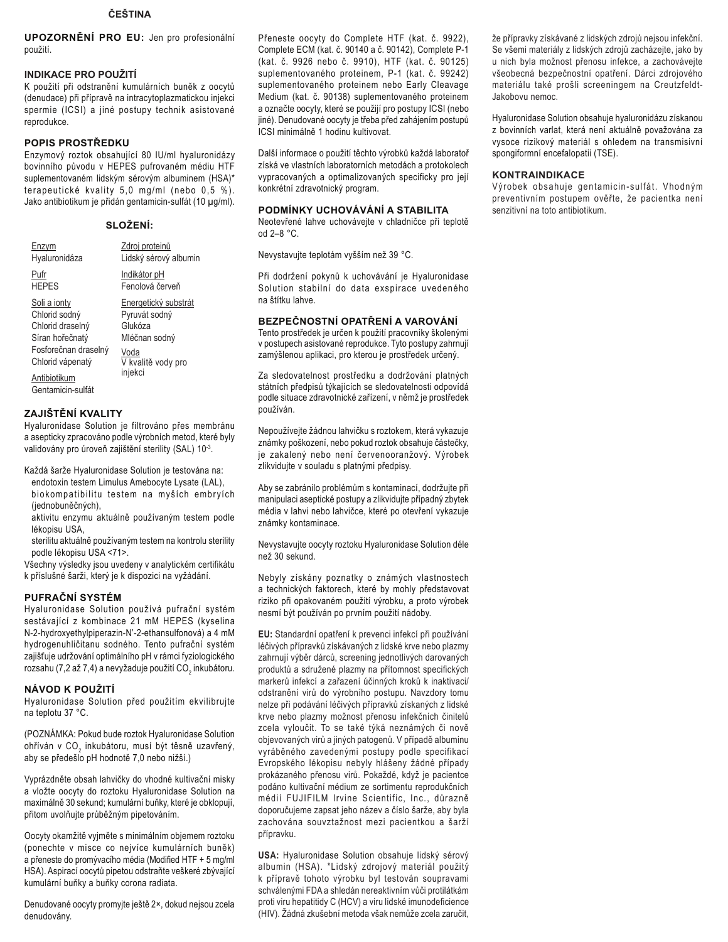## ČEŠTINA

**UPOZORNĚNÍ PRO EU: Jen pro profesionální** použití.

## **INDIKACE PRO POUŽITÍ**

K použití při odstranění kumulárních buněk z oocytů (denudace) při přípravě na intracytoplazmatickou injekci spermie (ICSI) a jiné postupy technik asistované reprodukce.

## POPIS PROSTŘEDKU

Enzymový roztok obsahující 80 IU/ml hyaluronidázy bovinního původu v HEPES pufrovaném médiu HTF suplementovaném lidským sérovým albuminem (HSA)\* terapeutické kvality 5,0 mg/ml (nebo 0,5 %). Jako antibiotikum je přidán gentamicin-sulfát (10 µg/ml).

## SLOŽENÍ:

| Enzvm                | Zdroj proteinů        |
|----------------------|-----------------------|
| Hyaluronidáza        | Lidský sérový albumin |
| Pufr                 | Indikátor pH          |
| <b>HEPES</b>         | Fenolová červeň       |
| Soli a jonty         | Energetický substrát  |
| Chlorid sodný        | Pyruvát sodný         |
| Chlorid draselný     | Glukóza               |
| Síran hořečnatý      | Mléčnan sodný         |
| Fosforečnan draselný | Voda                  |
| Chlorid vápenatý     | V kvalitě vody pro    |
| Antibiotikum         | injekci               |
| Gentamicin-sulfát    |                       |

## ZAJIŠTĚNÍ KVALITY

Hyaluronidase Solution je filtrováno přes membránu a asepticky zpracováno podle výrobních metod, které byly validovány pro úroveň zajištění sterility (SAL) 10-3.

Každá šarže Hyaluronidase Solution je testována na:

endotoxin testem Limulus Amebocyte Lysate (LAL), biokompatibilitu testem na myších embryích (jednobuněčných),

aktivitu enzymu aktuálně používaným testem podle lékopisu USA,

sterilitu aktuálně používaným testem na kontrolu sterility podle lékopisu USA <71>.

Všechny výsledky jsou uvedeny v analytickém certifikátu k příslušné šarži, který je k dispozici na vyžádání.

## PUFRAČNÍ SYSTÉM

Hyaluronidase Solution používá pufrační systém sestávající z kombinace 21 mM HEPES (kyselina N-2-hydroxyethylpiperazin-N'-2-ethansulfonová) a 4 mM hydrogenuhličitanu sodného. Tento pufrační systém zajišťuje udržování optimálního pH v rámci fyziologického rozsahu (7,2 až 7,4) a nevyžaduje použití CO<sub>2</sub> inkubátoru.

## NÁVOD K POUŽITÍ

Hyaluronidase Solution před použitím ekvilibrujte na teplotu 37 °C.

(POZNÁMKA: Pokud bude roztok Hyaluronidase Solution ohříván v CO<sub>2</sub> inkubátoru, musí být těsně uzavřený, aby se předešlo pH hodnotě 7,0 nebo nižší.)

Vyprázdněte obsah lahvičky do vhodné kultivační misky a vložte oocyty do roztoku Hyaluronidase Solution na maximálně 30 sekund; kumulární buňky, které je obklopují, přitom uvolňujte průběžným pipetováním.

Oocyty okamžitě vyjměte s minimálním objemem roztoku (ponechte v misce co nejvíce kumulárních buněk) a přeneste do promývacího média (Modified HTF + 5 mg/ml HSA). Aspirací oocytů pipetou odstraňte veškeré zbývající kumulární buňky a buňky corona radiata.

Denudované oocyty promyjte ještě 2×, dokud nejsou zcela denudovány.

Přeneste oocyty do Complete HTF (kat. č. 9922), Complete ECM (kat. č. 90140 a č. 90142), Complete P-1 (kat. č. 9926 nebo č. 9910), HTF (kat. č. 90125) suplementovaného proteinem, P-1 (kat. č. 99242) suplementovaného proteinem nebo Early Cleavage Medium (kat. č. 90138) suplementovaného proteinem a označte oocyty, které se použijí pro postupy ICSI (nebo jiné). Denudované oocyty je třeba před zahájením postupů ICSI minimálně 1 hodinu kultivovat.

Další informace o použití těchto výrobků každá laboratoř získá ve vlastních laboratorních metodách a protokolech vypracovaných a optimalizovaných specificky pro její konkrétní zdravotnický program.

## PODMÍNKY UCHOVÁVÁNÍ A STABILITA

Neotevřené lahve uchovávejte v chladničce při teplotě od 2-8 °C.

Nevystavujte teplotám vyšším než 39 °C.

Při dodržení pokynů k uchovávání je Hyaluronidase Solution stabilní do data exspirace uvedeného na štítku lahve

## BEZPEČNOSTNÍ OPATŘENÍ A VAROVÁNÍ

Tento prostředek je určen k použití pracovníky školenými v postupech asistované reprodukce. Tyto postupy zahrnují zamýšlenou aplikaci, pro kterou je prostředek určený.

Za sledovatelnost prostředku a dodržování platných státních předpisů týkajících se sledovatelnosti odpovídá podle situace zdravotnické zařízení, v němž je prostředek používán.

Nepoužívejte žádnou lahvičku s roztokem, která vykazuje známky poškození, nebo pokud roztok obsahuje částečky, je zakalený nebo není červenooranžový. Výrobek zlikvidujte v souladu s platnými předpisy.

Aby se zabránilo problémům s kontaminací, dodržujte při manipulaci aseptické postupy a zlikvidujte případný zbytek média v lahvi nebo lahvičce, které po otevření vykazuje známky kontaminace.

Nevystavujte oocyty roztoku Hyaluronidase Solution déle než 30 sekund.

Nebyly získány poznatky o známých vlastnostech a technických faktorech, které by mohly představovat riziko při opakovaném použití výrobku, a proto výrobek nesmí být používán po prvním použití nádoby.

EU: Standardní opatření k prevenci infekcí při používání léčivých přípravků získávaných z lidské krve nebo plazmy zahrnují výběr dárců, screening jednotlivých darovaných produktů a sdružené plazmy na přítomnost specifických markerů infekcí a zařazení účinných kroků k inaktivaci/ odstranění virů do výrobního postupu. Navzdory tomu nelze při podávání léčivých přípravků získaných z lidské krve nebo plazmy možnost přenosu infekčních činitelů zcela vyloučit. To se také týká neznámých či nově objevovaných virů a jiných patogenů. V případě albuminu vyráběného zavedenými postupy podle specifikací Evropského lékopisu nebyly hlášeny žádné případy prokázaného přenosu virů. Pokaždé, když je pacientce podáno kultivační médium ze sortimentu reprodukčních médií FUJIFILM Irvine Scientific, Inc., důrazně doporučujeme zapsat jeho název a číslo šarže, aby byla zachována souvztažnost mezi pacientkou a šarží přípravku.

USA: Hyaluronidase Solution obsahuje lidský sérový albumin (HSA). \*Lidský zdrojový materiál použitý k přípravě tohoto výrobku byl testován soupravami schválenými FDA a shledán nereaktivním vůči protilátkám proti viru hepatitidy C (HCV) a viru lidské imunodeficience (HIV). Žádná zkušební metoda však nemůže zcela zaručit,

že přípravky získávané z lidských zdrojů nejsou infekční. Se všemi materiály z lidských zdrojů zacházejte, jako by u nich byla možnost přenosu infekce, a zachovávejte všeobecná bezpečnostní opatření. Dárci zdrojového materiálu také prošli screeningem na Creutzfeldt-Jakobovu nemoc.

Hyaluronidase Solution obsahuje hyaluronidázu získanou z bovinních varlat, která není aktuálně považována za vysoce rizikový materiál s ohledem na transmisivní spongiformní encefalopatii (TSE).

## **KONTRAINDIKACE**

Výrobek obsahuje gentamicin-sulfát. Vhodným preventivním postupem ověřte, že pacientka není senzitivní na toto antibiotikum.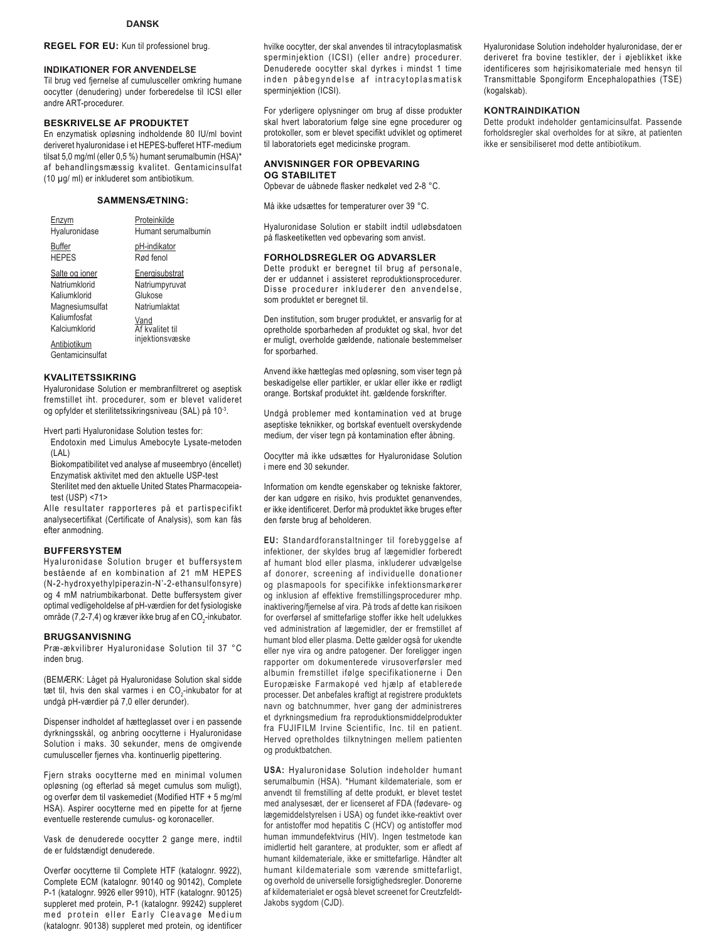### **REGEL FOR EU:** Kun til professionel brug.

#### **INDIKATIONER FOR ANVENDELSE**

Til brug ved fiernelse af cumulusceller omkring humane oocytter (denudering) under forberedelse til ICSI eller andre ART-procedurer.

## **BESKRIVELSE AF PRODUKTET**

En enzymatisk opløsning indholdende 80 IU/ml bovint deriveret hyaluronidase i et HEPES-bufferet HTF-medium tilsat 5,0 mg/ml (eller 0,5 %) humant serumalbumin (HSA)\* af behandlingsmæssig kvalitet. Gentamicinsulfat (10 μg/ ml) er inkluderet som antibiotikum.

#### **SAMMENSÆTNING:**

| Enzvm            | Proteinkilde        |
|------------------|---------------------|
| Hyaluronidase    | Humant serumalbumin |
| Buffer           | pH-indikator        |
| <b>HEPES</b>     | Rød fenol           |
| Salte og ioner   | Energisubstrat      |
| Natriumklorid    | Natriumpyruvat      |
| Kaliumklorid     | Glukose             |
| Magnesiumsulfat  | Natriumlaktat       |
| Kaliumfosfat     | Vand                |
| Kalciumklorid    | Af kvalitet til     |
| Antibiotikum     | injektionsvæske     |
| Gentamicinsulfat |                     |

#### **KVALITETSSIKRING**

Hyaluronidase Solution er membranfiltreret og aseptisk fremstillet iht. procedurer, som er blevet valideret og opfylder et sterilitetssikringsniveau (SAL) på 10-3.

Hvert parti Hyaluronidase Solution testes for:

Endotoxin med Limulus Amebocyte Lysate-metoden (LAL)

Biokompatibilitet ved analyse af museembryo (éncellet) Enzymatisk aktivitet med den aktuelle USP-test Sterilitet med den aktuelle United States Pharmacopeiatest (USP) <71>

Alle resultater rapporteres på et partispecifikt analysecertifikat (Certificate of Analysis), som kan fås efter anmodning.

#### **BUFFERSYSTEM**

Hyaluronidase Solution bruger et buffersystem bestående af en kombination af 21 mM HEPES (N-2-hydroxyethylpiperazin-N'-2-ethansulfonsyre) og 4 mM natriumbikarbonat. Dette buffersystem giver optimal vedligeholdelse af pH-værdien for det fysiologiske område (7,2-7,4) og kræver ikke brug af en CO<sub>2</sub>-inkubator.

#### **BRUGSANVISNING**

Præ-ækvilibrer Hyaluronidase Solution til 37 °C inden brug.

(BEMÆRK: Låget på Hyaluronidase Solution skal sidde tæt til, hvis den skal varmes i en CO<sub>2</sub>-inkubator for at undgå pH-værdier på 7,0 eller derunder).

Dispenser indholdet af hætteglasset over i en passende dyrkningsskål, og anbring oocytterne i Hyaluronidase Solution i maks. 30 sekunder, mens de omgivende cumulusceller fjernes vha. kontinuerlig pipettering.

Fjern straks oocytterne med en minimal volumen opløsning (og efterlad så meget cumulus som muligt), og overfør dem til vaskemediet (Modified HTF + 5 mg/ml HSA). Aspirer oocytterne med en pipette for at fjerne eventuelle resterende cumulus- og koronaceller.

Vask de denuderede oocytter 2 gange mere, indtil de er fuldstændigt denuderede.

Overfør oocytterne til Complete HTF (katalognr. 9922), Complete ECM (katalognr. 90140 og 90142), Complete P-1 (katalognr. 9926 eller 9910), HTF (katalognr. 90125) suppleret med protein, P-1 (katalognr. 99242) suppleret med protein eller Early Cleavage Medium (katalognr. 90138) suppleret med protein, og identificer

hvilke oocytter, der skal anvendes til intracytoplasmatisk sperminjektion (ICSI) (eller andre) procedurer. Denuderede oocytter skal dyrkes i mindst 1 time inden påbegyndelse af intracytoplasmatisk sperminjektion (ICSI).

For yderligere oplysninger om brug af disse produkter skal hvert laboratorium følge sine egne procedurer og protokoller, som er blevet specifikt udviklet og optimeret til laboratoriets eget medicinske program.

#### **ANVISNINGER FOR OPBEVARING OG STABILITET**

Opbevar de uåbnede flasker nedkølet ved 2-8 °C.

Må ikke udsættes for temperaturer over 39 °C.

Hyaluronidase Solution er stabilt indtil udløbsdatoen på flaskeetiketten ved opbevaring som anvist.

#### **FORHOLDSREGLER OG ADVARSLER**

Dette produkt er beregnet til brug af personale, der er uddannet i assisteret reproduktionsprocedurer. Disse procedurer inkluderer den anvendelse, som produktet er beregnet til.

Den institution, som bruger produktet, er ansvarlig for at opretholde sporbarheden af produktet og skal, hvor det er muligt, overholde gældende, nationale bestemmelser for sporbarhed.

Anvend ikke hætteglas med opløsning, som viser tegn på beskadigelse eller partikler, er uklar eller ikke er rødligt orange. Bortskaf produktet iht. gældende forskrifter.

Undgå problemer med kontamination ved at bruge aseptiske teknikker, og bortskaf eventuelt overskydende medium, der viser tegn på kontamination efter åbning.

Oocytter må ikke udsættes for Hyaluronidase Solution i mere end 30 sekunder.

Information om kendte egenskaber og tekniske faktorer, der kan udgøre en risiko, hvis produktet genanvendes, er ikke identificeret. Derfor må produktet ikke bruges efter den første brug af beholderen.

**EU:** Standardforanstaltninger til forebyggelse af infektioner, der skyldes brug af lægemidler forberedt af humant blod eller plasma, inkluderer udvælgelse af donorer, screening af individuelle donationer og plasmapools for specifikke infektionsmarkører og inklusion af effektive fremstillingsprocedurer mhp. inaktivering/fjernelse af vira. På trods af dette kan risikoen for overførsel af smittefarlige stoffer ikke helt udelukkes ved administration af lægemidler, der er fremstillet af humant blod eller plasma. Dette gælder også for ukendte eller nye vira og andre patogener. Der foreligger ingen rapporter om dokumenterede virusoverførsler med albumin fremstillet ifølge specifikationerne i Den Europæiske Farmakopé ved hjælp af etablerede processer. Det anbefales kraftigt at registrere produktets navn og batchnummer, hver gang der administreres et dyrkningsmedium fra reproduktionsmiddelprodukter fra FUJIFILM Irvine Scientific, Inc. til en patient. Herved opretholdes tilknytningen mellem patienten og produktbatchen.

**USA:** Hyaluronidase Solution indeholder humant serumalbumin (HSA). \*Humant kildemateriale, som er anvendt til fremstilling af dette produkt, er blevet testet med analysesæt, der er licenseret af FDA (fødevare- og lægemiddelstyrelsen i USA) og fundet ikke-reaktivt over for antistoffer mod hepatitis C (HCV) og antistoffer mod human immundefektvirus (HIV). Ingen testmetode kan imidlertid helt garantere, at produkter, som er afledt af humant kildemateriale, ikke er smittefarlige. Håndter alt humant kildemateriale som værende smittefarligt, og overhold de universelle forsigtighedsregler. Donorerne af kildematerialet er også blevet screenet for Creutzfeldt-Jakobs sygdom (CJD).

Hyaluronidase Solution indeholder hyaluronidase, der er deriveret fra bovine testikler, der i øjeblikket ikke identificeres som højrisikomateriale med hensyn til Transmittable Spongiform Encephalopathies (TSE) (kogalskab).

## **KONTRAINDIKATION**

Dette produkt indeholder gentamicinsulfat. Passende forholdsregler skal overholdes for at sikre, at patienten ikke er sensibiliseret mod dette antibiotikum.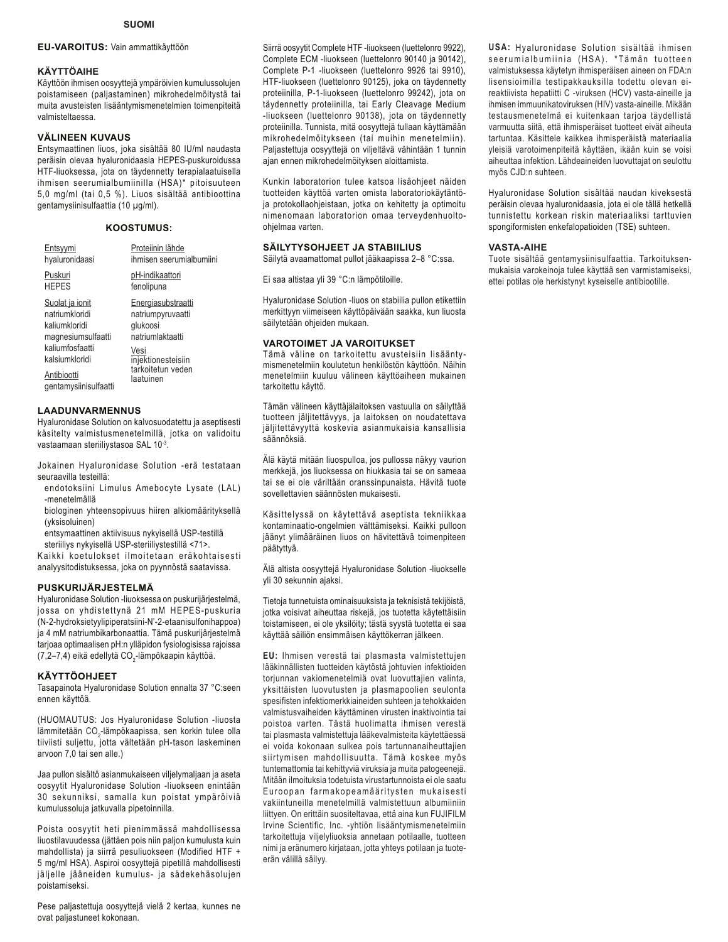### **EU-VAROITUS:** Vain ammattikäyttöön

#### **KÄYTTÖAIHE**

Käyttöön ihmisen oosyyttejä ympäröivien kumulussolujen poistamiseen (paljastaminen) mikrohedelmöitystä tai muita avusteisten lisääntymismenetelmien toimenpiteitä valmisteltaessa.

## **VÄLINEEN KUVAUS**

Entsymaattinen liuos, joka sisältää 80 IU/ml naudasta peräisin olevaa hyaluronidaasia HEPES-puskuroidussa HTF-liuoksessa, jota on täydennetty terapialaatuisella ihmisen seerumialbumiinilla (HSA)\* pitoisuuteen 5,0 mg/ml (tai 0,5 %). Liuos sisältää antibioottina gentamysiinisulfaattia (10 μg/ml).

## **KOOSTUMUS:**

| Entsyymi                                                                                                                     | Proteiinin lähde                                                                                                                        |
|------------------------------------------------------------------------------------------------------------------------------|-----------------------------------------------------------------------------------------------------------------------------------------|
| hyaluronidaasi                                                                                                               | ihmisen seerumialbumiini                                                                                                                |
| Puskuri                                                                                                                      | pH-indikaattori                                                                                                                         |
| <b>HEPES</b>                                                                                                                 | fenolipuna                                                                                                                              |
| Suolat ja ionit<br>natriumkloridi<br>kaliumkloridi<br>magnesiumsulfaatti<br>kaliumfosfaatti<br>kalsiumkloridi<br>Antibiootti | Energiasubstraatti<br>natriumpyruvaatti<br>glukoosi<br>natriumlaktaatti<br>Vesi<br>injektionesteisiin<br>tarkoitetun veden<br>laatuinen |
| gentamysiinisulfaatti                                                                                                        |                                                                                                                                         |

### **LAADUNVARMENNUS**

Hyaluronidase Solution on kalvosuodatettu ja aseptisesti käsitelty valmistusmenetelmillä, jotka on validoitu vastaamaan steriiliystasoa SAL 10-3.

Jokainen Hyaluronidase Solution -erä testataan seuraavilla testeillä:

- endotoksiini Limulus Amebocyte Lysate (LAL) -menetelmällä
- biologinen yhteensopivuus hiiren alkiomäärityksellä (yksisoluinen)
- entsymaattinen aktiivisuus nykyisellä USP-testillä

steriiliys nykyisellä USP-steriiliystestillä <71>.

Kaikki koetulokset ilmoitetaan eräkohtaisesti analyysitodistuksessa, joka on pyynnöstä saatavissa.

### **PUSKURIJÄRJESTELMÄ**

Hyaluronidase Solution -liuoksessa on puskurijärjestelmä, jossa on yhdistettynä 21 mM HEPES-puskuria (N-2-hydroksietyylipiperatsiini-N'-2-etaanisulfonihappoa) ja 4 mM natriumbikarbonaattia. Tämä puskurijärjestelmä tarjoaa optimaalisen pH:n ylläpidon fysiologisissa rajoissa (7,2–7,4) eikä edellytä CO<sub>2</sub>-lämpökaapin käyttöä.

### **KÄYTTÖOHJEET**

Tasapainota Hyaluronidase Solution ennalta 37 °C:seen ennen käyttöä.

(HUOMAUTUS: Jos Hyaluronidase Solution -liuosta lämmitetään CO<sub>2</sub>-lämpökaapissa, sen korkin tulee olla tiiviisti suljettu, jotta vältetään pH-tason laskeminen arvoon 7,0 tai sen alle.)

Jaa pullon sisältö asianmukaiseen viljelymaljaan ja aseta oosyytit Hyaluronidase Solution -liuokseen enintään 30 sekunniksi, samalla kun poistat ympäröiviä kumulussoluja jatkuvalla pipetoinnilla.

Poista oosyytit heti pienimmässä mahdollisessa liuostilavuudessa (jättäen pois niin paljon kumulusta kuin mahdollista) ja siirrä pesuliuokseen (Modified HTF + 5 mg/ml HSA). Aspiroi oosyyttejä pipetillä mahdollisesti jäljelle jääneiden kumulus- ja sädekehäsolujen poistamiseksi.

Siirrä oosyytit Complete HTF -liuokseen (luettelonro 9922), Complete ECM -liuokseen (luettelonro 90140 ja 90142), Complete P-1 -liuokseen (luettelonro 9926 tai 9910), HTF-liuokseen (luettelonro 90125), joka on täydennetty proteiinilla, P-1-liuokseen (luettelonro 99242), jota on täydennetty proteiinilla, tai Early Cleavage Medium -liuokseen (luettelonro 90138), jota on täydennetty proteiinilla. Tunnista, mitä oosyyttejä tullaan käyttämään mikrohedelmöitykseen (tai muihin menetelmiin). Paljastettuja oosyyttejä on viljeltävä vähintään 1 tunnin ajan ennen mikrohedelmöityksen aloittamista.

Kunkin laboratorion tulee katsoa lisäohjeet näiden tuotteiden käyttöä varten omista laboratoriokäytäntöja protokollaohjeistaan, jotka on kehitetty ja optimoitu nimenomaan laboratorion omaa terveydenhuoltoohjelmaa varten.

## **SÄILYTYSOHJEET JA STABIILIUS**

Säilytä avaamattomat pullot jääkaapissa 2-8 °C:ssa.

Ei saa altistaa yli 39 °C:n lämpötiloille.

Hyaluronidase Solution -liuos on stabiilia pullon etikettiin merkittyyn viimeiseen käyttöpäivään saakka, kun liuosta säilytetään ohjeiden mukaan.

#### **VAROTOIMET JA VAROITUKSET**

Tämä väline on tarkoitettu avusteisiin lisääntymismenetelmiin koulutetun henkilöstön käyttöön. Näihin menetelmiin kuuluu välineen käyttöaiheen mukainen tarkoitettu käyttö.

Tämän välineen käyttäjälaitoksen vastuulla on säilyttää tuotteen jäljitettävyys, ja laitoksen on noudatettava jäljitettävyyttä koskevia asianmukaisia kansallisia säännöksiä.

Älä käytä mitään liuospulloa, jos pullossa näkyy vaurion merkkejä, jos liuoksessa on hiukkasia tai se on sameaa tai se ei ole väriltään oranssinpunaista. Hävitä tuote sovellettavien säännösten mukaisesti.

Käsittelyssä on käytettävä aseptista tekniikkaa kontaminaatio-ongelmien välttämiseksi. Kaikki pulloon jäänyt ylimääräinen liuos on hävitettävä toimenpiteen päätyttyä.

Älä altista oosyyttejä Hyaluronidase Solution -liuokselle yli 30 sekunnin ajaksi.

Tietoja tunnetuista ominaisuuksista ja teknisistä tekijöistä. jotka voisivat aiheuttaa riskejä, jos tuotetta käytettäisiin toistamiseen, ei ole yksilöity; tästä syystä tuotetta ei saa käyttää säiliön ensimmäisen käyttökerran jälkeen.

EU: Ihmisen verestä tai plasmasta valmistettujen lääkinnällisten tuotteiden käytöstä johtuvien infektioiden torjunnan vakiomenetelmiä ovat luovuttajien valinta, yksittäisten luovutusten ja plasmapoolien seulonta spesifisten infektiomerkkiaineiden suhteen ja tehokkaiden valmistusvaiheiden käyttäminen virusten inaktivointia tai poistoa varten. Tästä huolimatta ihmisen verestä tai plasmasta valmistettuja lääkevalmisteita käytettäessä ei voida kokonaan sulkea pois tartunnanaiheuttajien siirtymisen mahdollisuutta. Tämä koskee myös tuntemattomia tai kehittyviä viruksia ja muita patogeenejä. Mitään ilmoituksia todetuista virustartunnoista ei ole saatu Euroopan farmakopeamääritysten mukaisesti vakiintuneilla menetelmillä valmistettuun albumiiniin liittyen. On erittäin suositeltavaa, että aina kun FUJIFILM Irvine Scientific, Inc. -yhtiön lisääntymismenetelmiin tarkoitettuja viljelyliuoksia annetaan potilaalle, tuotteen nimi ja eränumero kirjataan, jotta yhteys potilaan ja tuoteerän välillä säilyy.

**USA:** Hyaluronidase Solution sisältää ihmisen seerumialbumiinia (HSA). \*Tämän tuotteen valmistuksessa käytetyn ihmisperäisen aineen on FDA:n lisensioimilla testipakkauksilla todettu olevan eireaktiivista hepatiitti C -viruksen (HCV) vasta-aineille ja ihmisen immuunikatoviruksen (HIV) vasta-aineille. Mikään testausmenetelmä ei kuitenkaan tarjoa täydellistä varmuutta siitä, että ihmisperäiset tuotteet eivät aiheuta tartuntaa. Käsittele kaikkea ihmisperäistä materiaalia yleisiä varotoimenpiteitä käyttäen, ikään kuin se voisi aiheuttaa infektion. Lähdeaineiden luovuttajat on seulottu myös CJD:n suhteen.

Hyaluronidase Solution sisältää naudan kiveksestä peräisin olevaa hyaluronidaasia, jota ei ole tällä hetkellä tunnistettu korkean riskin materiaaliksi tarttuvien spongiformisten enkefalopatioiden (TSE) suhteen.

#### **VASTA-AIHE**

Tuote sisältää gentamysiinisulfaattia. Tarkoituksenmukaisia varokeinoja tulee käyttää sen varmistamiseksi, ettei potilas ole herkistynyt kyseiselle antibiootille.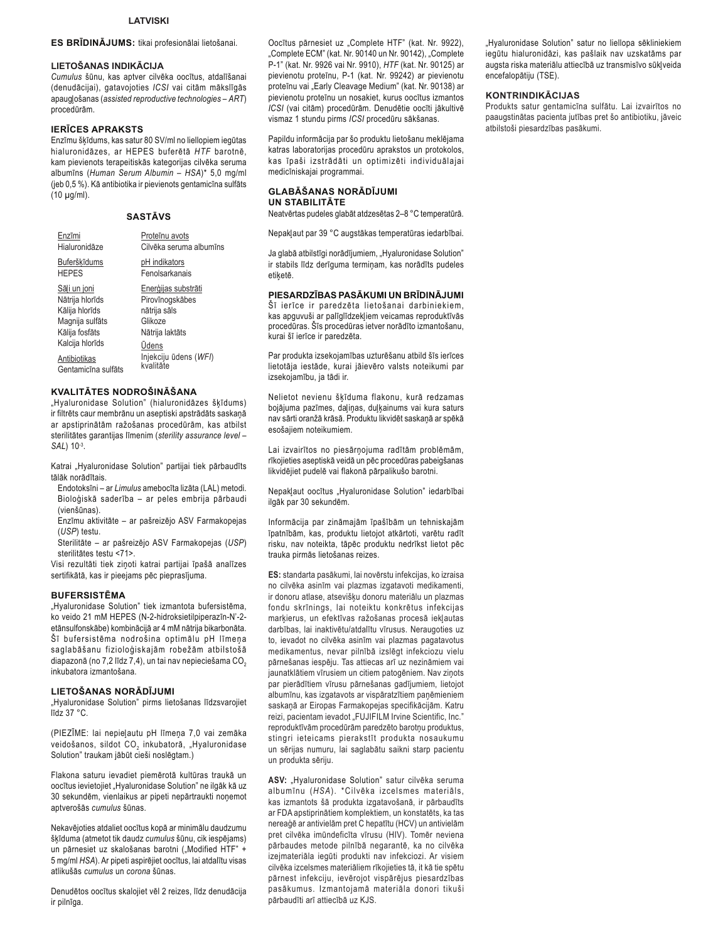#### ES BRĪDINĀJUMS: tikai profesionālai lietošanai.

## LIETOŠANAS INDIKĀCIJA

Cumulus šūnu, kas aptver cilvēka oocītus, atdalīšanai (denudācijai), gatavojoties ICSI vai citām mākslīgās apaugļošanas (assisted reproductive technologies - ART) procedūrām.

## **IERICES APRAKSTS**

Enzīmu šķīdums, kas satur 80 SV/ml no liellopiem iegūtas hialuronidāzes, ar HEPES buferētā HTF barotnē, kam pievienots terapeitiskās kategorijas cilvēka seruma albumīns (Human Serum Albumin - HSA)\* 5,0 mg/ml (jeb 0,5 %). Kā antibiotika ir pievienots gentamicīna sulfāts  $(10 \mu g/ml)$ .

### **SASTĀVS**

| Enzīmi                                                                                                    | Proteīnu avots                                                                       |
|-----------------------------------------------------------------------------------------------------------|--------------------------------------------------------------------------------------|
| Hialuronidāze                                                                                             | Cilvēka seruma albumīns                                                              |
| Buferškīdums                                                                                              | pH indikators                                                                        |
| <b>HEPES</b>                                                                                              | Fenolsarkanais                                                                       |
| Sāli un joni<br>Nātrija hlorīds<br>Kālija hlorīds<br>Magnija sulfāts<br>Kālija fosfāts<br>Kalcija hlorīds | Enerģijas substrāti<br>Pirovīnogskābes<br>nātrija sāls<br>Glikoze<br>Nātrija laktāts |
| Antibiotikas<br>Gentamicīna sulfāts                                                                       | <b>Udens</b><br>Injekciju ūdens (WFI)<br>kvalitāte                                   |

### KVALITĀTES NODROŠINĀŠANA

"Hvaluronidase Solution" (hialuronidāzes škīdums) ir filtrēts caur membrānu un aseptiski apstrādāts saskaņā ar apstiprinātām ražošanas procedūrām, kas atbilst sterilitātes garantijas līmenim (sterility assurance level -SAL) 10-3.

Katrai "Hyaluronidase Solution" partijai tiek pārbaudīts tālāk norādītais.

- Endotoksīni ar Limulus amebocīta lizāta (LAL) metodi. Bioloģiskā saderība - ar peles embrija pārbaudi (vienšūnas)
- Enzīmu aktivitāte ar pašreizējo ASV Farmakopejas (USP) testu.
- Sterilitāte ar pašreizējo ASV Farmakopejas (USP) sterilitātes testu <71>

Visi rezultāti tiek ziņoti katrai partijai īpašā analīzes sertifikātā, kas ir pieejams pēc pieprasījuma.

#### **BUFERSISTEMA**

"Hyaluronidase Solution" tiek izmantota bufersistēma, ko veido 21 mM HEPES (N-2-hidroksietilpiperazīn-N'-2etānsulfonskābe) kombinācijā ar 4 mM nātrija bikarbonāta. Šī bufersistēma nodrošina optimālu pH līmeņa saglabāšanu fizioloģiskajām robežām atbilstošā diapazonā (no 7,2 līdz 7,4), un tai nav nepieciešama CO<sub>2</sub> inkuhatora izmantošana

#### LIETOŠANAS NORĀDĪJUMI

"Hyaluronidase Solution" pirms lietošanas līdzsvarojiet līdz 37 °C.

(PIEZĪME: lai nepieļautu pH līmeņa 7,0 vai zemāka veidošanos, sildot CO<sub>2</sub> inkubatorā, "Hyaluronidase Solution" traukam jābūt cieši noslēgtam.)

Flakona saturu ievadiet piemērotā kultūras traukā un oocītus ievietojiet "Hyaluronidase Solution" ne ilgāk kā uz 30 sekundēm, vienlaikus ar pipeti nepārtraukti noņemot aptverošās cumulus šūnas.

Nekavējoties atdaliet oocītus kopā ar minimālu daudzumu šķīduma (atmetot tik daudz cumulus šūnu, cik iespējams) un pārnesiet uz skalošanas barotni ("Modified HTF" + 5 mg/ml HSA). Ar pipeti aspirējiet oocītus, lai atdalītu visas atlikušās cumulus un corona šūnas.

Denudētos oocītus skalojiet vēl 2 reizes, līdz denudācija ir pilnīga.

Oocītus pārnesiet uz "Complete HTF" (kat. Nr. 9922), "Complete ECM" (kat. Nr. 90140 un Nr. 90142), "Complete P-1" (kat. Nr. 9926 vai Nr. 9910), HTF (kat. Nr. 90125) ar pievienotu proteīnu, P-1 (kat. Nr. 99242) ar pievienotu proteīnu vai "Early Cleavage Medium" (kat. Nr. 90138) ar pievienotu proteīnu un nosakiet, kurus oocītus izmantos ICSI (vai citām) procedūrām. Denudētie oocīti jākultivē vismaz 1 stundu pirms ICSI procedūru sākšanas.

Papildu informācija par šo produktu lietošanu meklējama katras laboratorijas procedūru aprakstos un protokolos, kas īpaši izstrādāti un optimizēti individuālajai medicīniskajai programmai.

#### GLABĀŠANAS NORĀDĪJUMI **UN STABILITĀTE**

Neatvērtas pudeles glabāt atdzesētas 2-8 °C temperatūrā.

Nepaklaut par 39 °C augstākas temperatūras iedarbībai.

Ja glabā atbilstīgi norādījumiem, "Hyaluronidase Solution" ir stabils līdz derīguma terminam, kas norādīts pudeles etiketē.

### PIESARDZĪBAS PASĀKUMI UN BRĪDINĀJUMI

Šī ierīce ir paredzēta lietošanai darbiniekiem, kas apguvuši ar palīglīdzekļiem veicamas reproduktīvās procedūras. Šīs procedūras ietver norādīto izmantošanu, kurai šī ierīce ir paredzēta.

Par produkta izsekojamības uzturēšanu atbild šīs ierīces lietotāja iestāde, kurai jāievēro valsts noteikumi par izsekojamību, ja tādi ir.

Nelietot nevienu šķīduma flakonu, kurā redzamas bojājuma pazīmes, daļiņas, duļķainums vai kura saturs nav sārti oranžā krāsā. Produktu likvidēt saskaņā ar spēkā esošajiem noteikumiem.

Lai izvairītos no piesārņojuma radītām problēmām, rīkojieties aseptiskā veidā un pēc procedūras pabeigšanas likvidējiet pudelē vai flakonā pārpalikušo barotni.

Nepakļaut oocītus "Hyaluronidase Solution" iedarbībai ilgāk par 30 sekundēm.

Informācija par zināmajām īpašībām un tehniskajām īpatnībām, kas, produktu lietojot atkārtoti, varētu radīt risku, nav noteikta, tāpēc produktu nedrīkst lietot pēc trauka pirmās lietošanas reizes.

ES: standarta pasākumi, lai novērstu infekcijas, ko izraisa no cilvēka asinīm vai plazmas izgatavoti medikamenti, ir donoru atlase, atsevišķu donoru materiālu un plazmas fondu skrīnings, lai noteiktu konkrētus infekcijas marķierus, un efektīvas ražošanas procesā iekļautas darbības, lai inaktivētu/atdalītu vīrusus. Neraugoties uz to, ievadot no cilvēka asinīm vai plazmas pagatavotus medikamentus, nevar pilnībā izslēgt infekciozu vielu pārnešanas iespēju. Tas attiecas arī uz nezināmiem vai jaunatklātiem vīrusiem un citiem patogēniem. Nav zinots par pierādītiem vīrusu pārnešanas gadījumiem, lietojot albumīnu, kas izgatavots ar vispāratzītiem panēmieniem saskaņā ar Eiropas Farmakopejas specifikācijām. Katru reizi, pacientam ievadot "FUJIFILM Irvine Scientific, Inc." reproduktīvām procedūrām paredzēto barotņu produktus, stingri ieteicams pierakstīt produkta nosaukumu un sērijas numuru, lai saglabātu saikni starp pacientu un produkta sēriju.

ASV: "Hyaluronidase Solution" satur cilvēka seruma albumīnu (HSA). \*Cilvēka izcelsmes materiāls, kas izmantots šā produkta izgatavošanā, ir pārbaudīts ar FDA apstiprinātiem komplektiem, un konstatēts, ka tas nereaģē ar antivielām pret C hepatītu (HCV) un antivielām pret cilvēka imūndeficīta vīrusu (HIV). Tomēr neviena pārbaudes metode pilnībā negarantē, ka no cilvēka izejmateriāla iegūti produkti nav infekciozi. Ar visiem cilvēka izcelsmes materiāliem rīkojieties tā, it kā tie spētu pārnest infekciju, ievērojot vispārējus piesardzības pasākumus. Izmantojamā materiāla donori tikuši pārbaudīti arī attiecībā uz KJS.

"Hyaluronidase Solution" satur no liellopa sēkliniekiem iegūtu hialuronidāzi, kas pašlaik nav uzskatāms par augsta riska materiālu attiecībā uz transmisīvo sūkļveida encefalopātiju (TSE).

### **KONTRINDIKĀCIJAS**

Produkts satur gentamicīna sulfātu. Lai izvairītos no paaugstinātas pacienta jutības pret šo antibiotiku, jāveic atbilstoši piesardzības pasākumi.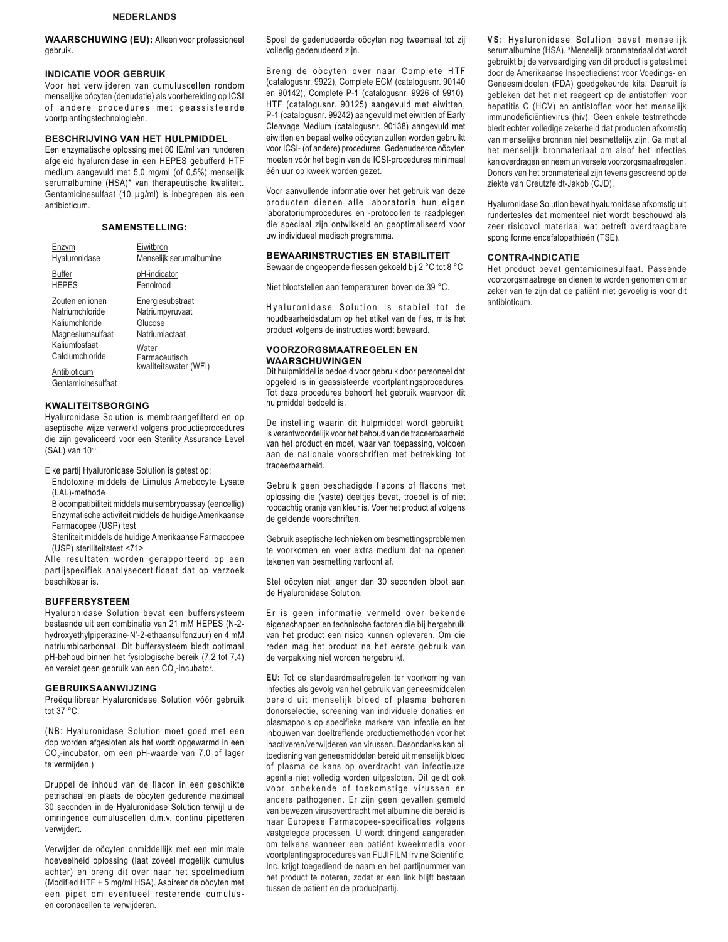## **NEDERLANDS**

**WAARSCHUWING (EU):** Alleen voor professioneel gebruik.

#### **INDICATIE VOOR GEBRUIK**

Voor het verwijderen van cumuluscellen rondom menselijke oöcyten (denudatie) als voorbereiding op ICSI of andere procedures met geassisteerde voortplantingstechnologieën.

## **BESCHRIJVING VAN HET HULPMIDDEL**

Een enzymatische oplossing met 80 IE/ml van runderen afgeleid hyaluronidase in een HEPES gebufferd HTF medium aangevuld met  $5,0$  mg/ml (of  $0,5\%$ ) menselijk serumalbumine (HSA)\* van therapeutische kwaliteit. Gentamicinesulfaat (10 μg/ml) is inbegrepen als een antibioticum.

## **SAMENSTELLING:**

| Enzvm              | Eiwitbron               |
|--------------------|-------------------------|
| Hyaluronidase      | Menselijk serumalbumine |
| <b>Buffer</b>      | pH-indicator            |
| <b>HEPES</b>       | Fenolrood               |
| Zouten en ionen    | Energiesubstraat        |
| Natriumchloride    | Natriumpyruvaat         |
| Kaliumchloride     | Glucose                 |
| Magnesiumsulfaat   | Natriumlactaat          |
| Kaliumfosfaat      | Water                   |
| Calciumchloride    | Farmaceutisch           |
| Antibioticum       | kwaliteitswater (WFI)   |
| Gentamicinesulfaat |                         |

## **KWALITEITSBORGING**

Hyaluronidase Solution is membraangefilterd en op aseptische wijze verwerkt volgens productieprocedures die zijn gevalideerd voor een Sterility Assurance Level (SAL) van 10-3.

Elke partij Hyaluronidase Solution is getest op:

- Endotoxine middels de Limulus Amebocyte Lysate (LAL)-methode
- Biocompatibiliteit middels muisembryoassay (eencellig) Enzymatische activiteit middels de huidige Amerikaanse Farmacopee (USP) test
- Steriliteit middels de huidige Amerikaanse Farmacopee (USP) steriliteitstest <71>

Alle resultaten worden gerapporteerd op een partijspecifiek analysecertificaat dat op verzoek beschikbaar is.

## **BUFFERSYSTEEM**

Hyaluronidase Solution bevat een buffersysteem bestaande uit een combinatie van 21 mM HEPES (N-2 hydroxyethylpiperazine-N'-2-ethaansulfonzuur) en 4 mM natriumbicarbonaat. Dit buffersysteem biedt optimaal pH-behoud binnen het fysiologische bereik (7,2 tot 7,4) en vereist geen gebruik van een CO<sub>2</sub>-incubator.

#### **GEBRUIKSAANWIJZING**

Preëquilibreer Hyaluronidase Solution vóór gebruik tot 37 °C.

(NB: Hyaluronidase Solution moet goed met een dop worden afgesloten als het wordt opgewarmd in een CO<sub>2</sub>-incubator, om een pH-waarde van 7,0 of lager te vermijden.)

Druppel de inhoud van de flacon in een geschikte petrischaal en plaats de oöcyten gedurende maximaal 30 seconden in de Hyaluronidase Solution terwijl u de omringende cumuluscellen d.m.v. continu pipetteren verwijdert.

Verwijder de oöcyten onmiddellijk met een minimale hoeveelheid oplossing (laat zoveel mogelijk cumulus achter) en breng dit over naar het spoelmedium (Modified HTF + 5 mg/ml HSA). Aspireer de oöcyten met een pipet om eventueel resterende cumulusen coronacellen te verwijderen.

Spoel de gedenudeerde oöcyten nog tweemaal tot zij volledig gedenudeerd zijn.

Breng de oöcyten over naar Complete HTF (catalogusnr. 9922), Complete ECM (catalogusnr. 90140 en 90142), Complete P-1 (catalogusnr. 9926 of 9910), HTF (catalogusnr. 90125) aangevuld met eiwitten, P-1 (catalogusnr. 99242) aangevuld met eiwitten of Early Cleavage Medium (catalogusnr. 90138) aangevuld met eiwitten en bepaal welke oöcyten zullen worden gebruikt voor ICSI- (of andere) procedures. Gedenudeerde oöcyten moeten vóór het begin van de ICSI-procedures minimaal één uur op kweek worden gezet.

Voor aanvullende informatie over het gebruik van deze producten dienen alle laboratoria hun eigen laboratoriumprocedures en -protocollen te raadplegen die speciaal zijn ontwikkeld en geoptimaliseerd voor uw individueel medisch programma.

### **BEWAARINSTRUCTIES EN STABILITEIT**

Bewaar de ongeopende flessen gekoeld bij 2 °C tot 8 °C.

Niet blootstellen aan temperaturen boven de 39 °C.

Hyaluronidase Solution is stabiel tot de houdbaarheidsdatum op het etiket van de fles, mits het product volgens de instructies wordt bewaard.

#### **VOORZORGSMAATREGELEN EN WAARSCHUWINGEN**

Dit hulpmiddel is bedoeld voor gebruik door personeel dat opgeleid is in geassisteerde voortplantingsprocedures. Tot deze procedures behoort het gebruik waarvoor dit hulpmiddel bedoeld is.

De instelling waarin dit hulpmiddel wordt gebruikt, is verantwoordelijk voor het behoud van de traceerbaarheid van het product en moet, waar van toepassing, voldoen aan de nationale voorschriften met betrekking tot traceerbaarheid.

Gebruik geen beschadigde flacons of flacons met oplossing die (vaste) deeltjes bevat, troebel is of niet roodachtig oranje van kleur is. Voer het product af volgens de geldende voorschriften.

Gebruik aseptische technieken om besmettingsproblemen te voorkomen en voer extra medium dat na openen tekenen van besmetting vertoont af.

Stel oöcyten niet langer dan 30 seconden bloot aan de Hyaluronidase Solution.

Er is geen informatie vermeld over bekende eigenschappen en technische factoren die bij hergebruik van het product een risico kunnen opleveren. Om die reden mag het product na het eerste gebruik van de verpakking niet worden hergebruikt.

**EU:** Tot de standaardmaatregelen ter voorkoming van infecties als gevolg van het gebruik van geneesmiddelen bereid uit menselijk bloed of plasma behoren donorselectie, screening van individuele donaties en plasmapools op specifieke markers van infectie en het inbouwen van doeltreffende productiemethoden voor het inactiveren/verwijderen van virussen. Desondanks kan bij toediening van geneesmiddelen bereid uit menselijk bloed of plasma de kans op overdracht van infectieuze agentia niet volledig worden uitgesloten. Dit geldt ook voor onbekende of toekomstige virussen en andere pathogenen. Er zijn geen gevallen gemeld van bewezen virusoverdracht met albumine die bereid is naar Europese Farmacopee-specificaties volgens vastgelegde processen. U wordt dringend aangeraden om telkens wanneer een patiënt kweekmedia voor voortplantingsprocedures van FUJIFILM Irvine Scientific, Inc. krijgt toegediend de naam en het partijnummer van het product te noteren, zodat er een link blijft bestaan tussen de patiënt en de productpartij.

VS: Hyaluronidase Solution bevat menselijk serumalbumine (HSA). \*Menselijk bronmateriaal dat wordt gebruikt bij de vervaardiging van dit product is getest met door de Amerikaanse Inspectiedienst voor Voedings- en Geneesmiddelen (FDA) goedgekeurde kits. Daaruit is gebleken dat het niet reageert op de antistoffen voor hepatitis C (HCV) en antistoffen voor het menselijk immunodeficiëntievirus (hiv). Geen enkele testmethode biedt echter volledige zekerheid dat producten afkomstig van menselijke bronnen niet besmettelijk zijn. Ga met al het menselijk bronmateriaal om alsof het infecties kan overdragen en neem universele voorzorgsmaatregelen. Donors van het bronmateriaal zijn tevens gescreend op de ziekte van Creutzfeldt-Jakob (CJD).

Hyaluronidase Solution bevat hyaluronidase afkomstig uit rundertestes dat momenteel niet wordt beschouwd als zeer risicovol materiaal wat betreft overdraagbare spongiforme encefalopathieën (TSE).

#### **CONTRA-INDICATIE**

Het product bevat gentamicinesulfaat. Passende voorzorgsmaatregelen dienen te worden genomen om er zeker van te zijn dat de patiënt niet gevoelig is voor dit antibioticum.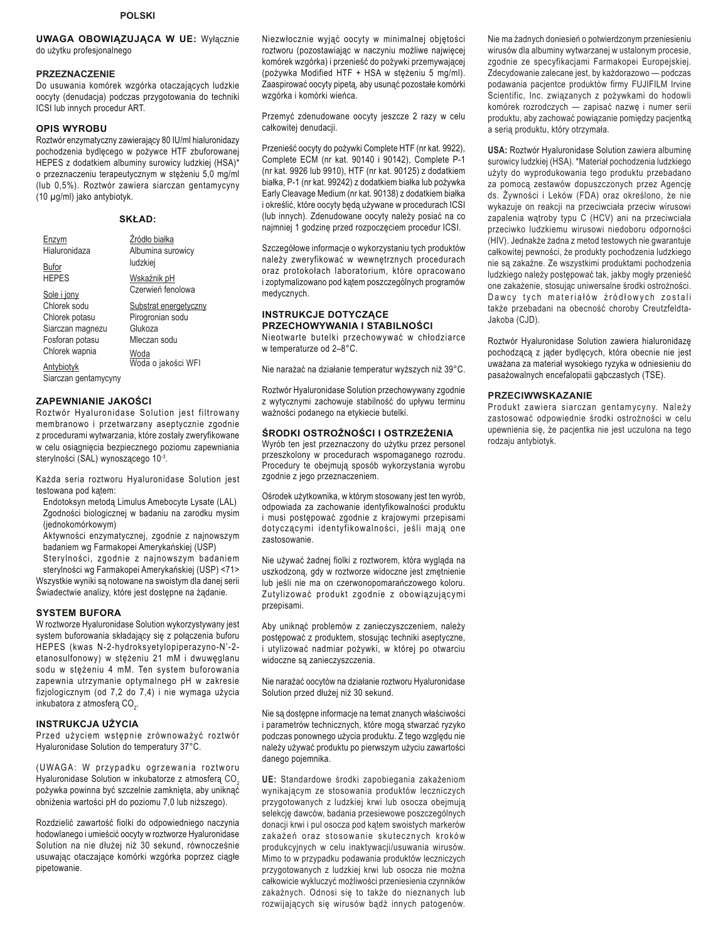## **UWAGA OBOWIĄZUJĄCA W UE: Wyłącznie** do użytku profesjonalnego

#### **PRZEZNACZENIE**

Do usuwania komórek wzgórka otaczających ludzkie oocyty (denudacja) podczas przygotowania do techniki ICSI lub innych procedur ART.

### **OPIS WYROBU**

Roztwór enzymatyczny zawierający 80 IU/ml hialuronidazy pochodzenia bydlęcego w pożywce HTF zbuforowanej HEPES z dodatkiem albuminy surowicy ludzkiej (HSA)\* o przeznaczeniu terapeutycznym w stężeniu 5,0 mg/ml (lub 0,5%). Roztwór zawiera siarczan gentamycyny (10 µg/ml) jako antybiotyk.

| <b>SKŁAD:</b> |  |
|---------------|--|
|---------------|--|

| Enzym<br>Hialuronidaza             | Źródło białka<br>Albumina surowicy |
|------------------------------------|------------------------------------|
| Bufor                              | ludzkiej                           |
| <b>HFPFS</b>                       | Wskaźnik pH                        |
| Sole i jony                        | Czerwień fenolowa                  |
| Chlorek sodu                       | Substrat energetyczny              |
| Chlorek potasu                     | Pirogronian sodu                   |
| Siarczan magnezu                   | Glukoza                            |
| Fosforan potasu                    | Mleczan sodu                       |
| Chlorek wapnia                     | Woda                               |
| Antybiotyk<br>Siarczan gentamycyny | Woda o jakości WFI                 |

### **ZAPEWNIANIE JAKOŚCI**

Roztwór Hyaluronidase Solution jest filtrowany membranowo i przetwarzany aseptycznie zgodnie z procedurami wytwarzania, które zostały zweryfikowane w celu osiągnięcia bezpiecznego poziomu zapewniania sterylności (SAL) wynoszącego 10-3.

Każda seria roztworu Hyaluronidase Solution jest testowana pod katem:

- Endotoksyn metodą Limulus Amebocyte Lysate (LAL) Zgodności biologicznej w badaniu na zarodku mysim (jednokomórkowym)
- Aktywności enzymatycznej, zgodnie z najnowszym badaniem wg Farmakopei Amerykańskiej (USP)

Sterylności, zgodnie z najnowszym badaniem sterylności wg Farmakopei Amerykańskiej (USP) <71> Wszystkie wyniki są notowane na swoistym dla danej serii Świadectwie analizy, które jest dostępne na żądanie.

### **SYSTEM BUFORA**

W roztworze Hyaluronidase Solution wykorzystywany jest system buforowania składający się z połączenia buforu HEPES (kwas N-2-hydroksyetylopiperazyno-N'-2etanosulfonowy) w stężeniu 21 mM i dwuwęglanu sodu w stężeniu 4 mM. Ten system buforowania zapewnia utrzymanie optymalnego pH w zakresie fizjologicznym (od 7,2 do 7,4) i nie wymaga użycia inkubatora z atmosfera CO<sub>2</sub>.

## **INSTRUKCJA UŻYCIA**

Przed użyciem wstępnie zrównoważyć roztwór Hyaluronidase Solution do temperatury 37°C.

(UWAGA: W przypadku ogrzewania roztworu Hyaluronidase Solution w inkubatorze z atmosfera CO<sub>2</sub> pożywka powinna być szczelnie zamknięta, aby uniknąć obniżenia wartości pH do poziomu 7,0 lub niższego).

Rozdzielić zawartość fiolki do odpowiedniego naczynia hodowlanego i umieścić oocyty w roztworze Hyaluronidase Solution na nie dłużej niż 30 sekund, równocześnie usuwając otaczające komórki wzgórka poprzez ciągłe pipetowanie.

Niezwłocznie wyjąć oocyty w minimalnej objętości roztworu (pozostawiając w naczyniu możliwe najwięcej komórek wzgórka) i przenieść do pożywki przemywającej (pożywka Modified HTF + HSA w stężeniu 5 mg/ml). Zaaspirować oocyty pipetą, aby usunąć pozostałe komórki wzgórka i komórki wieńca.

Przemyć zdenudowane oocyty jeszcze 2 razy w celu całkowitej denudacji.

Przenieść oocyty do pożywki Complete HTF (nr kat. 9922), Complete ECM (nr kat. 90140 i 90142), Complete P-1 (nr kat. 9926 lub 9910), HTF (nr kat. 90125) z dodatkiem białka, P-1 (nr kat. 99242) z dodatkiem białka lub pożywka Early Cleavage Medium (nr kat. 90138) z dodatkiem białka i określić, które oocyty będą używane w procedurach ICSI (lub innych). Zdenudowane oocyty należy posiać na co najmniej 1 godzinę przed rozpoczęciem procedur ICSI.

Szczegółowe informacje o wykorzystaniu tych produktów należy zweryfikować w wewnętrznych procedurach oraz protokołach laboratorium, które opracowano i zoptymalizowano pod kątem poszczególnych programów medycznych.

## **INSTRUKCJE DOTYCZĄCE** PRZECHOWYWANIA I STABILNOŚCI

Nieotwarte butelki przechowywać w chłodziarce w temperaturze od 2-8°C.

Nie narażać na działanie temperatur wyższych niż 39°C.

Roztwór Hyaluronidase Solution przechowywany zgodnie z wytycznymi zachowuje stabilność do upływu terminu ważności podanego na etykiecie butelki.

## ŚRODKI OSTROŻNOŚCI I OSTRZEŻENIA

Wyrób ten jest przeznaczony do użytku przez personel przeszkolony w procedurach wspomaganego rozrodu. Procedury te obejmują sposób wykorzystania wyrobu zgodnie z jego przeznaczeniem.

Ośrodek użytkownika, w którym stosowany jest ten wyrób, odpowiada za zachowanie identyfikowalności produktu i musi postępować zgodnie z krajowymi przepisami dotyczącymi identyfikowalności, jeśli mają one zastosowanie.

Nie używać żadnej fiolki z roztworem, która wygląda na uszkodzoną, gdy w roztworze widoczne jest zmętnienie lub jeśli nie ma on czerwonopomarańczowego koloru. Zutylizować produkt zgodnie z obowiązującymi przepisami.

Aby uniknąć problemów z zanieczyszczeniem, należy postępować z produktem, stosując techniki aseptyczne, i utylizować nadmiar pożywki, w której po otwarciu widoczne są zanieczyszczenia.

Nie narażać oocytów na działanie roztworu Hyaluronidase Solution przed dłużej niż 30 sekund.

Nie sa dostepne informacje na temat znanych właściwości i parametrów technicznych, które mogą stwarzać ryzyko podczas ponownego użycia produktu. Z tego względu nie należy używać produktu po pierwszym użyciu zawartości danego pojemnika.

UE: Standardowe środki zapobiegania zakażeniom wynikającym ze stosowania produktów leczniczych przygotowanych z ludzkiej krwi lub osocza obejmują selekcję dawców, badania przesiewowe poszczególnych donacji krwi i pul osocza pod kątem swoistych markerów zakażeń oraz stosowanie skutecznych kroków produkcyjnych w celu inaktywacji/usuwania wirusów. Mimo to w przypadku podawania produktów leczniczych przygotowanych z ludzkiej krwi lub osocza nie można całkowicie wykluczyć możliwości przeniesienia czynników zakaźnych. Odnosi się to także do nieznanych lub rozwijających się wirusów bądź innych patogenów.

Nie ma żadnych doniesień o potwierdzonym przeniesieniu wirusów dla albuminy wytwarzanej w ustalonym procesie, zgodnie ze specyfikacjami Farmakopei Europejskiej. Zdecydowanie zalecane jest, by każdorazowo - podczas podawania pacjentce produktów firmy FUJIFILM Irvine Scientific, Inc. związanych z pożywkami do hodowli komórek rozrodczych - zapisać nazwe i numer serii produktu, aby zachować powiązanie pomiędzy pacjentką a seria produktu, który otrzymała.

USA: Roztwór Hyaluronidase Solution zawiera albuminę surowicy ludzkiej (HSA). \*Materiał pochodzenia ludzkiego użyty do wyprodukowania tego produktu przebadano za pomocą zestawów dopuszczonych przez Agencję ds. Żywności i Leków (FDA) oraz określono, że nie wykazuje on reakcji na przeciwciała przeciw wirusowi zapalenia wątroby typu C (HCV) ani na przeciwciała przeciwko ludzkiemu wirusowi niedoboru odporności (HIV). Jednakże żadna z metod testowych nie gwarantuje całkowitej pewności, że produkty pochodzenia ludzkiego nie są zakaźne. Ze wszystkimi produktami pochodzenia ludzkiego należy postępować tak, jakby mogły przenieść one zakażenie, stosując uniwersalne środki ostrożności. Dawcy tych materiałów źródłowych zostali także przebadani na obecność choroby Creutzfeldta-Jakoba (CJD).

Roztwór Hyaluronidase Solution zawiera hialuronidazę pochodzącą z jąder bydlęcych, która obecnie nie jest uważana za materiał wysokiego ryzyka w odniesieniu do pasażowalnych encefalopatii gąbczastych (TSE).

#### **PRZECIWWSKAZANIE**

Produkt zawiera siarczan gentamycyny. Należy zastosować odpowiednie środki ostrożności w celu upewnienia się, że pacjentka nie jest uczulona na tego rodzaju antybiotyk.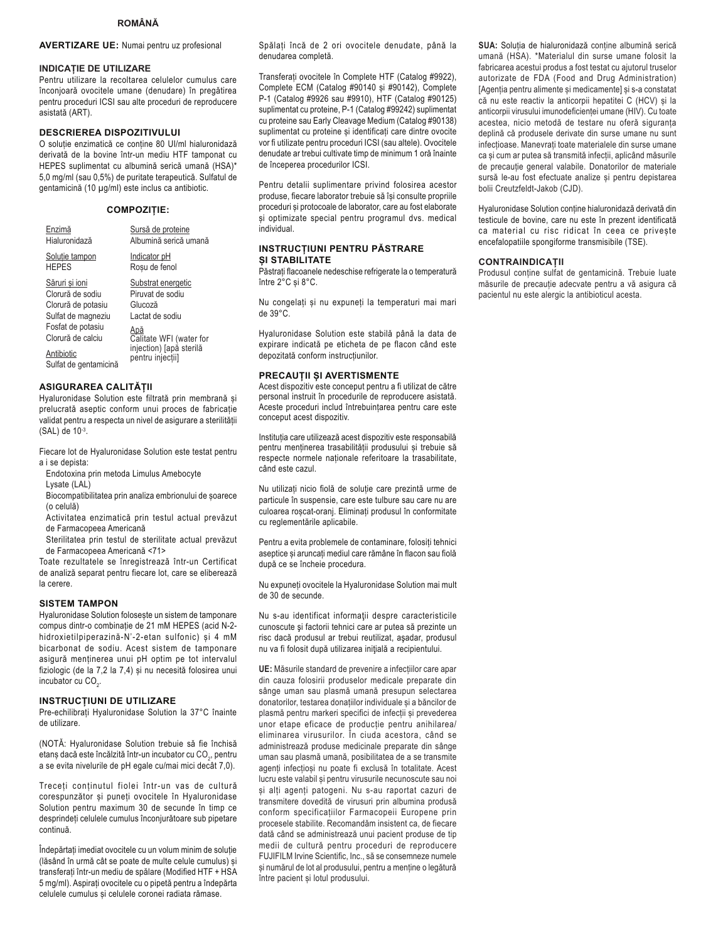## **ROMÂNĂ**

## **AVERTIZARE UE:** Numai pentru uz profesional

#### **INDICATIE DE UTILIZARE**

Pentru utilizare la recoltarea celulelor cumulus care înconjoară ovocitele umane (denudare) în pregătirea pentru proceduri ICSI sau alte proceduri de reproducere asistată (ART).

## **DESCRIEREA DISPOZITIVULUI**

O soluție enzimatică ce conține 80 UI/ml hialuronidază derivată de la bovine într-un mediu HTF tamponat cu HEPES suplimentat cu albumină serică umană (HSA)\* 5,0 mg/ml (sau 0,5%) de puritate terapeutică. Sulfatul de gentamicină (10 µg/ml) este inclus ca antibiotic.

#### **COMPOZIȚIE:**

| Enzimă                                                                                                                                                          | Sursă de proteine                                                                                                                                      |
|-----------------------------------------------------------------------------------------------------------------------------------------------------------------|--------------------------------------------------------------------------------------------------------------------------------------------------------|
| Hialuronidază                                                                                                                                                   | Albumină serică umană                                                                                                                                  |
| Solutie tampon                                                                                                                                                  | Indicator pH                                                                                                                                           |
| <b>HEPES</b>                                                                                                                                                    | Rosu de fenol                                                                                                                                          |
| Săruri si ioni<br>Clorură de sodiu<br>Clorură de potasiu<br>Sulfat de magneziu<br>Fosfat de potasiu<br>Clorură de calciu<br>Antibiotic<br>Sulfat de gentamicină | Substrat energetic<br>Piruvat de sodiu<br>Glucoză<br>I actat de sodiu<br>Apă<br>Calitate WFI (water for<br>injection) [apå sterilă<br>pentru injecții] |

### ASIGURAREA CALITĂȚII

Hyaluronidase Solution este filtrată prin membrană și prelucrată aseptic conform unui proces de fabricatie validat pentru a respecta un nivel de asigurare a sterilității  $(SAL)$  de  $10^{-3}$ .

Fiecare lot de Hyaluronidase Solution este testat pentru a i se depista:

Endotoxina prin metoda Limulus Amebocyte

Lysate (LAL)

Biocompatibilitatea prin analiza embrionului de soarece (o celulă)

Activitatea enzimatică prin testul actual prevăzut de Farmacopeea Americană

Sterilitatea prin testul de sterilitate actual prevăzut de Farmacopeea Americană <71>

Toate rezultatele se înregistrează într-un Certificat de analiză separat pentru fiecare lot, care se eliberează la cerere.

#### **SISTEM TAMPON**

Hyaluronidase Solution folosește un sistem de tamponare compus dintr-o combinatie de 21 mM HEPES (acid N-2hidroxietilpiperazină-N'-2-etan sulfonic) și 4 mM bicarbonat de sodiu. Acest sistem de tamponare asigură menținerea unui pH optim pe tot intervalul fiziologic (de la 7,2 la 7,4) și nu necesită folosirea unui incubator cu CO<sub>2</sub>.

### **INSTRUCTIUNI DE UTILIZARE**

Pre-echilibrați Hyaluronidase Solution la 37°C înainte de utilizare.

(NOTĂ: Hyaluronidase Solution trebuie să fie închisă etans dacă este încălzită într-un incubator cu CO<sub>2</sub>, pentru a se evita nivelurile de pH egale cu/mai mici decât 7,0).

Treceti continutul fiolei într-un vas de cultură corespunzător și puneți ovocitele în Hyaluronidase Solution pentru maximum 30 de secunde în timp ce desprindeți celulele cumulus înconjurătoare sub pipetare continuă

Îndepărtați imediat ovocitele cu un volum minim de soluție (lăsând în urmă cât se poate de multe celule cumulus) și transferați într-un mediu de spălare (Modified HTF + HSA 5 mg/ml). Aspirați ovocitele cu o pipetă pentru a îndepărta celulele cumulus și celulele coronei radiata rămase.

Spălati încă de 2 ori ovocitele denudate, până la denudarea completă.

Transferati ovocitele în Complete HTF (Catalog #9922). Complete ECM (Catalog #90140 și #90142), Complete P-1 (Catalog #9926 sau #9910), HTF (Catalog #90125) suplimentat cu proteine, P-1 (Catalog #99242) suplimentat cu proteine sau Early Cleavage Medium (Catalog #90138) suplimentat cu proteine și identificați care dintre ovocite vor fi utilizate pentru proceduri ICSI (sau altele). Ovocitele denudate ar trebui cultivate timp de minimum 1 oră înainte de începerea procedurilor ICSI.

Pentru detalii suplimentare privind folosirea acestor produse, fiecare laborator trebuie să își consulte propriile proceduri și protocoale de laborator, care au fost elaborate și optimizate special pentru programul dvs. medical individual.

### **INSTRUCTIUNI PENTRU PĂSTRARE** SI STABILITATE

Păstrați flacoanele nedeschise refrigerate la o temperatură între 2°C și 8°C.

Nu congelați și nu expuneți la temperaturi mai mari de 39°C.

Hyaluronidase Solution este stabilă până la data de expirare indicată pe eticheta de pe flacon când este depozitată conform instructiunilor.

### PRECAUTII ȘI AVERTISMENTE

Acest dispozitiv este conceput pentru a fi utilizat de către personal instruit în procedurile de reproducere asistată. Aceste proceduri includ întrebuințarea pentru care este conceput acest dispozitiv.

Instituția care utilizează acest dispozitiv este responsabilă pentru menținerea trasabilității produsului și trebuie să respecte normele naționale referitoare la trasabilitate, când este cazul

Nu utilizați nicio fiolă de soluție care prezintă urme de particule în suspensie, care este tulbure sau care nu are culoarea roșcat-oranj. Eliminați produsul în conformitate cu reglementările aplicabile.

Pentru a evita problemele de contaminare, folosiți tehnici aseptice și aruncați mediul care rămâne în flacon sau fiolă după ce se încheie procedura.

Nu expuneți ovocitele la Hyaluronidase Solution mai mult de 30 de secunde.

Nu s-au identificat informații despre caracteristicile cunoscute și factorii tehnici care ar putea să prezinte un risc dacă produsul ar trebui reutilizat, asadar, produsul nu va fi folosit după utilizarea inițială a recipientului.

UE: Măsurile standard de prevenire a infecțiilor care apar din cauza folosirii produselor medicale preparate din sânge uman sau plasmă umană presupun selectarea donatorilor, testarea donațiilor individuale și a băncilor de plasmă pentru markeri specifici de infecții și prevederea unor etape eficace de producție pentru anihilarea/ eliminarea virusurilor. În ciuda acestora, când se administrează produse medicinale preparate din sânge uman sau plasmă umană, posibilitatea de a se transmite agenți infecțioși nu poate fi exclusă în totalitate. Acest lucru este valabil și pentru virusurile necunoscute sau noi și alți agenți patogeni. Nu s-au raportat cazuri de transmitere dovedită de virusuri prin albumina produsă conform specificațiilor Farmacopeii Europene prin procesele stabilite. Recomandăm insistent ca. de fiecare dată când se administrează unui pacient produse de tip medii de cultură pentru proceduri de reproducere FUJIFILM Irvine Scientific, Inc., să se consemneze numele si numărul de lot al produsului, pentru a menține o legătură între pacient si lotul produsului.

SUA: Solutia de hialuronidază contine albumină serică umană (HSA). \*Materialul din surse umane folosit la fabricarea acestui produs a fost testat cu ajutorul truselor autorizate de FDA (Food and Drug Administration) [Agenția pentru alimente și medicamente] și s-a constatat că nu este reactiv la anticorpii hepatitei C (HCV) și la anticorpii virusului imunodeficienței umane (HIV). Cu toate acestea, nicio metodă de testare nu oferă siguranța deplină că produsele derivate din surse umane nu sunt infecțioase. Manevrați toate materialele din surse umane ca și cum ar putea să transmită infecții, aplicând măsurile de precautie general valabile. Donatorilor de materiale sursă le-au fost efectuate analize și pentru depistarea bolii Creutzfeldt-Jakob (CJD).

Hyaluronidase Solution conține hialuronidază derivată din testicule de bovine, care nu este în prezent identificată ca material cu risc ridicat în ceea ce priveste encefalopatiile spongiforme transmisibile (TSE).

### **CONTRAINDICATII**

Produsul conține sulfat de gentamicină. Trebuie luate măsurile de precauție adecvate pentru a vă asigura că pacientul nu este alergic la antibioticul acesta.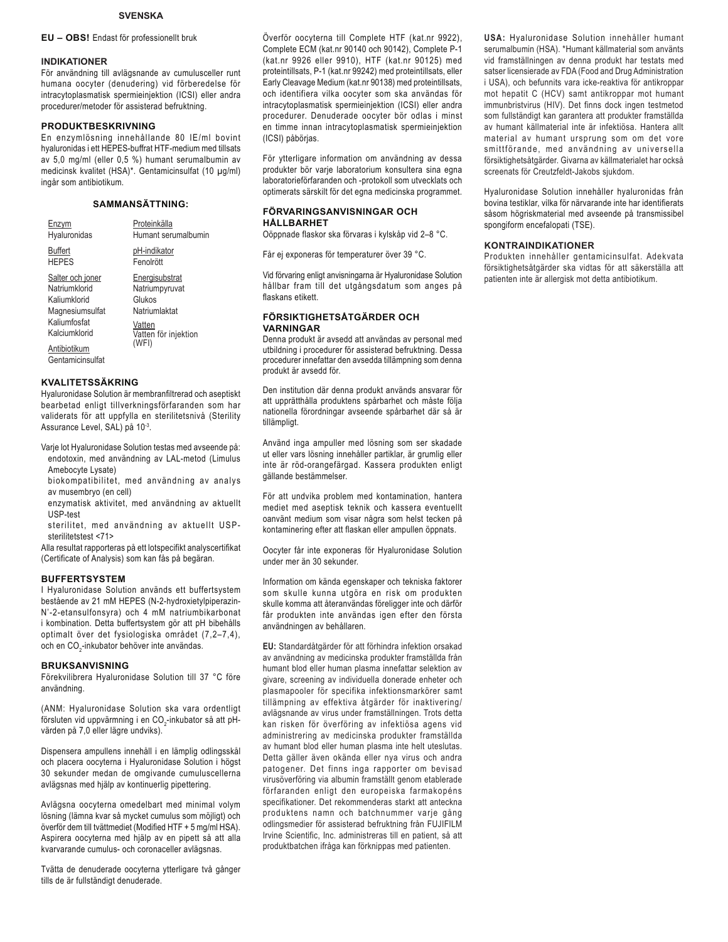### **SVENSKA**

**EU – OBS!** Endast för professionellt bruk

#### **INDIKATIONER**

För användning till avlägsnande av cumulusceller runt humana oocyter (denudering) vid förberedelse för intracytoplasmatisk spermieinjektion (ICSI) eller andra procedurer/metoder för assisterad befruktning.

#### **PRODUKTBESKRIVNING**

En enzymlösning innehållande 80 IE/ml bovint hyaluronidas i ett HEPES-buffrat HTF-medium med tillsats av 5,0 mg/ml (eller 0,5 %) humant serumalbumin av medicinsk kvalitet (HSA)\*. Gentamicinsulfat (10 μg/ml) ingår som antibiotikum.

## **SAMMANSÄTTNING:**

| Hyaluronidas                                                                                                                              | Proteinkälla<br>Humant serumalbumin                                                                    |
|-------------------------------------------------------------------------------------------------------------------------------------------|--------------------------------------------------------------------------------------------------------|
| Buffert<br><b>HFPFS</b>                                                                                                                   | pH-indikator<br>Fenolrött                                                                              |
| Salter och joner<br>Natriumklorid<br>Kaliumklorid<br>Magnesiumsulfat<br>Kaliumfosfat<br>Kalciumklorid<br>Antibiotikum<br>Gentamicinsulfat | Energisubstrat<br>Natriumpyruvat<br>Glukos<br>Natriumlaktat<br>Vatten<br>Vatten för injektion<br>(WFI) |

### **KVALITETSSÄKRING**

Hyaluronidase Solution är membranfiltrerad och aseptiskt bearbetad enligt tillverkningsförfaranden som har validerats för att uppfylla en sterilitetsnivå (Sterility Assurance Level, SAL) på 10-3.

Varje lot Hyaluronidase Solution testas med avseende på: endotoxin, med användning av LAL-metod (Limulus Amebocyte Lysate)

biokompatibilitet, med användning av analys av musembryo (en cell)

- enzymatisk aktivitet, med användning av aktuellt USP-test
- sterilitet, med användning av aktuellt USPsterilitetstest <71>

Alla resultat rapporteras på ett lotspecifikt analyscertifikat (Certificate of Analysis) som kan fås på begäran.

### **BUFFERTSYSTEM**

I Hyaluronidase Solution används ett buffertsystem bestående av 21 mM HEPES (N-2-hydroxietylpiperazin-N'-2-etansulfonsyra) och 4 mM natriumbikarbonat i kombination. Detta buffertsystem gör att pH bibehålls optimalt över det fysiologiska området (7,2–7,4), och en CO<sub>2</sub>-inkubator behöver inte användas.

#### **BRUKSANVISNING**

Förekvilibrera Hyaluronidase Solution till 37 °C före användning.

(ANM: Hyaluronidase Solution ska vara ordentligt försluten vid uppvärmning i en CO<sub>2</sub>-inkubator så att pHvärden på 7,0 eller lägre undviks).

Dispensera ampullens innehåll i en lämplig odlingsskål och placera oocyterna i Hyaluronidase Solution i högst 30 sekunder medan de omgivande cumuluscellerna avlägsnas med hjälp av kontinuerlig pipettering.

Avlägsna oocyterna omedelbart med minimal volym lösning (lämna kvar så mycket cumulus som möjligt) och överför dem till tvättmediet (Modified HTF + 5 mg/ml HSA). Aspirera oocyterna med hjälp av en pipett så att alla kvarvarande cumulus- och coronaceller avlägsnas.

Tvätta de denuderade oocyterna ytterligare två gånger tills de är fullständigt denuderade.

Överför oocyterna till Complete HTF (kat.nr 9922), Complete ECM (kat.nr 90140 och 90142), Complete P-1 (kat.nr 9926 eller 9910), HTF (kat.nr 90125) med proteintillsats, P-1 (kat.nr 99242) med proteintillsats, eller Early Cleavage Medium (kat.nr 90138) med proteintillsats, och identifiera vilka oocyter som ska användas för intracytoplasmatisk spermieinjektion (ICSI) eller andra procedurer. Denuderade oocyter bör odlas i minst en timme innan intracytoplasmatisk spermieinjektion (ICSI) påbörjas.

För ytterligare information om användning av dessa produkter bör varje laboratorium konsultera sina egna laboratorieförfaranden och -protokoll som utvecklats och optimerats särskilt för det egna medicinska programmet.

### **FÖRVARINGSANVISNINGAR OCH HÅLLBARHET**

Oöppnade flaskor ska förvaras i kylskåp vid 2–8 °C.

Får ej exponeras för temperaturer över 39 °C.

Vid förvaring enligt anvisningarna är Hyaluronidase Solution hållbar fram till det utgångsdatum som anges på flaskans etikett.

#### **FÖRSIKTIGHETSÅTGÄRDER OCH VARNINGAR**

Denna produkt är avsedd att användas av personal med utbildning i procedurer för assisterad befruktning. Dessa procedurer innefattar den avsedda tillämpning som denna produkt är avsedd för.

Den institution där denna produkt används ansvarar för att upprätthålla produktens spårbarhet och måste följa nationella förordningar avseende spårbarhet där så är tillämpligt.

Använd inga ampuller med lösning som ser skadade ut eller vars lösning innehåller partiklar, är grumlig eller inte är röd-orangefärgad. Kassera produkten enligt gällande bestämmelser.

För att undvika problem med kontamination, hantera mediet med aseptisk teknik och kassera eventuellt oanvänt medium som visar några som helst tecken på kontaminering efter att flaskan eller ampullen öppnats.

Oocyter får inte exponeras för Hyaluronidase Solution under mer än 30 sekunder.

Information om kända egenskaper och tekniska faktorer som skulle kunna utgöra en risk om produkten skulle komma att återanvändas föreligger inte och därför får produkten inte användas igen efter den första användningen av behållaren.

**EU:** Standardåtgärder för att förhindra infektion orsakad av användning av medicinska produkter framställda från humant blod eller human plasma innefattar selektion av givare, screening av individuella donerade enheter och plasmapooler för specifika infektionsmarkörer samt tillämpning av effektiva åtgärder för inaktivering/ avlägsnande av virus under framställningen. Trots detta kan risken för överföring av infektiösa agens vid administrering av medicinska produkter framställda av humant blod eller human plasma inte helt uteslutas. Detta gäller även okända eller nya virus och andra patogener. Det finns inga rapporter om bevisad virusöverföring via albumin framställt genom etablerade förfaranden enligt den europeiska farmakopéns specifikationer. Det rekommenderas starkt att anteckna produktens namn och batchnummer varje gång odlingsmedier för assisterad befruktning från FUJIFILM Irvine Scientific, Inc. administreras till en patient, så att produktbatchen ifråga kan förknippas med patienten.

**USA:** Hyaluronidase Solution innehåller humant serumalbumin (HSA). \*Humant källmaterial som använts vid framställningen av denna produkt har testats med satser licensierade av FDA (Food and Drug Administration i USA), och befunnits vara icke-reaktiva för antikroppar mot hepatit C (HCV) samt antikroppar mot humant immunbristvirus (HIV). Det finns dock ingen testmetod som fullständigt kan garantera att produkter framställda av humant källmaterial inte är infektiösa. Hantera allt material av humant ursprung som om det vore smittförande, med användning av universella försiktighetsåtgärder. Givarna av källmaterialet har också screenats för Creutzfeldt-Jakobs sjukdom.

Hyaluronidase Solution innehåller hyaluronidas från bovina testiklar, vilka för närvarande inte har identifierats såsom högriskmaterial med avseende på transmissibel spongiform encefalopati (TSE).

#### **KONTRAINDIKATIONER**

Produkten innehåller gentamicinsulfat. Adekvata försiktighetsåtgärder ska vidtas för att säkerställa att patienten inte är allergisk mot detta antibiotikum.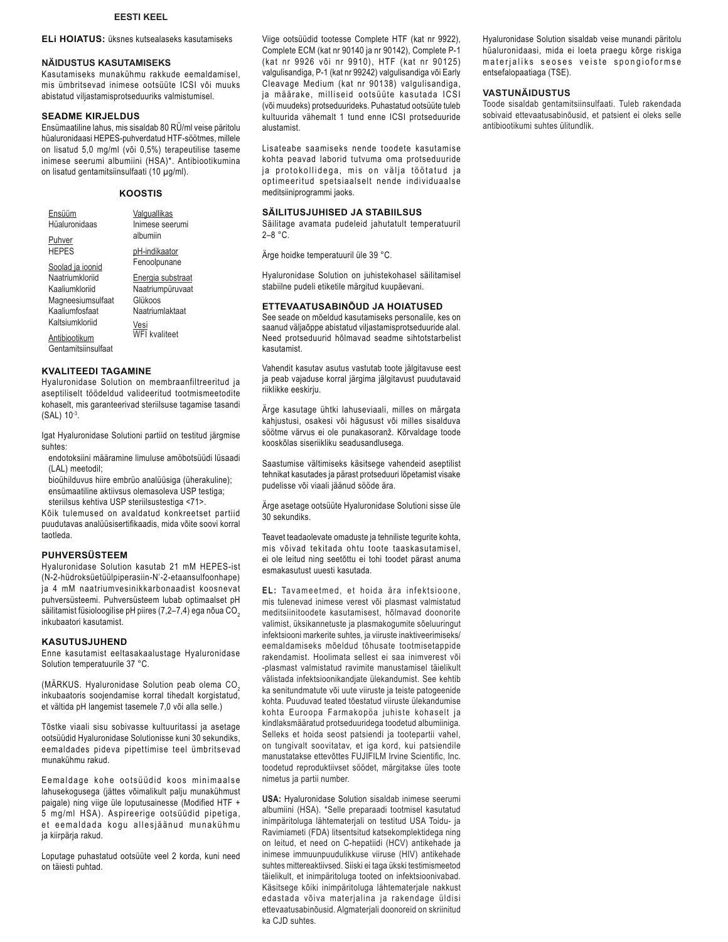## **EESTI KEEL**

#### **ELi HOIATUS:** üksnes kutsealaseks kasutamiseks

### **NÄIDUSTUS KASUTAMISEKS**

Kasutamiseks munakühmu rakkude eemaldamisel, mis ümbritsevad inimese ootsüüte ICSI või muuks abistatud viljastamisprotseduuriks valmistumisel.

## **SEADME KIRJELDUS**

Ensümaatiline lahus, mis sisaldab 80 RÜ/ml veise päritolu hüaluronidaasi HEPES-puhverdatud HTF-söötmes, millele on lisatud 5,0 mg/ml (või 0,5%) terapeutilise taseme inimese seerumi albumiini (HSA)\*. Antibiootikumina on lisatud gentamitsiinsulfaati (10 μg/ml).

### **KOOSTIS**

| Ensüüm              | Valquallikas         |
|---------------------|----------------------|
| Hüaluronidaas       | Inimese seerumi      |
| Puhver              | albumiin             |
| HEPES               | pH-indikaator        |
| Soolad ja ioonid    | Fenoolpunane         |
| Naatriumkloriid     | Energia substraat    |
| Kaaliumkloriid      | Naatriumpüruvaat     |
| Magneesiumsulfaat   | Glükoos              |
| Kaaliumfosfaat      | Naatriumlaktaat      |
| Kaltsiumkloriid     | Vesi                 |
| Antibiootikum       | <b>WFI</b> kvaliteet |
| Gentamitsiinsulfaat |                      |

### **KVALITEEDI TAGAMINE**

Hyaluronidase Solution on membraanfiltreeritud ja aseptiliselt töödeldud valideeritud tootmismeetodite kohaselt, mis garanteerivad steriilsuse tagamise tasandi (SAL) 10-3.

Igat Hyaluronidase Solutioni partiid on testitud järgmise suhtes:

- endotoksiini määramine limuluse amöbotsüüdi lüsaadi (LAL) meetodil;
- bioühilduvus hiire embrüo analüüsiga (üherakuline); ensümaatiline aktiivsus olemasoleva USP testiga; steriilsus kehtiva USP steriilsustestiga <71>.

Kõik tulemused on avaldatud konkreetset partiid puudutavas analüüsisertifikaadis, mida võite soovi korral taotleda.

## **PUHVERSÜSTEEM**

Hyaluronidase Solution kasutab 21 mM HEPES-ist (N-2-hüdroksüetüülpiperasiin-N'-2-etaansulfoonhape) ja 4 mM naatriumvesinikkarbonaadist koosnevat puhversüsteemi. Puhversüsteem lubab optimaalset pH säilitamist füsioloogilise pH piires (7,2–7,4) ega nõua CO<sub>2</sub> inkubaatori kasutamist.

#### **KASUTUSJUHEND**

Enne kasutamist eeltasakaalustage Hyaluronidase Solution temperatuurile 37 °C.

(MÄRKUS. Hyaluronidase Solution peab olema CO2 inkubaatoris soojendamise korral tihedalt korgistatud. et vältida pH langemist tasemele 7,0 või alla selle.)

Tõstke viaali sisu sobivasse kultuuritassi ja asetage ootsüüdid Hyaluronidase Solutionisse kuni 30 sekundiks, eemaldades pideva pipettimise teel ümbritsevad munakühmu rakud.

Eemaldage kohe ootsüüdid koos minimaalse lahusekogusega (jättes võimalikult palju munakühmust paigale) ning viige üle loputusainesse (Modified HTF + 5 mg/ml HSA). Aspireerige ootsüüdid pipetiga, et eemaldada kogu allesjäänud munakühmu ja kiirpärja rakud.

Loputage puhastatud ootsüüte veel 2 korda, kuni need on täiesti puhtad.

Viige ootsüüdid tootesse Complete HTF (kat nr 9922), Complete ECM (kat nr 90140 ja nr 90142), Complete P-1 (kat nr 9926 või nr 9910), HTF (kat nr 90125) valgulisandiga, P-1 (kat nr 99242) valgulisandiga või Early Cleavage Medium (kat nr 90138) valgulisandiga, ia määrake, milliseid ootsüüte kasutada ICSI (või muudeks) protseduurideks. Puhastatud ootsüüte tuleb kultuurida vähemalt 1 tund enne ICSI protseduuride alustamist.

Lisateabe saamiseks nende toodete kasutamise kohta peavad laborid tutvuma oma protseduuride ja protokollidega, mis on välja töötatud ja optimeeritud spetsiaalselt nende individuaalse meditsiiniprogrammi jaoks.

#### **SÄILITUSJUHISED JA STABIILSUS**

Säilitage avamata pudeleid jahutatult temperatuuril 2–8 °C.

Ärge hoidke temperatuuril üle 39 °C.

Hyaluronidase Solution on juhistekohasel säilitamisel stabiilne pudeli etiketile märgitud kuupäevani.

### **ETTEVAATUSABINÕUD JA HOIATUSED**

See seade on mõeldud kasutamiseks personalile, kes on saanud väljaõppe abistatud viljastamisprotseduuride alal. Need protseduurid hõlmavad seadme sihtotstarbelist kasutamist.

Vahendit kasutav asutus vastutab toote jälgitavuse eest ja peab vajaduse korral järgima jälgitavust puudutavaid riiklikke eeskirju.

Ärge kasutage ühtki lahuseviaali, milles on märgata kahjustusi, osakesi või hägusust või milles sisalduva söötme värvus ei ole punakasoranž. Kõrvaldage toode kooskõlas siseriikliku seadusandlusega.

Saastumise vältimiseks käsitsege vahendeid aseptilist tehnikat kasutades ja pärast protseduuri lõpetamist visake pudelisse või viaali jäänud sööde ära.

Ärge asetage ootsüüte Hyaluronidase Solutioni sisse üle 30 sekundiks.

Teavet teadaolevate omaduste ja tehniliste tegurite kohta, mis võivad tekitada ohtu toote taaskasutamisel, ei ole leitud ning seetõttu ei tohi toodet pärast anuma esmakasutust uuesti kasutada.

**EL:** Tavameetmed, et hoida ära infektsioone, mis tulenevad inimese verest või plasmast valmistatud meditsiinitoodete kasutamisest, hõlmavad doonorite valimist, üksikannetuste ja plasmakogumite sõeluuringut infektsiooni markerite suhtes, ja viiruste inaktiveerimiseks/ eemaldamiseks mõeldud tõhusate tootmisetappide rakendamist. Hoolimata sellest ei saa inimverest või -plasmast valmistatud ravimite manustamisel täielikult välistada infektsioonikandjate ülekandumist. See kehtib ka senitundmatute või uute viiruste ja teiste patogeenide kohta. Puuduvad teated tõestatud viiruste ülekandumise kohta Euroopa Farmakopöa juhiste kohaselt ja kindlaksmääratud protseduuridega toodetud albumiiniga. Selleks et hoida seost patsiendi ja tootepartii vahel, on tungivalt soovitatav, et iga kord, kui patsiendile manustatakse ettevõttes FUJIFILM Irvine Scientific, Inc. toodetud reproduktiivset söödet, märgitakse üles toote nimetus ja partii number.

**USA:** Hyaluronidase Solution sisaldab inimese seerumi albumiini (HSA). \*Selle preparaadi tootmisel kasutatud inimpäritoluga lähtematerjali on testitud USA Toidu- ja Ravimiameti (FDA) litsentsitud katsekomplektidega ning on leitud, et need on C-hepatiidi (HCV) antikehade ja inimese immuunpuudulikkuse viiruse (HIV) antikehade suhtes mittereaktiivsed. Siiski ei taga ükski testimismeetod täielikult, et inimpäritoluga tooted on infektsioonivabad. Käsitsege kõiki inimpäritoluga lähtematerjale nakkust edastada võiva materjalina ja rakendage üldisi ettevaatusabinõusid. Algmaterjali doonoreid on skriinitud ka CJD suhtes.

Hyaluronidase Solution sisaldab veise munandi päritolu hüaluronidaasi, mida ei loeta praegu kõrge riskiga materjaliks seoses veiste spongioformse entsefalopaatiaga (TSE).

## **VASTUNÄIDUSTUS**

Toode sisaldab gentamitsiinsulfaati. Tuleb rakendada sobivaid ettevaatusabinõusid, et patsient ei oleks selle antibiootikumi suhtes ülitundlik.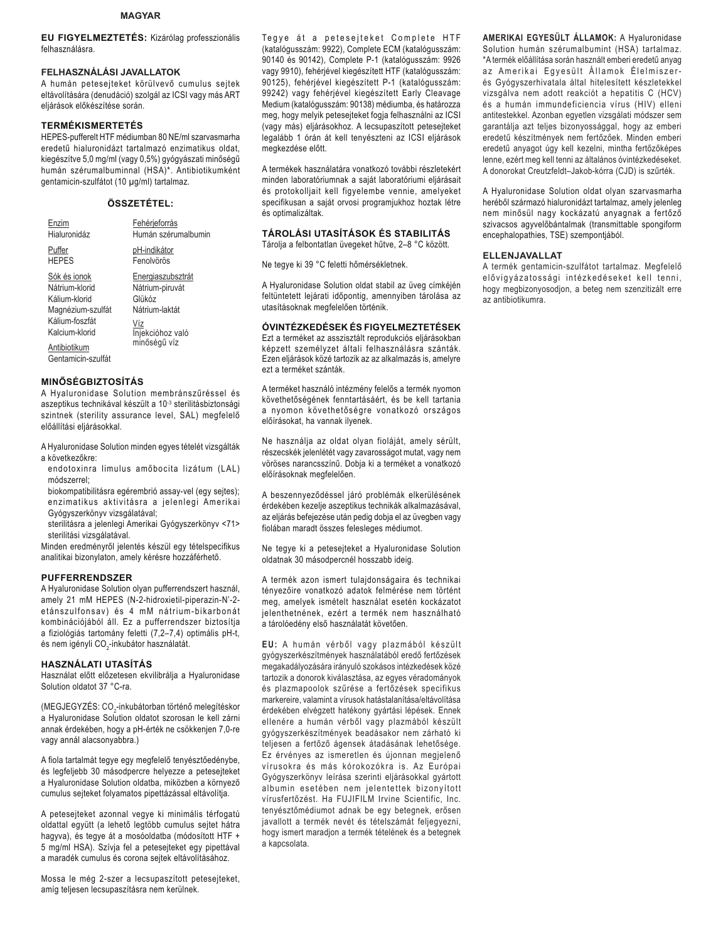#### **MAGYAR**

**EU FIGYELMEZTETÉS:** Kizárólag professzionális felhasználásra.

### **FELHASZNÁLÁSI JAVALLATOK**

A humán petesejteket körülvevő cumulus sejtek eltávolítására (denudáció) szolgál az ICSI vagy más ART eljárások előkészítése során.

#### **TERMÉKISMERTETÉS**

HEPES-pufferelt HTF médiumban 80 NE/ml szarvasmarha eredetű hialuronidázt tartalmazó enzimatikus oldat. kiegészítve 5,0 mg/ml (vagy 0,5%) gyógyászati minőségű humán szérumalbuminnal (HSA)\*. Antibiotikumként gentamicin-szulfátot (10 μg/ml) tartalmaz.

## **ÖSSZETÉTEL:**

| Enzim                                                                                                                                          | Fehérjeforrás                                                                                               |
|------------------------------------------------------------------------------------------------------------------------------------------------|-------------------------------------------------------------------------------------------------------------|
| Hialuronidáz                                                                                                                                   | Humán szérumalbumin                                                                                         |
| Puffer                                                                                                                                         | pH-indikátor                                                                                                |
| <b>HEPES</b>                                                                                                                                   | Fenolvörös                                                                                                  |
| Sók és ionok<br>Nátrium-klorid<br>Kálium-klorid<br>Magnézium-szulfát<br>Kálium-foszfát<br>Kalcium-klorid<br>Antibiotikum<br>Gentamicin-szulfát | Energiaszubsztrát<br>Nátrium-piruvát<br>Glükóz<br>Nátrium-laktát<br>Víz<br>Injekcióhoz való<br>minőségű víz |
|                                                                                                                                                |                                                                                                             |

## **MINŐSÉGBIZTOSÍTÁS**

A Hyaluronidase Solution membránszűréssel és aszeptikus technikával készült a 10-3 sterilitásbiztonsági szintnek (sterility assurance level, SAL) megfelelő előállítási eljárásokkal.

- A Hyaluronidase Solution minden egyes tételét vizsgálták a következőkre:
- endotoxinra limulus amőbocita lizátum (LAL) módszerrel;
- biokompatibilitásra egérembrió assay-vel (egy sejtes); enzimatikus aktivitásra a jelenlegi Amerikai Gyógyszerkönyv vizsgálatával;
- sterilitásra a jelenlegi Amerikai Gyógyszerkönyv <71> sterilitási vizsgálatával.

Minden eredményről jelentés készül egy tételspecifikus analitikai bizonylaton, amely kérésre hozzáférhető.

#### **PUFFERRENDSZER**

A Hyaluronidase Solution olyan pufferrendszert használ, amely 21 mM HEPES (N-2-hidroxietil-piperazin-N'-2 etánszulfonsav) és 4 mM nátrium-bikarbonát kombinációjából áll. Ez a pufferrendszer biztosítja a fiziológiás tartomány feletti (7,2–7,4) optimális pH-t, és nem igényli CO $_2$ -inkubátor használatát.

#### **HASZNÁLATI UTASÍTÁS**

Használat előtt előzetesen ekvilibrálja a Hyaluronidase Solution oldatot 37 °C-ra.

(MEGJEGYZÉS: CO $_2$ -inkubátorban történő melegítéskor a Hyaluronidase Solution oldatot szorosan le kell zárni annak érdekében, hogy a pH-érték ne csökkenjen 7,0-re vagy annál alacsonyabbra.)

A fiola tartalmát tegye egy megfelelő tenyésztőedénybe, és legfeljebb 30 másodpercre helyezze a petesejteket a Hyaluronidase Solution oldatba, miközben a környező cumulus sejteket folyamatos pipettázással eltávolítja.

A petesejteket azonnal vegye ki minimális térfogatú oldattal együtt (a lehető legtöbb cumulus sejtet hátra hagyva), és tegye át a mosóoldatba (módosított HTF + 5 mg/ml HSA). Szívja fel a petesejteket egy pipettával a maradék cumulus és corona sejtek eltávolításához.

Mossa le még 2-szer a lecsupaszított petesejteket, amíg teljesen lecsupaszításra nem kerülnek.

Tegye át a petesejteket Complete HTF (katalógusszám: 9922), Complete ECM (katalógusszám: 90140 és 90142), Complete P-1 (katalógusszám: 9926 vagy 9910), fehérjével kiegészített HTF (katalógusszám: 90125). fehériével kiegészített P-1 (katalógusszám: 99242) vagy fehérjével kiegészített Early Cleavage Medium (katalógusszám: 90138) médiumba, és határozza meg, hogy melyik petesejteket fogja felhasználni az ICSI (vagy más) eljárásokhoz. A lecsupaszított petesejteket legalább 1 órán át kell tenyészteni az ICSI eljárások megkezdése előtt.

A termékek használatára vonatkozó további részletekért minden laboratóriumnak a saját laboratóriumi eljárásait és protokolljait kell figyelembe vennie, amelyeket specifikusan a saját orvosi programjukhoz hoztak létre és optimalizáltak.

### **TÁROLÁSI UTASÍTÁSOK ÉS STABILITÁS**

Tárolja a felbontatlan üvegeket hűtve, 2-8 °C között.

Ne tegye ki 39 °C feletti hőmérsékletnek.

A Hyaluronidase Solution oldat stabil az üveg címkéjén feltüntetett lejárati időpontig, amennyiben tárolása az utasításoknak megfelelően történik.

#### **ÓVINTÉZKEDÉSEK ÉS FIGYELMEZTETÉSEK**

Ezt a terméket az asszisztált reprodukciós eljárásokban képzett személyzet általi felhasználásra szánták. Ezen eljárások közé tartozik az az alkalmazás is, amelyre ezt a terméket szánták.

A terméket használó intézmény felelős a termék nyomon követhetőségének fenntartásáért, és be kell tartania a nyomon követhetőségre vonatkozó országos előírásokat, ha vannak ilyenek.

Ne használja az oldat olyan fioláját, amely sérült, részecskék jelenlétét vagy zavarosságot mutat, vagy nem vöröses narancsszínű. Dobja ki a terméket a vonatkozó előírásoknak megfelelően.

A beszennyeződéssel járó problémák elkerülésének érdekében kezelie aszeptikus technikák alkalmazásával. az eljárás befejezése után pedig dobja el az üvegben vagy fiolában maradt összes felesleges médiumot.

Ne tegye ki a petesejteket a Hyaluronidase Solution oldatnak 30 másodpercnél hosszabb ideig.

A termék azon ismert tulajdonságaira és technikai tényezőire vonatkozó adatok felmérése nem történt meg, amelyek ismételt használat esetén kockázatot jelenthetnének, ezért a termék nem használható a tárolóedény első használatát követően.

EU: A humán vérből vagy plazmából készült gyógyszerkészítmények használatából eredő fertőzések megakadályozására irányuló szokásos intézkedések közé tartozik a donorok kiválasztása, az egyes véradományok és plazmapoolok szűrése a fertőzések specifikus markereire, valamint a vírusok hatástalanítása/eltávolítása érdekében elvégzett hatékony gyártási lépések. Ennek ellenére a humán vérből vagy plazmából készült gyógyszerkészítmények beadásakor nem zárható ki teljesen a fertőző ágensek átadásának lehetősége. Ez érvényes az ismeretlen és újonnan megjelenő vírusokra és más kórokozókra is. Az Európai Gyógyszerkönyv leírása szerinti eljárásokkal gyártott albumin esetében nem jelentettek bizonyított vírusfertőzést. Ha FUJIFILM Irvine Scientific, Inc. tenyésztőmédiumot adnak be egy betegnek, erősen javallott a termék nevét és tételszámát feljegyezni, hogy ismert maradjon a termék tételének és a betegnek a kapcsolata.

**AMERIKAI EGYESÜLT ÁLLAMOK:** A Hyaluronidase Solution humán szérumalbumint (HSA) tartalmaz. \*A termék előállítása során használt emberi eredetű anyag az Amerikai Egyesült Államok Élelmiszerés Gyógyszerhivatala által hitelesített készletekkel vizsgálva nem adott reakciót a hepatitis C (HCV) és a humán immundeficiencia vírus (HIV) elleni antitestekkel. Azonban egyetlen vizsgálati módszer sem garantálja azt teljes bizonyossággal, hogy az emberi eredetű készítmények nem fertőzőek. Minden emberi eredetű anyagot úgy kell kezelni, mintha fertőzőképes lenne, ezért meg kell tenni az általános óvintézkedéseket. A donorokat Creutzfeldt-Jakob-kórra (CJD) is szűrték.

A Hyaluronidase Solution oldat olyan szarvasmarha heréből származó hialuronidázt tartalmaz, amely jelenleg nem minősül nagy kockázatú anyagnak a fertőző szivacsos agyvelőbántalmak (transmittable spongiform encephalopathies, TSE) szempontjából.

#### **ELLENJAVALLAT**

A termék gentamicin-szulfátot tartalmaz. Megfelelő elővigyázatossági intézkedéseket kell tenni, hogy megbizonyosodjon, a beteg nem szenzitizált erre az antibiotikumra.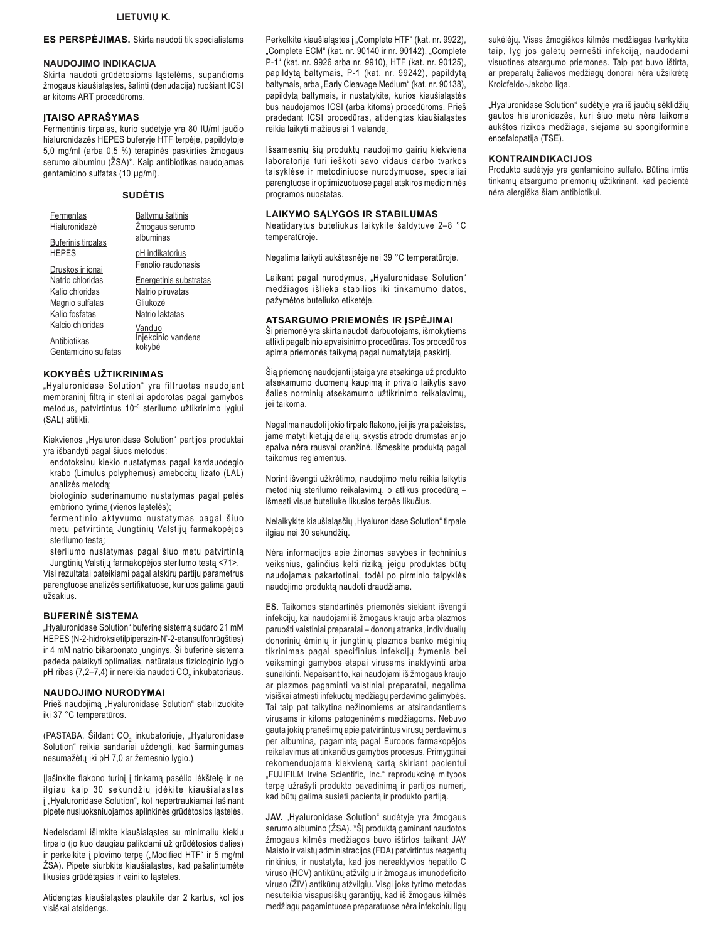## LIETUVIŲ K.

### ES PERSPĖJIMAS. Skirta naudoti tik specialistams

#### **NAUDOJIMO INDIKACIJA**

Skirta naudoti grūdėtosioms lastelėms, supančioms žmogaus kiaušialąstes, šalinti (denudacija) ruošiant ICSI ar kitoms ART procedūroms.

## **ITAISO APRAŠYMAS**

Fermentinis tirpalas, kurio sudėtyje yra 80 IU/ml jaučio hialuronidazės HEPES buferyje HTF terpėje, papildytoje 5,0 mg/ml (arba 0,5 %) terapinės paskirties žmogaus serumo albuminu (ŽSA)\*. Kaip antibiotikas naudojamas gentamicino sulfatas (10 µg/ml).

#### **SUDĖTIS**

| Fermentas<br>Hialuronidazė           | Baltymų šaltinis<br>Zmogaus serumo |
|--------------------------------------|------------------------------------|
| Buferinis tirpalas<br><b>HEPES</b>   | albuminas<br>pH indikatorius       |
| Druskos ir jonai                     | Fenolio raudonasis                 |
| Natrio chloridas                     | Energetinis substratas             |
| Kalio chloridas                      | Natrio piruvatas                   |
| Magnio sulfatas                      | Gliukozė                           |
| Kalio fosfatas                       | Natrio laktatas                    |
| Kalcio chloridas                     | Vanduo                             |
| Antibiotikas<br>Gentamicino sulfatas | Injekcinio vandens<br>kokybė       |

#### **KOKYBĖS UŽTIKRINIMAS**

"Hyaluronidase Solution" yra filtruotas naudojant membraninį filtrą ir steriliai apdorotas pagal gamybos metodus, patvirtintus 10<sup>-3</sup> sterilumo užtikrinimo lygiui (SAL) atitikti.

Kiekvienos "Hyaluronidase Solution" partijos produktai yra išbandyti pagal šiuos metodus:

endotoksinų kiekio nustatymas pagal kardauodegio krabo (Limulus polyphemus) amebocitų lizato (LAL) analizės metodą;

biologinio suderinamumo nustatymas pagal pelės embriono tyrimą (vienos ląstelės);

fermentinio aktyvumo nustatymas pagal šiuo metu patvirtintą Jungtinių Valstijų farmakopėjos sterilumo testa;

sterilumo nustatymas pagal šiuo metu patvirtintą Jungtinių Valstijų farmakopėjos sterilumo testą <71>.

Visi rezultatai pateikiami pagal atskirų partijų parametrus parengtuose analizės sertifikatuose, kuriuos galima gauti užsakius.

## **BUFERINĖ SISTEMA**

"Hyaluronidase Solution" buferinę sistemą sudaro 21 mM HEPES (N-2-hidroksietilpiperazin-N'-2-etansulfonrūgšties) ir 4 mM natrio bikarbonato junginys. Ši buferinė sistema padeda palaikyti optimalias, natūralaus fiziologinio lygio pH ribas (7,2-7,4) ir nereikia naudoti CO, inkubatoriaus.

#### NAUDOJIMO NURODYMAI

Prieš naudojimą "Hyaluronidase Solution" stabilizuokite iki 37 °C temperatūros.

(PASTABA. Šildant CO<sub>2</sub> inkubatoriuje, "Hyaluronidase Solution" reikia sandariai uždengti, kad šarmingumas nesumažėtų iki pH 7,0 ar žemesnio lygio.)

Ilašinkite flakono turinį į tinkamą pasėlio lėkštelę ir ne ilgiau kaip 30 sekundžių įdėkite kiaušialąstes i "Hyaluronidase Solution", kol nepertraukiamai lašinant pipete nusluoksniuojamos aplinkinės grūdėtosios ląstelės.

Nedelsdami išimkite kiaušialąstes su minimaliu kiekiu tirpalo (jo kuo daugiau palikdami už grūdėtosios dalies) ir perkelkite į plovimo terpę ("Modified HTF" ir 5 mg/ml ŽSA). Pipete siurbkite kiaušialąstes, kad pašalintumėte likusias grūdėtąsias ir vainiko ląsteles.

Atidengtas kiaušialąstes plaukite dar 2 kartus, kol jos visiškai atsidenos

Perkelkite kiaušialąstes į "Complete HTF" (kat. nr. 9922), "Complete ECM" (kat. nr. 90140 ir nr. 90142). "Complete P-1" (kat. nr. 9926 arba nr. 9910), HTF (kat. nr. 90125), papildytą baltymais, P-1 (kat. nr. 99242), papildytą baltymais, arba "Early Cleavage Medium" (kat. nr. 90138), papildytą baltymais, ir nustatykite, kurios kiaušialąstės bus naudojamos ICSI (arba kitoms) procedūroms. Prieš pradedant ICSI procedūras, atidengtas kiaušialąstes reikia laikyti mažiausiai 1 valanda.

Išsamesnių šių produktų naudojimo gairių kiekviena laboratorija turi ieškoti savo vidaus darbo tvarkos taisyklėse ir metodiniuose nurodymuose, specialiai parengtuose ir optimizuotuose pagal atskiros medicininės programos nuostatas.

## **LAIKYMO SĄLYGOS IR STABILUMAS**

Neatidarytus buteliukus laikykite šaldytuve 2-8 °C temperatūroje.

Negalima laikyti aukštesnėje nei 39 °C temperatūroje.

Laikant pagal nurodymus, "Hyaluronidase Solution" medžiagos išlieka stabilios iki tinkamumo datos, pažymėtos buteliuko etiketėje.

## ATSARGUMO PRIEMONĖS IR ISPĖJIMAI

Ši priemonė yra skirta naudoti darbuotojams, išmokytiems atlikti pagalbinio apvaisinimo procedūras. Tos procedūros apima priemonės taikymą pagal numatytąją paskirtį.

Šią priemonę naudojanti įstaiga yra atsakinga už produkto atsekamumo duomenų kaupimą ir privalo laikytis savo šalies norminių atsekamumo užtikrinimo reikalavimų, jei taikoma.

Negalima naudoti jokio tirpalo flakono, jei jis yra pažeistas, jame matyti kietųjų dalelių, skystis atrodo drumstas ar jo spalva nėra rausvai oranžinė. Išmeskite produktą pagal taikomus reglamentus.

Norint išvengti užkrėtimo, naudojimo metu reikia laikytis metodinių sterilumo reikalavimų, o atlikus procedūrą išmesti visus buteliuke likusios terpės likučius.

Nelaikykite kiaušialasčių "Hyaluronidase Solution" tirpale ilgiau nei 30 sekundžių.

Nėra informacijos apie žinomas savybes ir techninius veiksnius, galinčius kelti riziką, jeigu produktas būtų naudojamas pakartotinai, todėl po pirminio talpyklės naudojimo produktą naudoti draudžiama.

ES. Taikomos standartinės priemonės siekiant išvengti infekcijų, kai naudojami iš žmogaus kraujo arba plazmos paruošti vaistiniai preparatai - donorų atranka, individualių donorinių ėminių ir jungtinių plazmos banko mėginių tikrinimas pagal specifinius infekcijų žymenis bei veiksmingi gamybos etapai virusams inaktyvinti arba sunaikinti. Nepaisant to, kai naudojami iš žmogaus kraujo ar plazmos pagaminti vaistiniai preparatai, negalima visiškai atmesti infekuotų medžiagų perdavimo galimybės. Tai taip pat taikytina nežinomiems ar atsirandantiems virusams ir kitoms patogeninėms medžiagoms. Nebuvo gauta jokių pranešimų apie patvirtintus virusų perdavimus per albuminą, pagamintą pagal Europos farmakopėjos reikalavimus atitinkančius gamybos procesus. Primygtinai rekomenduojama kiekviena karta skiriant pacientui "FUJIFILM Irvine Scientific, Inc." reprodukcine mitybos terpe užrašyti produkto pavadinimą ir partijos numerį, kad būtų galima susieti pacientą ir produkto partiją.

JAV. "Hyaluronidase Solution" sudėtyje yra žmogaus serumo albumino (ŽSA). \*Šį produktą gaminant naudotos žmogaus kilmės medžiagos buvo ištirtos taikant JAV Maisto ir vaistų administracijos (FDA) patvirtintus reagentų rinkinius, ir nustatyta, kad jos nereaktyvios hepatito C viruso (HCV) antikūnų atžvilgiu ir žmogaus imunodeficito viruso (ŽIV) antikūnų atžvilgiu. Visgi joks tyrimo metodas nesuteikia visapusiškų garantijų, kad iš žmogaus kilmės medžiagų pagamintuose preparatuose nėra infekcinių ligų sukėlėjų. Visas žmogiškos kilmės medžiagas tvarkykite taip, lyg jos galėtų pernešti infekciją, naudodami visuotines atsargumo priemones. Taip pat buvo ištirta, ar preparatų žaliavos medžiagų donorai nėra užsikrėtę Kroicfeldo-Jakobo liga.

"Hyaluronidase Solution" sudėtyje yra iš jaučių sėklidžių gautos hialuronidazės, kuri šiuo metu nėra laikoma aukštos rizikos medžiaga, siejama su spongiformine encefalopatija (TSE).

#### **KONTRAINDIKACIJOS**

Produkto sudėtyje yra gentamicino sulfato. Būtina imtis tinkamų atsargumo priemonių užtikrinant, kad pacientė nėra alergiška šiam antibiotikui.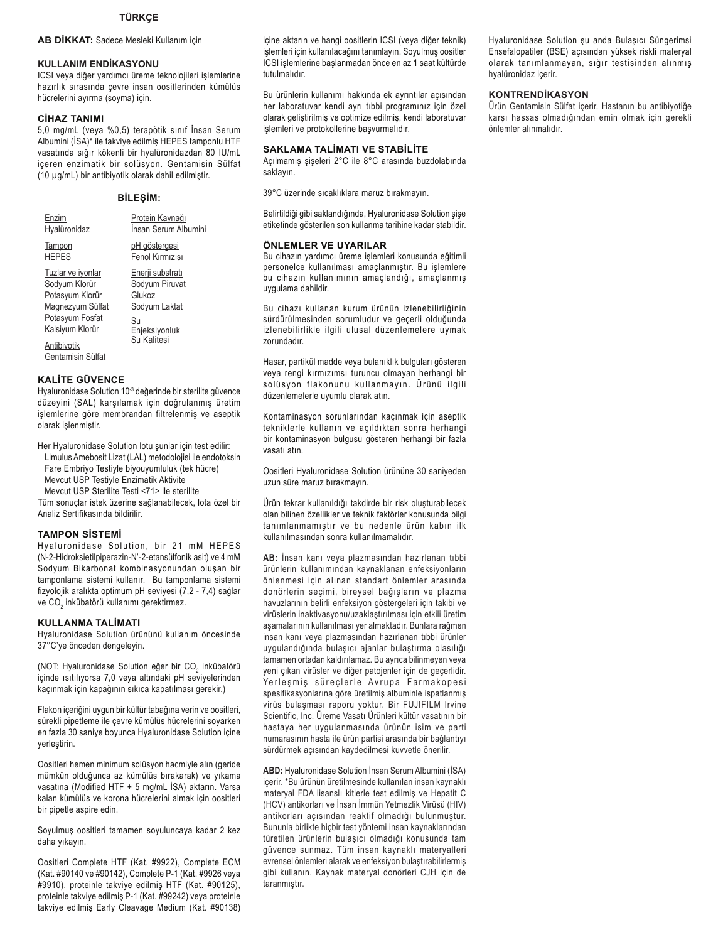## TÜRKÇE

## AB DİKKAT: Sadece Mesleki Kullanım için

## **KULLANIM ENDİKASYONU**

ICSI veya diğer yardımcı üreme teknolojileri işlemlerine hazırlık sırasında çevre insan oositlerinden kümülüs hücrelerini ayırma (soyma) için.

### **CİHAZ TANIMI**

5,0 mg/mL (veya %0,5) terapötik sınıf İnsan Serum Albumini (İSA)\* ile takviye edilmiş HEPES tamponlu HTF vasatında sığır kökenli bir hyalüronidazdan 80 IU/mL içeren enzimatik bir solüsyon. Gentamisin Sülfat (10 µg/mL) bir antibiyotik olarak dahil edilmiştir.

### **BİLEŞİM:**

| Enzim                                                                                                                                               | Protein Kaynağı                                                                                     |
|-----------------------------------------------------------------------------------------------------------------------------------------------------|-----------------------------------------------------------------------------------------------------|
| Hyalüronidaz                                                                                                                                        | İnsan Serum Albumini                                                                                |
| Tampon                                                                                                                                              | pH göstergesi                                                                                       |
| <b>HFPFS</b>                                                                                                                                        | Fenol Kırmızısı                                                                                     |
| Tuzlar ve iyonlar<br>Sodyum Klorür<br>Potasyum Klorür<br>Magnezyum Sülfat<br>Potasyum Fosfat<br>Kalsiyum Klorür<br>Antibiyotik<br>Gentamisin Sülfat | Enerji substratı<br>Sodyum Piruvat<br>Glukoz<br>Sodyum Laktat<br>Su<br>Enjeksiyonluk<br>Su Kalitesi |
|                                                                                                                                                     |                                                                                                     |

## **KALITE GÜVENCE**

Hyaluronidase Solution 10<sup>-3</sup> değerinde bir sterilite güvence düzeyini (SAL) karşılamak için doğrulanmış üretim işlemlerine göre membrandan filtrelenmiş ve aseptik olarak islenmistir.

Her Hyaluronidase Solution lotu şunlar için test edilir: Limulus Amebosit Lizat (LAL) metodolojisi ile endotoksin Fare Embriyo Testiyle biyouyumluluk (tek hücre) Mevcut USP Testiyle Enzimatik Aktivite Mevcut USP Sterilite Testi <71> ile sterilite

Tüm sonuçlar istek üzerine sağlanabilecek, lota özel bir Analiz Sertifikasında bildirilir.

#### **TAMPON SISTEMI**

Hyaluronidase Solution, bir 21 mM HEPES (N-2-Hidroksietilpiperazin-N'-2-etansülfonik asit) ve 4 mM Sodyum Bikarbonat kombinasyonundan oluşan bir tamponlama sistemi kullanır. Bu tamponlama sistemi fizyolojik aralıkta optimum pH seviyesi (7,2 - 7,4) sağlar ve CO<sub>2</sub> inkübatörü kullanımı gerektirmez.

#### KULLANMA TALİMATI

Hyaluronidase Solution ürününü kullanım öncesinde 37°C'ye önceden dengeleyin.

(NOT: Hyaluronidase Solution eğer bir CO<sub>2</sub> inkübatörü içinde ısıtılıyorsa 7,0 veya altındaki pH seviyelerinden kaçınmak için kapağının sıkıca kapatılması gerekir.)

Flakon içeriğini uygun bir kültür tabağına verin ve oositleri, sürekli pipetleme ile çevre kümülüs hücrelerini soyarken en fazla 30 saniye boyunca Hyaluronidase Solution içine verlestirin.

Oositleri hemen minimum solüsyon hacmiyle alın (geride mümkün olduğunca az kümülüs bırakarak) ve yıkama vasatına (Modified HTF + 5 mg/mL İSA) aktarın. Varsa kalan kümülüs ve korona hücrelerini almak için oositleri bir pipetle aspire edin.

Soyulmuş oositleri tamamen soyuluncaya kadar 2 kez daha yıkayın.

Oositleri Complete HTF (Kat. #9922), Complete ECM (Kat. #90140 ve #90142), Complete P-1 (Kat. #9926 veya #9910), proteinle takviye edilmiş HTF (Kat. #90125), proteinle takviye edilmiş P-1 (Kat. #99242) veya proteinle takviye edilmiş Early Cleavage Medium (Kat. #90138) içine aktarın ve hangi oositlerin ICSI (veya diğer teknik) işlemleri için kullanılacağını tanımlayın. Soyulmuş oositler ICSI işlemlerine başlanmadan önce en az 1 saat kültürde tutulmalıdır.

Bu ürünlerin kullanımı hakkında ek avrıntılar acısından her laboratuvar kendi ayrı tıbbi programınız için özel olarak geliştirilmiş ve optimize edilmiş, kendi laboratuvar işlemleri ve protokollerine başvurmalıdır.

## **SAKLAMA TALIMATI VE STABILITE**

Açılmamış şişeleri 2°C ile 8°C arasında buzdolabında saklayın.

39°C üzerinde sıcaklıklara maruz bırakmayın.

Belirtildiği gibi saklandığında, Hyaluronidase Solution şişe etiketinde gösterilen son kullanma tarihine kadar stabildir.

#### ÖNLEMLER VE UYARILAR

Bu cihazın yardımcı üreme işlemleri konusunda eğitimli personelce kullanılması amaçlanmıştır. Bu işlemlere bu cihazın kullanımının amaçlandığı, amaçlanmış uvgulama dahildir.

Bu cihazı kullanan kurum ürünün izlenebilirliğinin sürdürülmesinden sorumludur ve geçerli olduğunda izlenebilirlikle ilgili ulusal düzenlemelere uymak zorundadır.

Hasar, partikül madde veya bulanıklık bulguları gösteren veya rengi kırmızımsı turuncu olmayan herhangi bir solüsyon flakonunu kullanmayın. Ürünü ilgili düzenlemelerle uyumlu olarak atın.

Kontaminasyon sorunlarından kaçınmak için aseptik tekniklerle kullanın ve açıldıktan sonra herhangi bir kontaminasyon bulgusu gösteren herhangi bir fazla vasatı atın.

Oositleri Hyaluronidase Solution ürününe 30 saniyeden uzun süre maruz bırakmayın.

Ürün tekrar kullanıldığı takdirde bir risk oluşturabilecek olan bilinen özellikler ve teknik faktörler konusunda bilgi tanımlanmamıştır ve bu nedenle ürün kabın ilk kullanılmasından sonra kullanılmamalıdır.

AB: İnsan kanı veya plazmasından hazırlanan tıbbi ürünlerin kullanımından kaynaklanan enfeksiyonların önlenmesi için alınan standart önlemler arasında donörlerin seçimi, bireysel bağışların ve plazma havuzlarının belirli enfeksiyon göstergeleri için takibi ve virüslerin inaktivasyonu/uzaklaştırılması için etkili üretim aşamalarının kullanılması yer almaktadır. Bunlara rağmen insan kanı veya plazmasından hazırlanan tıbbi ürünler uygulandığında bulaşıcı ajanlar bulaştırma olasılığı tamamen ortadan kaldırılamaz. Bu ayrıca bilinmeyen veya yeni çıkan virüsler ve diğer patojenler için de geçerlidir. Yerleşmiş süreçlerle Avrupa Farmakopesi spesifikasyonlarına göre üretilmiş albuminle ispatlanmış virüs bulaşması raporu yoktur. Bir FUJIFILM Irvine Scientific, Inc. Üreme Vasatı Ürünleri kültür vasatının bir hastaya her uygulanmasında ürünün isim ve parti numarasının hasta ile ürün partisi arasında bir bağlantıyı sürdürmek açısından kaydedilmesi kuvvetle önerilir.

ABD: Hyaluronidase Solution İnsan Serum Albumini (İSA) içerir. \*Bu ürünün üretilmesinde kullanılan insan kaynaklı materyal FDA lisanslı kitlerle test edilmiş ve Hepatit C (HCV) antikorları ve İnsan İmmün Yetmezlik Virüsü (HIV) antikorları açısından reaktif olmadığı bulunmuştur. Bununla birlikte hiçbir test yöntemi insan kaynaklarından türetilen ürünlerin bulaşıcı olmadığı konusunda tam güvence sunmaz. Tüm insan kaynaklı materyalleri evrensel önlemleri alarak ve enfeksiyon bulaştırabilirlermiş gibi kullanın. Kaynak materyal donörleri CJH için de taranmıstır.

Hyaluronidase Solution șu anda Bulașici Süngerimsi Ensefalopatiler (BSE) açısından yüksek riskli materyal olarak tanımlanmayan, sığır testisinden alınmış hyalüronidaz içerir.

## **KONTRENDİKASYON**

Ürün Gentamisin Sülfat içerir. Hastanın bu antibiyotiğe karşı hassas olmadığından emin olmak için gerekli önlemler alınmalıdır.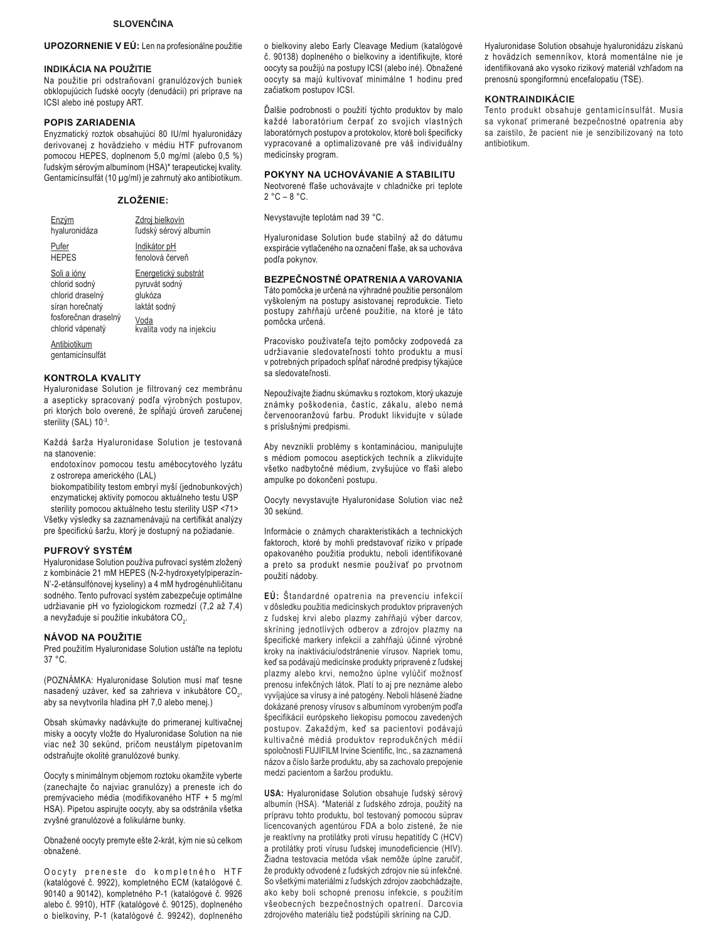### **SLOVENČINA**

### UPOZORNENIE V EÚ: Len na profesionálne použitie

#### **INDIKÁCIA NA POUŽITIE**

Na použitie pri odstraňovaní granulózových buniek obklopujúcich ľudské oocyty (denudácii) pri príprave na ICSI alebo iné postupy ART.

### **POPIS ZARIADENIA**

Enyzmatický roztok obsahujúci 80 IU/ml hyaluronidázy derivovanej z hovädzieho v médiu HTF pufrovanom pomocou HEPES, doplnenom 5,0 mg/ml (alebo 0,5 %) ľudským sérovým albumínom (HSA)\* terapeutickej kvality. Gentamicínsulfát (10 µg/ml) je zahrnutý ako antibiotikum.

### ZLOŽENIE:

| Enzým                            | Zdroj bielkovín          |
|----------------------------------|--------------------------|
| hyaluronidáza                    | ľudský sérový albumín    |
| Pufer                            | Indikátor pH             |
| <b>HEPES</b>                     | fenolová červeň          |
| Soli a jóny                      | Energetický substrát     |
| chlorid sodný                    | pyruvát sodný            |
| chlorid draselný                 | glukóza                  |
| síran horečnatý                  | laktát sodný             |
| fosforečnan draselný             | Voda                     |
| chlorid vápenatý                 | kvalita vody na injekciu |
| Antibiotikum<br>gentamicínsulfát |                          |

## **KONTROLA KVALITY**

Hyaluronidase Solution je filtrovaný cez membránu a asepticky spracovaný podľa výrobných postupov, pri ktorých bolo overené, že spĺňajú úroveň zaručenej sterility (SAL) 10-3.

Každá šarža Hyaluronidase Solution je testovaná na stanovenie:

endotoxínov pomocou testu amébocytového lyzátu z ostrorepa amerického (LAL)

biokompatibility testom embryí myší (jednobunkových) enzymatickej aktivity pomocou aktuálneho testu USP sterility pomocou aktuálneho testu sterility USP <71>

Všetky výsledky sa zaznamenávajú na certifikát analýzy pre špecifickú šaržu, ktorý je dostupný na požiadanie.

#### PUFROVÝ SYSTÉM

Hyaluronidase Solution používa pufrovací systém zložený z kombinácie 21 mM HEPES (N-2-hydroxyetylpiperazín-N'-2-etánsulfónovej kyseliny) a 4 mM hydrogénuhličitanu sodného. Tento pufrovací systém zabezpečuje optimálne udržiavanie pH vo fyziologickom rozmedzí (7,2 až 7,4) a nevyžaduje si použitie inkubátora CO<sub>2</sub>.

#### NÁVOD NA POUŽITIE

Pred použitím Hyaluronidase Solution ustáľte na teplotu  $37^\circ$ C

(POZNÁMKA: Hyaluronidase Solution musí mať tesne nasadený uzáver, keď sa zahrieva v inkubátore CO., aby sa nevytvorila hladina pH 7,0 alebo menej.)

Obsah skúmavky nadávkujte do primeranej kultivačnej misky a oocyty vložte do Hyaluronidase Solution na nie viac než 30 sekúnd, pričom neustálym pipetovaním odstraňujte okolité granulózové bunky.

Oocyty s minimálnym objemom roztoku okamžite vyberte (zanechajte čo najviac granulózy) a preneste ich do premývacieho média (modifikovaného HTF + 5 mg/ml HSA). Pipetou aspirujte oocyty, aby sa odstránila všetka zvyšné granulózové a folikulárne bunky.

Obnažené oocyty premyte ešte 2-krát, kým nie sú celkom obnažené.

Oocyty preneste do kompletného HTF (katalógové č. 9922), kompletného ECM (katalógové č. 90140 a 90142), kompletného P-1 (katalógové č. 9926 alebo č. 9910), HTF (katalógové č. 90125), doplneného o bielkoviny, P-1 (katalógové č. 99242), doplneného o bielkoviny alebo Early Cleavage Medium (katalógové č. 90138) doplneného o bielkoviny a identifikujte, ktoré oocyty sa použijú na postupy ICSI (alebo iné). Obnažené oocyty sa majú kultivovať minimálne 1 hodinu pred začiatkom postupov ICSI.

Ďalšie podrobnosti o použití týchto produktov by malo každé laboratórium čerpať zo svojich vlastných laboratórnych postupov a protokolov, ktoré boli špecificky vypracované a optimalizované pre váš individuálny medicínsky program.

#### POKYNY NA UCHOVÁVANIE A STABILITU

Neotvorené fľaše uchovávajte v chladničke pri teplote  $2 °C - 8 °C$ .

Nevystavujte teplotám nad 39 °C.

Hyaluronidase Solution bude stabilný až do dátumu exspirácie vytlačeného na označení fľaše, ak sa uchováva podľa pokynov.

## BEZPEČNOSTNÉ OPATRENIA A VAROVANIA

Táto pomôcka je určená na výhradné použitie personálom vyškoleným na postupy asistovanej reprodukcie. Tieto postupy zahŕňajú určené použitie, na ktoré je táto pomôcka určená.

Pracovisko používateľa tejto pomôcky zodpovedá za udržiavanie sledovateľnosti tohto produktu a musí v potrebných prípadoch spĺňať národné predpisy týkajúce sa sledovateľnosti.

Nepoužívajte žiadnu skúmavku s roztokom, ktorý ukazuje známky poškodenia, častíc, zákalu, alebo nemá červenooranžovú farbu. Produkt likvidujte v súlade s príslušnými predpismi.

Aby nevznikli problémy s kontamináciou, manipulujte s médiom pomocou aseptických techník a zlikvidujte všetko nadbytočné médium, zvyšujúce vo fľaši alebo ampulke po dokončení postupu.

Oocyty nevystavujte Hyaluronidase Solution viac než 30 sekúnd.

Informácie o známych charakteristikách a technických faktoroch, ktoré by mohli predstavovať riziko v prípade opakovaného použitia produktu, neboli identifikované a preto sa produkt nesmie používať po prvotnom použití nádoby.

EÚ: Štandardné opatrenia na prevenciu infekcií v dôsledku použitia medicínskych produktov pripravených z ľudskej krvi alebo plazmy zahŕňajú výber darcov, skríning jednotlivých odberov a zdrojov plazmy na špecifické markery infekcií a zahŕňajú účinné výrobné kroky na inaktiváciu/odstránenie vírusov. Napriek tomu, keď sa podávajú medicínske produkty pripravené z ľudskej plazmy alebo krvi, nemožno úplne vylúčiť možnosť prenosu infekčných látok. Platí to aj pre neznáme alebo vyvíjajúce sa vírusy a iné patogény. Neboli hlásené žiadne dokázané prenosy vírusov s albumínom vyrobeným podľa špecifikácií európskeho liekopisu pomocou zavedených postupov. Zakaždým, keď sa pacientovi podávajú kultivačné médiá produktov reprodukčných médií spoločnosti FUJIFILM Irvine Scientific, Inc., sa zaznamená názov a číslo šarže produktu, aby sa zachovalo prepojenie medzi pacientom a šaržou produktu.

USA: Hyaluronidase Solution obsahuje ľudský sérový albumín (HSA). \*Materiál z ľudského zdroja, použitý na prípravu tohto produktu, bol testovaný pomocou súprav licencovaných agentúrou FDA a bolo zistené, že nie je reaktívny na protilátky proti vírusu hepatitídy C (HCV) a protilátky proti vírusu ľudskej imunodeficiencie (HIV). Žiadna testovacia metóda však nemôže úplne zaručiť, že produkty odvodené z ľudských zdrojov nie sú infekčné. So všetkými materiálmi z ľudských zdrojov zaobchádzajte, ako keby boli schopné prenosu infekcie, s použitím všeobecných bezpečnostných opatrení. Darcovia zdrojového materiálu tiež podstúpili skríning na CJD.

Hyaluronidase Solution obsahuje hyaluronidázu získanú z hovädzích semenníkov, ktorá momentálne nie je identifikovaná ako vysoko rizikový materiál vzhľadom na prenosnú spongiformnú encefalopatiu (TSE).

### KONTRAINDIKÁCIE

Tento produkt obsahuje gentamicínsulfát. Musia sa vykonať primerané bezpečnostné opatrenia aby sa zaistilo, že pacient nie je senzibilizovaný na toto antibiotikum.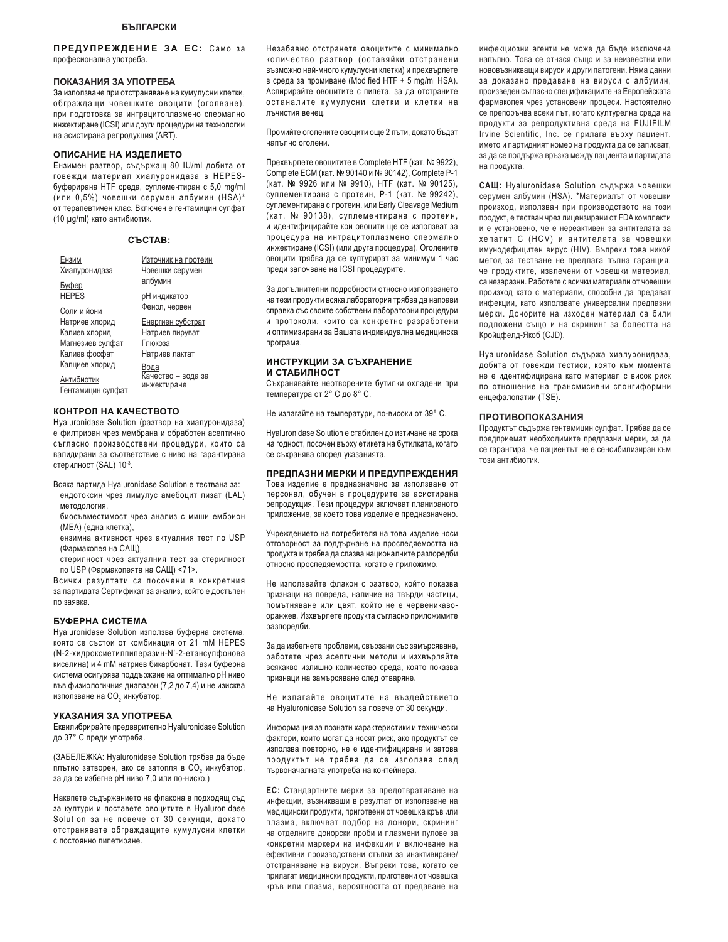ПРЕДУПРЕЖДЕНИЕ ЗА ЕС: Само за професионална употреба.

### ПОКАЗАНИЯ ЗА УПОТРЕБА

За използване при отстраняване на кумулусни клетки, обграждащи човешките овоцити (оголване), при подготовка за интрацитоплазмено спермално инжектиране (ICSI) или други процедури на технологии на асистирана репродукция (ART).

#### ОПИСАНИЕ НА ИЗДЕЛИЕТО

Ензимен разтвор, съдържащ 80 IU/ml добита от говежди материал хиалуронидаза в HEPESбуферирана HTF среда, суплементиран с 5,0 mg/ml (или 0,5%) човешки серумен албумин (HSA)\* от терапевтичен клас. Включен е гентамицин сулфат (10 µg/ml) като антибиотик.

| CЪCTAB: |
|---------|
|---------|

| Ензим             | Източник на протеин |
|-------------------|---------------------|
| Хиалуронидаза     | Човешки серумен     |
| <b>Ey</b> bep     | албумин             |
| <b>HEPES</b>      | <u>рН индикатор</u> |
| Соли и йони       | Фенол, червен       |
| Натриев хлорид    | Енергиен субстрат   |
| Калиев хлорид     | Натриев пируват     |
| Магнезиев сулфат  | Глюкоза             |
| Калиев фосфат     | Натриев лактат      |
| Калциев хлорид    | Вода                |
| Антибиотик        | Качество - вода за  |
| Гентамицин сулфат | инжектиране         |

## КОНТРОЛ НА КАЧЕСТВОТО

Hyaluronidase Solution (разтвор на хиалуронидаза) е филтриран чрез мембрана и обработен асептично съгласно производствени процедури, които са валидирани за съответствие с ниво на гарантирана стерилност (SAL) 10-3.

- Всяка партида Hyaluronidase Solution е тествана за: ендотоксин чрез лимулус амебоцит лизат (LAL) методология,
- биосъвместимост чрез анализ с миши ембрион (МЕА) (една клетка),
- ензимна активност чрез актуалния тест по USP (Фармакопея на САЩ),
- стерилност чрез актуалния тест за стерилност по USP (Фармакопеята на САЩ) <71>.

Всички резултати са посочени в конкретния за партидата Сертификат за анализ, който е достъпен по заявка.

#### **БУФЕРНА СИСТЕМА**

Hvaluronidase Solution използва буферна система, която се състои от комбинация от 21 mM HEPES (N-2-хидроксиетилпиперазин-N'-2-етансулфонова киселина) и 4 mM натриев бикарбонат. Тази буферна система осигурява поддържане на оптимално рН ниво във физиологичния диапазон (7,2 до 7,4) и не изисква използване на СО $_{_2}$ инкубатор.

#### УКАЗАНИЯ ЗА УПОТРЕБА

Еквилибрирайте предварително Hyaluronidase Solution до 37° С преди употреба.

(ЗАБЕЛЕЖКА: Hyaluronidase Solution трябва да бъде плътно затворен, ако се затопля в СО<sub>2</sub> инкубатор, за да се избегне рН ниво 7,0 или по-ниско.)

Накапете съдържанието на флакона в подходящ съд за култури и поставете овоцитите в Hyaluronidase Solution за не повече от 30 секунди, докато этстранявате обграждащите кумулусни клетки с постоянно пипетиране.

Незабавно отстранете овоцитите с минимално количество разтвор (оставяйки отстранени възможно най-много кумулусни клетки) и прехвърлете в среда за промиване (Modified HTF + 5 mg/ml HSA). Аспирирайте овоцитите с пипета, за да отстраните останалите кумулусни клетки и клетки на лъчистия венец.

Промийте оголените овоцити още 2 пъти, докато бъдат напълно оголени.

Прехвърлете овоцитите в Complete HTF (кат. № 9922), Complete ECM (κατ. Νο 90140 и Νο 90142), Complete P-1 (кат. № 9926 или № 9910), НТЕ (кат. № 90125), суплементирана с протеин, Р-1 (кат. № 99242), суплементирана с протеин, или Early Cleavage Medium (кат. № 90138), суплементирана с протеин, и идентифицирайте кои овоцити ще се използват за процедура на интрацитоплазмено спермално инжектиране (ICSI) (или друга процедура). Оголените овоцити трябва да се културират за минимум 1 час преди започване на ICSI процедурите.

За допълнителни подробности относно използването на тези продукти всяка лаборатория трябва да направи справка със своите собствени лабораторни процедури и протоколи, които са конкретно разработени и оптимизирани за Вашата индивидуална медицинска програма.

#### ИНСТРУКЦИИ ЗА СЪХРАНЕНИЕ **И СТАБИЛНОСТ**

Съхранявайте неотворените бутилки охладени при температура от 2° С до 8° С.

Не излагайте на температури, по-високи от 39° С.

Hyaluronidase Solution е стабилен до изтичане на срока на годност, посочен върху етикета на бутилката, когато се съхранява според указанията.

#### ПРЕДПАЗНИ МЕРКИ И ПРЕДУПРЕЖДЕНИЯ

Това изделие е предназначено за използване от персонал, обучен в процедурите за асистирана репродукция. Тези процедури включват планираното приложение, за което това изделие е предназначено.

Учреждението на потребителя на това изделие носи отговорност за поддържане на проследяемостта на продукта и трябва да спазва националните разпоредби относно проследяемостта, когато е приложимо.

Не използвайте флакон с разтвор, който показва признаци на повреда, наличие на твърди частици. помътняване или цвят, който не е червеникавооранжев. Изхвърлете продукта съгласно приложимите разпоредби.

За да избегнете проблеми, свързани със замърсяване, работете чрез асептични методи и изхвърляйте всякакво излишно количество среда, която показва признаци на замърсяване след отваряне.

Не излагайте овоцитите на въздействието на Hyaluronidase Solution за повече от 30 секунди.

Информация за познати характеристики и технически фактори, които могат да носят риск, ако продуктът се използва повторно, не е идентифицирана и затова продуктът не трябва да се използва след първоначалната употреба на контейнера.

**ЕС**: Стандартните мерки за предотвратяване на инфекции, възникващи в резултат от използване на медицински продукти, приготвени от човешка кръв или плазма, включват подбор на донори, скрининг на отделните донорски проби и плазмени пулове за конкретни маркери на инфекции и включване на ефективни производствени стъпки за инактивиране/ отстраняване на вируси. Въпреки това, когато се прилагат медицински продукти, приготвени от човешка коъв или плазма, вероятността от предаване на

инфекциозни агенти не може да бъде изключена напълно. Това се отнася също и за неизвестни или нововъзникващи вируси и други патогени. Няма данни за доказано предаване на вируси с албумин, произведен съгласно спецификациите на Европейската фармакопея чрез установени процеси. Настоятелно се препоръчва всеки път, когато културелна среда на продукти за репродуктивна среда на FUJIFILM Irvine Scientific, Inc. се прилага върху пациент, името и партидният номер на продукта да се записват. за да се поддържа връзка между пациента и партидата на продукта.

САЩ: Hyaluronidase Solution съдържа човешки серумен албумин (HSA). \*Материалът от човешки произход, използван при производството на този продукт, е тестван чрез лицензирани от FDA комплекти и е установено, че е нереактивен за антителата за хепатит С (HCV) и антителата за човешки имунодефицитен вирус (HIV). Въпреки това никой метод за тестване не предлага пълна гаранция, че продуктите, извлечени от човешки материал. са незаразни. Работете с всички материали от човешки произход като с материали, способни да предават инфекции, като използвате универсални предпазни мерки. Донорите на изходен материал са били подложени също и на скрининг за болестта на Кройцфелд-Якоб (CJD).

Hyaluronidase Solution съдържа хиалуронидаза, добита от говежди тестиси, която към момента не е идентифицирана като материал с висок риск по отношение на трансмисивни спонгиформни енцефалопатии (TSE).

#### ПРОТИВОПОКАЗАНИЯ

Продуктът съдържа гентамицин сулфат. Трябва да се предприемат необходимите предпазни мерки, за да се гарантира, че пациентът не е сенсибилизиран към този антибиотик.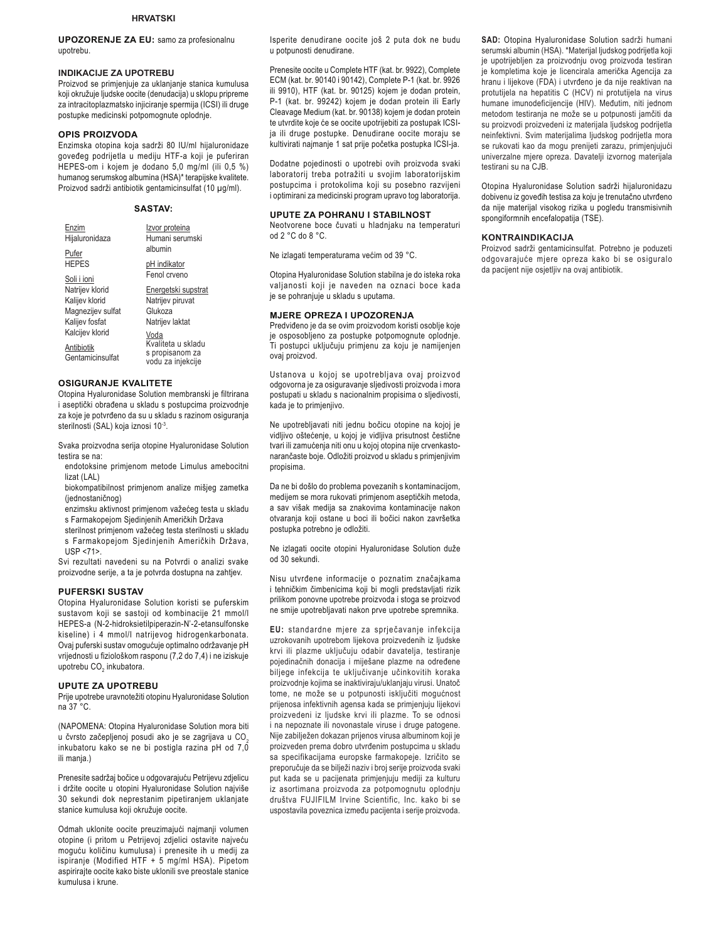**UPOZORENJE ZA EU:** samo za profesionalnu upotrebu.

### **INDIKACIJE ZA UPOTREBU**

Proizvod se primjenjuje za uklanjanje stanica kumulusa koji okružuje ljudske oocite (denudacija) u sklopu pripreme za intracitoplazmatsko injiciranje spermija (ICSI) ili druge postupke medicinski potpomognute oplodnje.

#### **OPIS PROIZVODA**

Enzimska otopina koja sadrži 80 IU/ml hijaluronidaze goveđeg podrijetla u mediju HTF-a koji je puferiran HEPES-om i kojem je dodano 5,0 mg/ml (ili 0,5 %) humanog serumskog albumina (HSA)\* terapijske kvalitete. Proizvod sadrži antibiotik gentamicinsulfat (10 µg/ml).

#### **SASTAV:**

| Enzim             | Izvor proteina                       |
|-------------------|--------------------------------------|
| Hijaluronidaza    | Humani serumski                      |
| Pufer             | albumin                              |
| <b>HEPES</b>      | pH indikator                         |
| Soli i ioni       | Fenol crveno                         |
| Natrijev klorid   | Energetski supstrat                  |
| Kalijev klorid    | Natrijev piruvat                     |
| Magnezijev sulfat | Glukoza                              |
| Kalijev fosfat    | Natrijev laktat                      |
| Kalcijev klorid   | Voda                                 |
| Antibiotik        | Kvaliteta u skladu                   |
| Gentamicinsulfat  | s propisanom za<br>vodu za injekcije |

### **OSIGURANJE KVALITETE**

Otopina Hyaluronidase Solution membranski je filtrirana i aseptički obrađena u skladu s postupcima proizvodnje za koie je potvrđeno da su u skladu s razinom osiguranja sterilnosti (SAL) koja iznosi 10-3.

Svaka proizvodna serija otopine Hyaluronidase Solution testira se na:

endotoksine primjenom metode Limulus amebocitni lizat (LAL)

biokompatibilnost primjenom analize mišjeg zametka (jednostaničnog)

enzimsku aktivnost primjenom važećeg testa u skladu s Farmakopejom Sjedinjenih Američkih Država

sterilnost primjenom važećeg testa sterilnosti u skladu s Farmakopejom Sjedinjenih Američkih Država,

USP <71>.

Svi rezultati navedeni su na Potvrdi o analizi svake proizvodne serije, a ta je potvrda dostupna na zahtjev.

#### **PUFERSKI SUSTAV**

Otopina Hyaluronidase Solution koristi se puferskim sustavom koji se sastoji od kombinacije 21 mmol/l HEPES-a (N-2-hidroksietilpiperazin-N'-2-etansulfonske kiseline) i 4 mmol/l natrijevog hidrogenkarbonata. Ovaj puferski sustav omogućuje optimalno održavanje pH vrijednosti u fiziološkom rasponu (7,2 do 7,4) i ne iziskuje upotrebu CO<sub>2</sub> inkubatora.

#### **UPUTE ZA UPOTREBU**

Prije upotrebe uravnotežiti otopinu Hyaluronidase Solution na 37 °C.

(NAPOMENA: Otopina Hyaluronidase Solution mora biti u čvrsto začepljenoj posudi ako je se zagrijava u CO<sub>2</sub> inkubatoru kako se ne bi postigla razina pH od 7,0 ili manja.)

Prenesite sadržaj bočice u odgovarajuću Petrijevu zdjelicu i držite oocite u otopini Hyaluronidase Solution najviše 30 sekundi dok neprestanim pipetiraniem uklaniate stanice kumulusa koji okružuje oocite.

Odmah uklonite oocite preuzimajući najmanji volumen otopine (i pritom u Petrijevoj zdjelici ostavite najveću moguću količinu kumulusa) i prenesite ih u medij za ispiranje (Modified HTF + 5 mg/ml HSA). Pipetom aspirirajte oocite kako biste uklonili sve preostale stanice kumulusa i krune.

Isperite denudirane oocite još 2 puta dok ne budu u potpunosti denudirane.

Prenesite oocite u Complete HTF (kat. br. 9922), Complete ECM (kat. br. 90140 i 90142), Complete P-1 (kat. br. 9926 ili 9910), HTF (kat. br. 90125) kojem je dodan protein, P-1 (kat. br. 99242) kojem je dodan protein ili Early Cleavage Medium (kat. br. 90138) kojem je dodan protein te utvrdite koje će se oocite upotrijebiti za postupak ICSIja ili druge postupke. Denudirane oocite moraju se kultivirati najmanje 1 sat prije početka postupka ICSI-ja.

Dodatne pojedinosti o upotrebi ovih proizvoda svaki laboratorij treba potražiti u svojim laboratorijskim postupcima i protokolima koji su posebno razvijeni i optimirani za medicinski program upravo tog laboratorija.

#### **UPUTE ZA POHRANU I STABILNOST**

Neotvorene boce čuvati u hladnjaku na temperaturi od 2 °C do 8 °C.

Ne izlagati temperaturama većim od 39 °C.

Otopina Hyaluronidase Solution stabilna je do isteka roka valjanosti koji je naveden na oznaci boce kada je se pohranjuje u skladu s uputama.

#### **MJERE OPREZA I UPOZORENJA**

Predviđeno je da se ovim proizvodom koristi osoblje koje je osposobljeno za postupke potpomognute oplodnje. Ti postupci uključuju primjenu za koju je namijenjen ovaj proizvod.

Ustanova u kojoj se upotrebljava ovaj proizvod odgovorna je za osiguravanje sljedivosti proizvoda i mora postupati u skladu s nacionalnim propisima o sljedivosti, kada je to primjenjivo.

Ne upotrebljavati niti jednu bočicu otopine na kojoj je vidljivo oštećenje, u kojoj je vidljiva prisutnost čestične tvari ili zamućenja niti onu u kojoj otopina nije crvenkastonarančaste boje. Odložiti proizvod u skladu s primjenjivim propisima.

Da ne bi došlo do problema povezanih s kontaminacijom, medijem se mora rukovati primjenom aseptičkih metoda, a sav višak medija sa znakovima kontaminacije nakon otvaranja koji ostane u boci ili bočici nakon završetka postupka potrebno je odložiti.

Ne izlagati oocite otopini Hyaluronidase Solution duže od 30 sekundi.

Nisu utvrđene informacije o poznatim značajkama i tehničkim čimbenicima koji bi mogli predstavljati rizik prilikom ponovne upotrebe proizvoda i stoga se proizvod ne smije upotrebljavati nakon prve upotrebe spremnika.

EU: standardne mjere za sprječavanje infekcija uzrokovanih upotrebom lijekova proizvedenih iz ljudske krvi ili plazme uključuju odabir davatelja, testiranje pojedinačnih donacija i miješane plazme na određene biljege infekcija te uključivanje učinkovitih koraka proizvodnje kojima se inaktiviraju/uklanjaju virusi. Unatoč tome, ne može se u potpunosti isključiti mogućnost prijenosa infektivnih agensa kada se primjenjuju lijekovi proizvedeni iz ljudske krvi ili plazme. To se odnosi i na nepoznate ili novonastale viruse i druge patogene. Nije zabilježen dokazan prijenos virusa albuminom koji je proizveden prema dobro utvrđenim postupcima u skladu sa specifikacijama europske farmakopeje. Izričito se preporučuje da se bilježi naziv i broj serije proizvoda svaki put kada se u pacijenata primjenjuju mediji za kulturu iz asortimana proizvoda za potpomognutu oplodniu društva FUJIFILM Irvine Scientific, Inc. kako bi se uspostavila poveznica između pacijenta i serije proizvoda.

SAD: Otopina Hyaluronidase Solution sadrži humani serumski albumin (HSA). \*Materijal ljudskog podrijetla koji je upotrijebljen za proizvodnju ovog proizvoda testiran je kompletima koje je licencirala američka Agencija za hranu i lijekove (FDA) i utvrđeno je da nije reaktivan na protutijela na hepatitis C (HCV) ni protutijela na virus humane imunodeficijencije (HIV). Međutim, niti jednom metodom testirania ne može se u potpunosti jamčiti da su proizvodi proizvedeni iz materijala ljudskog podrijetla neinfektivni. Svim materijalima ljudskog podrijetla mora se rukovati kao da mogu prenijeti zarazu, primjenjujući univerzalne mjere opreza. Davatelji izvornog materijala testirani su na CJB.

Otopina Hyaluronidase Solution sadrži hijaluronidazu dobivenu iz goveđih testisa za koju je trenutačno utvrđeno da nije materijal visokog rizika u pogledu transmisivnih spongiformnih encefalopatija (TSE).

#### **KONTRAINDIKACIJA**

Proizvod sadrži gentamicinsulfat. Potrebno je poduzeti odgovarajuće mjere opreza kako bi se osiguralo da pacijent nije osjetljiv na ovaj antibiotik.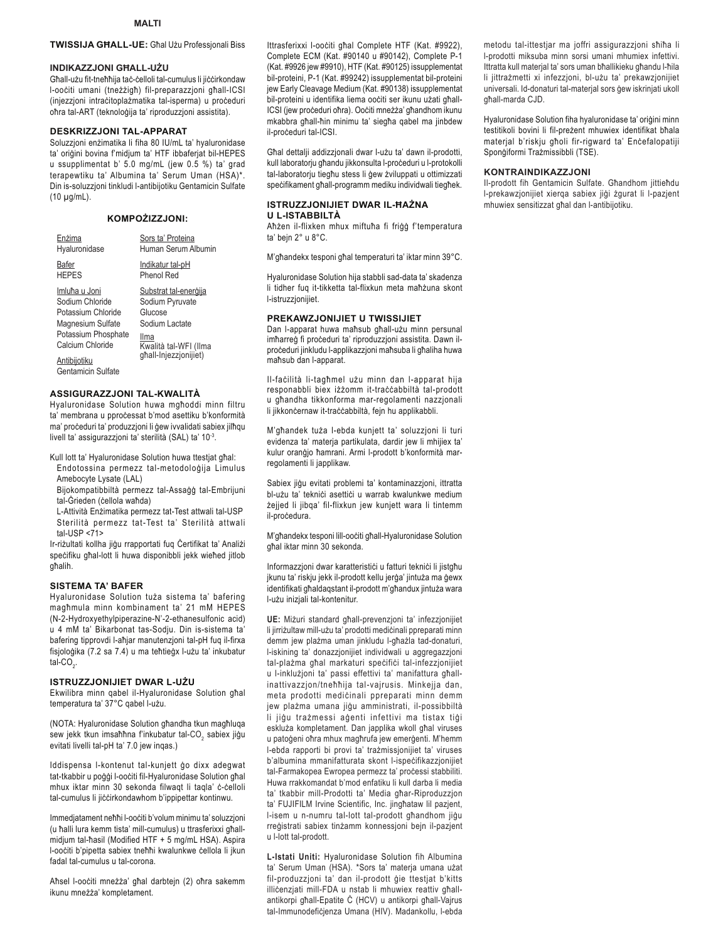## TWISSIJA GHALL-UE: Ghal Użu Professjonali Biss

#### INDIKAZZJONI GHALL-UŻU

Għall-użu fit-tneħħija taċ-ċelloli tal-cumulus li jiċċirkondaw l-ooċiti umani (tneżżigħ) fil-preparazzjoni għall-ICSI (injezzjoni intracitoplażmatika tal-isperma) u proceduri oħra tal-ART (teknoloģija ta' riproduzzjoni assistita).

#### **DESKRIZZJONI TAL-APPARAT**

Soluzzjoni enżimatika li fiha 80 IU/mL ta' hyaluronidase ta' oriģini bovina f'midjum ta' HTF ibbaferjat bil-HEPES u ssupplimentat b' 5.0 mg/mL (jew 0.5 %) ta' grad terapewtiku ta' Albumina ta' Serum Uman (HSA)\*. Din is-soluzzioni tinkludi l-antibijotiku Gentamicin Sulfate  $(10 \mu g/mL)$ .

#### KOMPOŻIZZJONI:

| Enżima              | Sors ta' Proteina     |
|---------------------|-----------------------|
| Hyaluronidase       | Human Serum Albumin   |
| Bafer               | Indikatur tal-pH      |
| <b>HEPES</b>        | Phenol Red            |
| Imluħa u Joni       | Substrat tal-energija |
| Sodium Chloride     | Sodium Pyruvate       |
| Potassium Chloride  | Glucose               |
| Magnesium Sulfate   | Sodium Lactate        |
| Potassium Phosphate | Ilma                  |
| Calcium Chloride    | Kwalità tal-WFI (Ilma |
| Antibiiotiku        | ghall-Injezzjonijiet) |

Gentamicin Sulfate

#### ASSIGURAZZJONI TAL-KWALITÀ

Hyaluronidase Solution huwa mghoddi minn filtru ta' membrana u pprocessat b'mod asettiku b'konformità ma' proceduri ta' produzzjoni li gew ivvalidati sabiex jilhqu livell ta' assigurazzjoni ta' sterilità (SAL) ta' 10-3.

- Kull lott ta' Hyaluronidase Solution huwa ttestjat għal: Endotossina permezz tal-metodologija Limulus
- Amebocyte Lysate (LAL) Bijokompatibbiltà permezz tal-Assaġġ tal-Embrijuni
- tal-Grieden (cellola wahda)
- L-Attività Enzimatika permezz tat-Test attwali tal-USP Sterilità permezz tat-Test ta' Sterilità attwali tal-USP  $<$ 71>

Ir-riżultati kollha jigu rrapportati fuq Certifikat ta' Analiżi specifiku għal-lott li huwa disponibbli jekk wieħed jitlob ghalih.

#### **SISTEMA TA' BAFER**

Hyaluronidase Solution tuża sistema ta' bafering magħmula minn kombinament ta' 21 mM HEPES (N-2-Hydroxyethylpiperazine-N'-2-ethanesulfonic acid) u 4 mM ta' Bikarbonat tas-Sodju. Din is-sistema ta' bafering tipprovdi l-aħjar manutenzjoni tal-pH fuq il-firxa fisjoloģika (7.2 sa 7.4) u ma teħtieġx l-użu ta' inkubatur tal-CO.

#### ISTRUZZJONIJIET DWAR L-UŻU

Ekwilibra minn qabel il-Hyaluronidase Solution ghal temperatura ta' 37°C qabel l-użu.

(NOTA: Hyaluronidase Solution għandha tkun magħluqa sew jekk tkun imsahhna f'inkubatur tal-CO, sabiex jigu evitati livelli tal-pH ta' 7.0 jew inqas.)

Iddispensa I-kontenut tal-kunjett go dixx adegwat tat-tkabbir u poğği l-oociti fil-Hyaluronidase Solution għal mhux iktar minn 30 sekonda filwaqt li taqla' c-celloli tal-cumulus li jiccirkondawhom b'ippipettar kontinwu.

Immedjatament nehhi l-oociti b'volum minimu ta' soluzzjoni (u ħalli lura kemm tista' mill-cumulus) u ttrasferixxi għallmidjum tal-ħasil (Modified HTF + 5 mg/mL HSA). Aspira l-oociti b'pipetta sabiex tnehhi kwalunkwe cellola li jkun fadal tal-cumulus u tal-corona.

Aħsel l-ooċiti mneżża' għal darbtejn (2) oħra sakemm ikunu mneżża' kompletament.

Ittrasferixxi I-oociti ghal Complete HTF (Kat. #9922), Complete ECM (Kat. #90140 u #90142), Complete P-1 (Kat. #9926 jew #9910), HTF (Kat. #90125) issupplementat bil-proteini, P-1 (Kat. #99242) issupplementat bil-proteini jew Early Cleavage Medium (Kat. #90138) issupplementat bil-proteini u identifika liema oociti ser ikunu użati għall-ICSI (jew proceduri ohra). Oociti mneżża' ghandhom ikunu mkabbra għall-ħin minimu ta' siegħa qabel ma jinbdew il-proceduri tal-ICSI.

Għal dettalji addizzjonali dwar l-użu ta' dawn il-prodotti, kull laboratorju għandu jikkonsulta l-proceduri u l-protokolli tal-laboratorju tiegħu stess li ģew żviluppati u ottimizzati specifikament għall-programm mediku individwali tiegħek.

### ISTRUZZJONIJIET DWAR IL-HAŻNA **U L-ISTABBILTÀ**

Aħżen il-flixken mhux miftuħa fi friġġ f'temperatura ta' bejn 2° u 8°C.

M'għandekx tesponi għal temperaturi ta' iktar minn 39°C.

Hyaluronidase Solution hija stabbli sad-data ta' skadenza li tidher fuq it-tikketta tal-flixkun meta mahżuna skont I-istruzzjonijiet.

## PREKAWZJONIJIET U TWISSIJIET

Dan I-apparat huwa mahsub ghall-użu minn persunal imharreg fi proceduri ta' riproduzzioni assistita. Dawn ilproceduri jinkludu l-applikazzjoni maħsuba li għaliha huwa maħsub dan l-apparat.

Il-facilità li-tagħmel użu minn dan l-apparat hija responabbli biex iżżomm it-traccabbiltà tal-prodott u għandha tikkonforma mar-regolamenti nazzjonali li jikkoncernaw it-traccabbiltà, fejn hu applikabbli.

M'għandek tuża l-ebda kunjett ta' soluzzjoni li turi evidenza ta' materja partikulata, dardir jew li mhijiex ta' kulur oranģio hamrani. Armi l-prodott b'konformità marregolamenti li japplikaw.

Sabiex jigu evitati problemi ta' kontaminazzjoni, ittratta bl-użu ta' teknici asettici u warrab kwalunkwe medium żejjed li jibqa' fil-flixkun jew kunjett wara li tintemm il-procedura.

M'għandekx tesponi lill-ooċiti għall-Hyaluronidase Solution ghal iktar minn 30 sekonda.

Informazzjoni dwar karatteristici u fatturi teknici li jistgħu jkunu ta' riskju jekk il-prodott kellu jerga' jintuża ma gewx identifikati ghaldaqstant il-prodott m'ghandux jintuża wara I-użu iniziali tal-kontenitur.

UE: Miżuri standard għall-prevenzjoni ta' infezzjonijiet li jirriżultaw mill-użu ta' prodotti medicinali ppreparati minn demm jew plażma uman jinkludu l-għażla tad-donaturi, I-iskining ta' donazzjonijiet individwali u aggregazzjoni tal-plażma għal markaturi specifici tal-infezzjonijiet u l-inklużjoni ta' passi effettivi ta' manifattura għallinattivazzjon/tnehhija tal-vajrusis. Minkejja dan, meta prodotti medicinali ppreparati minn demm jew plażma umana jigu amministrati, il-possibbiltà li jiğu trazmessi ağenti infettivi ma tistax tiği eskluża kompletament. Dan japplika wkoll għal viruses u patogeni ohra mhux maghrufa jew emergenti. M'hemm I-ebda rapporti bi provi ta' trażmissjonijiet ta' viruses b'albumina mmanifatturata skont l-ispecifikazzjonijiet tal-Farmakopea Ewropea permezz ta' processi stabbiliti. Huwa rrakkomandat b'mod enfatiku li kull darba li media ta' tkabbir mill-Prodotti ta' Media ghar-Riproduzzjon ta' FUJIFILM Irvine Scientific, Inc. jinghataw lil pazjent, I-isem u n-numru tal-lott tal-prodott għandhom jiġu rreģistrati sabiex tinżamm konnessjoni bejn il-pazjent u l-lott tal-prodott.

L-Istati Uniti: Hyaluronidase Solution fih Albumina ta' Serum Uman (HSA). \*Sors ta' materia umana użat fil-produzzjoni ta' dan il-prodott gie ttestjat b'kitts illicenzjati mill-FDA u nstab li mhuwiex reattiv għallantikorpi ghall-Epatite C (HCV) u antikorpi ghall-Vajrus tal-Immunodeficienza Umana (HIV). Madankollu, I-ebda metodu tal-ittestjar ma joffri assigurazzjoni shiha li I-prodotti miksuba minn sorsi umani mhumiex infettivi. Ittratta kull materjal ta' sors uman bħallikieku għandu l-ħila li jittrażmetti xi infezzjoni, bl-użu ta' prekawzjonijiet universali. Id-donaturi tal-materjal sors gew iskrinjati ukoll għall-marda CJD.

Hyaluronidase Solution fiha hyaluronidase ta' origini minn testitikoli bovini li fil-prezent mhuwiex identifikat bħala materjal b'riskju gholi fir-rigward ta' Encefalopatiji Spongiformi Trażmissibbli (TSE).

#### KONTRAINDIKAZZJONI

Il-prodott fih Gentamicin Sulfate. Għandhom jittieħdu I-prekawzjonijiet xierqa sabiex jiği żgurat li I-pazjent mhuwiex sensitizzat ghal dan l-antibijotiku.